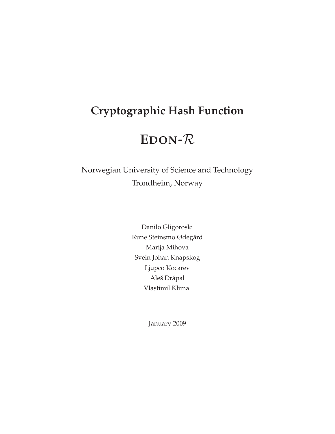# **Cryptographic Hash Function**

# **EDON-**R

Norwegian University of Science and Technology Trondheim, Norway

> Danilo Gligoroski Rune Steinsmo Ødegård Marija Mihova Svein Johan Knapskog Ljupco Kocarev Aleš Drápal Vlastimil Klima

> > January 2009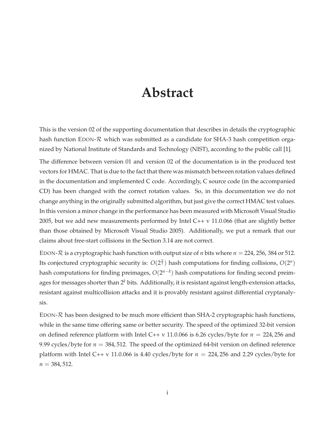# **Abstract**

This is the version 02 of the supporting documentation that describes in details the cryptographic hash function EDON- $\mathcal{R}$  which was submitted as a candidate for SHA-3 hash competition organized by National Institute of Standards and Technology (NIST), according to the public call [\[1](#page-76-0)].

The difference between version 01 and version 02 of the documentation is in the produced test vectors for HMAC. That is due to the fact that there was mismatch between rotation values defined in the documentation and implemented C code. Accordingly, C source code (in the accompanied CD) has been changed with the correct rotation values. So, in this documentation we do not change anything in the originally submitted algorithm, but just give the correct HMAC test values. In this version a minor change in the performance has been measured with Microsoft Visual Studio 2005, but we add new measurements performed by Intel C++ v 11.0.066 (that are slightly better than those obtained by Microsoft Visual Studio 2005). Additionally, we put a remark that our claims about free-start collisions in the Section 3.14 are not correct.

EDON-R is a cryptographic hash function with output size of *n* bits where *n* = 224, 256, 384 or 512. Its conjectured cryptographic security is:  $O(2^{\frac{n}{2}})$  hash computations for finding collisions,  $O(2^n)$ hash computations for finding preimages, *O*(2 *n*−*k* ) hash computations for finding second preimages for messages shorter than 2*<sup>k</sup>* bits. Additionally, it is resistant against length-extension attacks, resistant against multicollision attacks and it is provably resistant against differential cryptanalysis.

EDON-R has been designed to be much more efficient than SHA-2 cryptographic hash functions, while in the same time offering same or better security. The speed of the optimized 32-bit version on defined reference platform with Intel C++ v 11.0.066 is 6.26 cycles/byte for  $n = 224,256$  and 9.99 cycles/byte for *n* = 384, 512. The speed of the optimized 64-bit version on defined reference platform with Intel C++ v 11.0.066 is 4.40 cycles/byte for  $n = 224,256$  and 2.29 cycles/byte for  $n = 384,512.$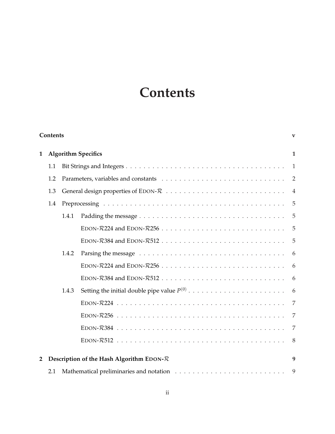# **Contents**

<span id="page-2-0"></span>

|                | Contents |       |                                                      | $\mathbf{v}$   |
|----------------|----------|-------|------------------------------------------------------|----------------|
| 1              |          |       | <b>Algorithm Specifics</b>                           | 1              |
|                | 1.1      |       |                                                      | $\overline{1}$ |
|                | 1.2      |       |                                                      | 2              |
|                | 1.3      |       |                                                      | $\overline{4}$ |
|                | 1.4      |       |                                                      | 5              |
|                |          | 1.4.1 |                                                      | 5              |
|                |          |       |                                                      | 5              |
|                |          |       |                                                      | 5              |
|                |          | 1.4.2 |                                                      | 6              |
|                |          |       |                                                      | 6              |
|                |          |       |                                                      | 6              |
|                |          | 1.4.3 |                                                      | 6              |
|                |          |       |                                                      | 7              |
|                |          |       |                                                      | 7              |
|                |          |       |                                                      | 7              |
|                |          |       |                                                      | 8              |
| $\overline{2}$ |          |       | Description of the Hash Algorithm EDON- $\mathcal R$ | 9              |
|                | 2.1      |       |                                                      | 9              |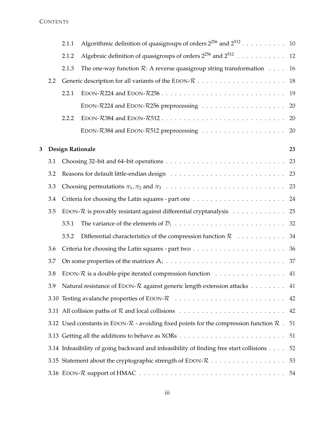|   |     | 2.1.1                   |                                                                                                                |    |
|---|-----|-------------------------|----------------------------------------------------------------------------------------------------------------|----|
|   |     | 2.1.2                   | Algebraic definition of quasigroups of orders $2^{256}$ and $2^{512}$                                          | 12 |
|   |     | 2.1.3                   | The one-way function $\mathcal{R}$ : A reverse quasigroup string transformation $\dots$                        | 16 |
|   | 2.2 |                         |                                                                                                                | 18 |
|   |     | 2.2.1                   |                                                                                                                | 19 |
|   |     |                         |                                                                                                                | 20 |
|   |     | 2.2.2                   |                                                                                                                | 20 |
|   |     |                         |                                                                                                                | 20 |
| 3 |     | <b>Design Rationale</b> |                                                                                                                | 23 |
|   | 3.1 |                         |                                                                                                                |    |
|   | 3.2 |                         |                                                                                                                |    |
|   | 3.3 |                         |                                                                                                                |    |
|   | 3.4 |                         |                                                                                                                |    |
|   | 3.5 |                         | EDON- $\mathcal R$ is provably resistant against differential cryptanalysis 25                                 |    |
|   |     | 3.5.1                   |                                                                                                                |    |
|   |     | 3.5.2                   |                                                                                                                |    |
|   | 3.6 |                         |                                                                                                                |    |
|   | 3.7 |                         |                                                                                                                |    |
|   | 3.8 |                         | EDON- $\mathcal R$ is a double-pipe iterated compression function $\ldots \ldots \ldots \ldots \ldots$         | 41 |
|   | 3.9 |                         | Natural resistance of EDON-R against generic length extension attacks 41                                       |    |
|   |     |                         | 3.10 Testing avalanche properties of EDON- $\mathcal{R}$                                                       | 42 |
|   |     |                         | 3.11 All collision paths of $R$ and local collisions $\ldots \ldots \ldots \ldots \ldots \ldots \ldots \ldots$ | 42 |
|   |     |                         | 3.12 Used constants in EDON- $R$ - avoiding fixed points for the compression function $R$ .                    | 51 |
|   |     |                         |                                                                                                                | 51 |
|   |     |                         | 3.14 Infeasibility of going backward and infeasibility of finding free start collisions                        | 52 |
|   |     |                         |                                                                                                                |    |
|   |     |                         |                                                                                                                |    |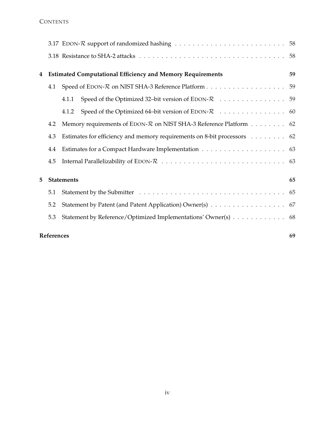| 4 |                   | <b>Estimated Computational Efficiency and Memory Requirements</b>       | 59 |
|---|-------------------|-------------------------------------------------------------------------|----|
|   | 4.1               |                                                                         |    |
|   |                   | 4.1.1                                                                   |    |
|   |                   | 4.1.2                                                                   |    |
|   | 4.2               | Memory requirements of EDON-R on NIST SHA-3 Reference Platform 62       |    |
|   | 4.3               | Estimates for efficiency and memory requirements on 8-bit processors 62 |    |
|   | 4.4               |                                                                         |    |
|   | 4.5               |                                                                         |    |
| 5 |                   | <b>Statements</b>                                                       | 65 |
|   | 5.1               |                                                                         |    |
|   | 5.2               | Statement by Patent (and Patent Application) Owner(s) 67                |    |
|   | 5.3               | Statement by Reference/Optimized Implementations' Owner(s) 68           |    |
|   | <b>References</b> |                                                                         | 69 |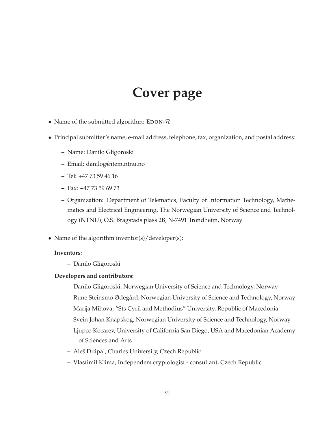# **Cover page**

- Name of the submitted algorithm: **EDON-**R
- Principal submitter's name, e-mail address, telephone, fax, organization, and postal address:
	- **–** Name: Danilo Gligoroski
	- **–** Email: danilog@item.ntnu.no
	- **–** Tel: +47 73 59 46 16
	- **–** Fax: +47 73 59 69 73
	- **–** Organization: Department of Telematics, Faculty of Information Technology, Mathematics and Electrical Engineering, The Norwegian University of Science and Technology (NTNU), O.S. Bragstads plass 2B, N-7491 Trondheim, Norway
- Name of the algorithm inventor(s)/developer(s):

#### **Inventors:**

**–** Danilo Gligoroski

#### **Developers and contributors:**

- **–** Danilo Gligoroski, Norwegian University of Science and Technology, Norway
- **–** Rune Steinsmo Ødegård, Norwegian University of Science and Technology, Norway
- **–** Marija Mihova, "Sts Cyril and Methodius" University, Republic of Macedonia
- **–** Svein Johan Knapskog, Norwegian University of Science and Technology, Norway
- **–** Ljupco Kocarev, University of California San Diego, USA and Macedonian Academy of Sciences and Arts
- **–** Aleš Drápal, Charles University, Czech Republic
- **–** Vlastimil Klima, Independent cryptologist consultant, Czech Republic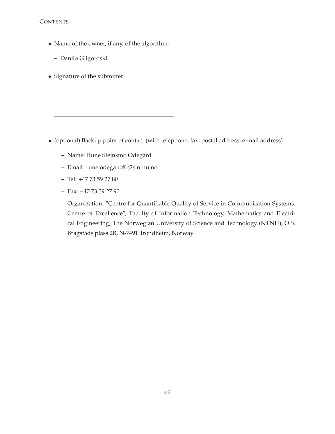- Name of the owner, if any, of the algorithm:
	- **–** Danilo Gligoroski
- Signature of the submitter

- (optional) Backup point of contact (with telephone, fax, postal address, e-mail address):
	- **–** Name: Rune Steinsmo Ødegård
	- **–** Email: rune.odegard@q2s.ntnu.no

————————————————————

- **–** Tel: +47 73 59 27 80
- **–** Fax: +47 73 59 27 90
- **–** Organization: "Centre for Quantifiable Quality of Service in Communication Systems. Centre of Excellence", Faculty of Information Technology, Mathematics and Electrical Engineering, The Norwegian University of Science and Technology (NTNU), O.S. Bragstads plass 2B, N-7491 Trondheim, Norway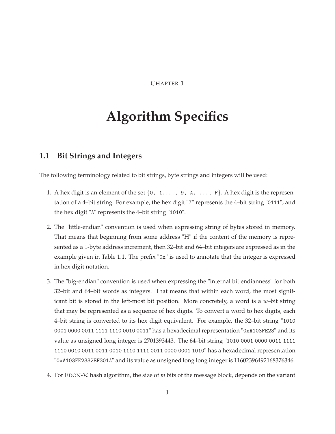CHAPTER 1

# <span id="page-8-0"></span>**Algorithm Specifics**

# <span id="page-8-1"></span>**1.1 Bit Strings and Integers**

The following terminology related to bit strings, byte strings and integers will be used:

- 1. A hex digit is an element of the set  $\{0, 1, \ldots, 9, A, \ldots, F\}$ . A hex digit is the representation of a 4–bit string. For example, the hex digit "7" represents the 4–bit string "0111", and the hex digit "A" represents the 4–bit string "1010".
- 2. The "little-endian" convention is used when expressing string of bytes stored in memory. That means that beginning from some address "H" if the content of the memory is represented as a 1-byte address increment, then 32–bit and 64–bit integers are expressed as in the example given in Table [1.1.](#page-9-1) The prefix "0x" is used to annotate that the integer is expressed in hex digit notation.
- 3. The "big-endian" convention is used when expressing the "internal bit endianness" for both 32–bit and 64–bit words as integers. That means that within each word, the most significant bit is stored in the left-most bit position. More concretely, a word is a *w*–bit string that may be represented as a sequence of hex digits. To convert a word to hex digits, each 4–bit string is converted to its hex digit equivalent. For example, the 32–bit string "1010 0001 0000 0011 1111 1110 0010 0011" has a hexadecimal representation "0xA103FE23" and its value as unsigned long integer is 2701393443. The 64–bit string "1010 0001 0000 0011 1111 1110 0010 0011 0011 0010 1110 1111 0011 0000 0001 1010" has a hexadecimal representation "0xA103FE2332EF301A" and its value as unsigned long long integer is 11602396492168376346.
- 4. For EDON-R hash algorithm, the size of *m* bits of the message block, depends on the variant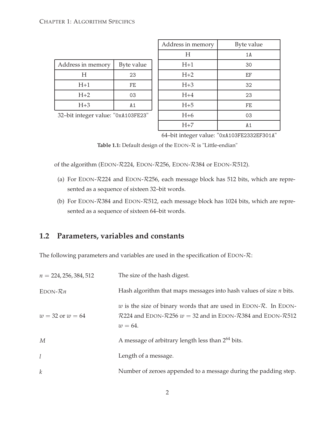<span id="page-9-1"></span>

| Address in memory | Byte value |
|-------------------|------------|
| H                 | 23         |
| $H+1$             | FE         |
| $H+2$             | 03         |
| $H+3$             | A 1        |

| Address in memory | Byte value |
|-------------------|------------|
| H                 | 1 A        |
| $H+1$             | 30         |
| $H+2$             | ΕF         |
| $H+3$             | 32         |
| $H+4$             | 23         |
| $H+5$             | FE         |
| $H+6$             | 03         |
| $H+7$             | A1         |

32–bit integer value: "0xA103FE23"

64–bit integer value: "0xA103FE2332EF301A"

Table 1.1: Default design of the EDON- $R$  is "Little-endian"

of the algorithm (EDON-R224, EDON-R256, EDON-R384 or EDON-R512).

- (a) For EDON-R224 and EDON-R256, each message block has 512 bits, which are represented as a sequence of sixteen 32–bit words.
- (b) For EDON-R384 and EDON-R512, each message block has 1024 bits, which are represented as a sequence of sixteen 64–bit words.

# <span id="page-9-0"></span>**1.2 Parameters, variables and constants**

The following parameters and variables are used in the specification of  $EDON-R$ :

| $n = 224, 256, 384, 512$ | The size of the hash digest.                                                                                                                                             |
|--------------------------|--------------------------------------------------------------------------------------------------------------------------------------------------------------------------|
| $EDON-Rn$                | Hash algorithm that maps messages into hash values of size $n$ bits.                                                                                                     |
| $w = 32$ or $w = 64$     | w is the size of binary words that are used in EDON- $\mathcal{R}$ . In EDON-<br>$R$ 224 and EDON- $R$ 256 $w = 32$ and in EDON- $R$ 384 and EDON- $R$ 512<br>$w = 64$ . |
| М                        | A message of arbitrary length less than 2 <sup>64</sup> bits.                                                                                                            |
| $l_{\cdot}$              | Length of a message.                                                                                                                                                     |
| $\mathcal{K}$            | Number of zeroes appended to a message during the padding step.                                                                                                          |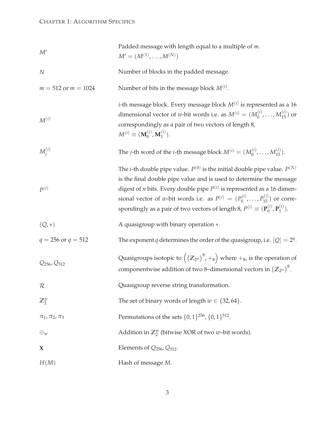| M'                      | Padded message with length equal to a multiple of $m$ .<br>$M' = (M^{(1)}, \ldots, M^{(N)})$                                                                                                                                                                                                                                                                                                                                                                         |
|-------------------------|----------------------------------------------------------------------------------------------------------------------------------------------------------------------------------------------------------------------------------------------------------------------------------------------------------------------------------------------------------------------------------------------------------------------------------------------------------------------|
| $\cal N$                | Number of blocks in the padded message.                                                                                                                                                                                                                                                                                                                                                                                                                              |
| $m = 512$ or $m = 1024$ | Number of bits in the message block $M^{(i)}$ .                                                                                                                                                                                                                                                                                                                                                                                                                      |
| $M^{(i)}$               | <i>i</i> -th message block. Every message block $M^{(i)}$ is represented as a 16<br>dimensional vector of w-bit words i.e. as $M^{(i)} = (M_0^{(i)}, \dots, M_{15}^{(i)})$ or<br>correspondingly as a pair of two vectors of length 8,<br>$M^{(i)} \equiv (\mathbf{M}_0^{(i)}, \mathbf{M}_1^{(i)}).$                                                                                                                                                                 |
| $M_i^{(i)}$             | The <i>j</i> -th word of the <i>i</i> -th message block $M^{(i)} = (M_0^{(i)}, , M_{15}^{(i)}).$                                                                                                                                                                                                                                                                                                                                                                     |
| p(i)                    | The <i>i</i> -th double pipe value. $P^{(0)}$ is the initial double pipe value. $P^{(N)}$<br>is the final double pipe value and is used to determine the message<br>digest of <i>n</i> bits. Every double pipe $P^{(i)}$ is represented as a 16 dimen-<br>sional vector of w-bit words i.e. as $P^{(i)} = (P_0^{(i)}, \dots, P_{15}^{(i)})$ or corre-<br>spondingly as a pair of two vectors of length 8, $P^{(i)} \equiv (\mathbf{P}_0^{(i)}, \mathbf{P}_1^{(i)}).$ |
| $(Q,*)$                 | A quasigroup with binary operation *.                                                                                                                                                                                                                                                                                                                                                                                                                                |
| $q = 256$ or $q = 512$  | The exponent q determines the order of the quasigroup, i.e. $ Q  = 2q$ .                                                                                                                                                                                                                                                                                                                                                                                             |
| $Q_{256}$ , $Q_{512}$   | Quasigroups isotopic to $((\mathbb{Z}_{2^w})^8, +_8)$ where $+_8$ , is the operation of<br>componentwise addition of two 8-dimensional vectors in $(\mathbb{Z}_{2^w})^8$ .                                                                                                                                                                                                                                                                                           |
| $\cal R$                | Quasigroup reverse string transformation.                                                                                                                                                                                                                                                                                                                                                                                                                            |
| $\mathbb{Z}_2^w$        | The set of binary words of length $w \in \{32, 64\}.$                                                                                                                                                                                                                                                                                                                                                                                                                |
| $\pi_1, \pi_2, \pi_3$   | Permutations of the sets $\{0, 1\}^{256}$ , $\{0, 1\}^{512}$ .                                                                                                                                                                                                                                                                                                                                                                                                       |
| $\bigoplus_{w}$         | Addition in $\mathbb{Z}_2^w$ (bitwise XOR of two w-bit words).                                                                                                                                                                                                                                                                                                                                                                                                       |
| X                       | Elements of $Q_{256}$ , $Q_{512}$ .                                                                                                                                                                                                                                                                                                                                                                                                                                  |
| H(M)                    | Hash of message M.                                                                                                                                                                                                                                                                                                                                                                                                                                                   |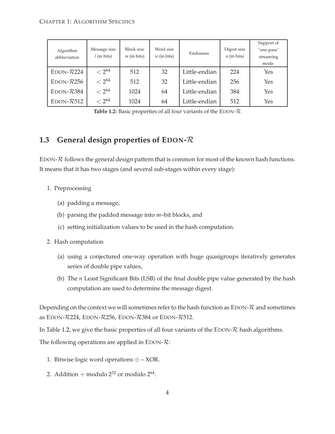<span id="page-11-1"></span>

| Algorithm<br>abbreviation | Message size<br>$l$ (in bits) | <b>Block size</b><br>$m$ (in bits) | Word size<br>$w$ (in bits) | Endianess     | Digest size<br>$n$ (in bits) | Support of<br>"one-pass"<br>streaming<br>mode |
|---------------------------|-------------------------------|------------------------------------|----------------------------|---------------|------------------------------|-----------------------------------------------|
| $EDON-R224$               | $< 2^{64}$                    | 512                                | 32                         | Little-endian | 224                          | Yes                                           |
| $EDON-R256$               | $< 2^{64}$                    | 512                                | 32                         | Little-endian | 256                          | Yes                                           |
| $EDON-R384$               | $< 2^{64}$                    | 1024                               | 64                         | Little-endian | 384                          | Yes                                           |
| $EDON-R512$               | $< 2^{64}$                    | 1024                               | 64                         | Little-endian | 512                          | Yes                                           |

Table 1.2: Basic properties of all four variants of the EDON- $\mathcal R$ 

# <span id="page-11-0"></span>**1.3 General design properties of EDON-**R

EDON-R follows the general design pattern that is common for most of the known hash functions. It means that it has two stages (and several sub-stages within every stage):

- 1. Preprocessing
	- (a) padding a message,
	- (b) parsing the padded message into *m*–bit blocks, and
	- (c) setting initialization values to be used in the hash computation.
- 2. Hash computation
	- (a) using a conjectured one-way operation with huge quasigroups iteratively generates series of double pipe values,
	- (b) The *n* Least Significant Bits (LSB) of the final double pipe value generated by the hash computation are used to determine the message digest.

Depending on the context we will sometimes refer to the hash function as  $EDON-R$  and sometimes as EDON-R224, EDON-R256, EDON-R384 or EDON-R512.

In Table [1.2,](#page-11-1) we give the basic properties of all four variants of the EDON- $\mathcal R$  hash algorithms.

The following operations are applied in EDON- $\mathcal{R}$ :

- 1. Bitwise logic word operations  $oplus XOR$ .
- 2. Addition  $+$  modulo  $2^{32}$  or modulo  $2^{64}$ .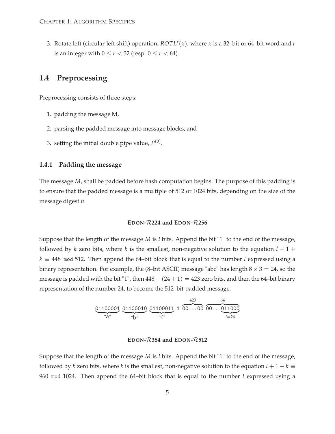3. Rotate left (circular left shift) operation, *ROTL<sup>r</sup>* (*x*), where *x* is a 32–bit or 64–bit word and *r* is an integer with  $0 \le r < 32$  (resp.  $0 \le r < 64$ ).

# <span id="page-12-0"></span>**1.4 Preprocessing**

Preprocessing consists of three steps:

- 1. padding the message M,
- 2. parsing the padded message into message blocks, and
- <span id="page-12-1"></span>3. setting the initial double pipe value*,*  $P^{(0)}$ .

### **1.4.1 Padding the message**

The message *M*, shall be padded before hash computation begins. The purpose of this padding is to ensure that the padded message is a multiple of 512 or 1024 bits, depending on the size of the message digest *n*.

#### **EDON-**R**224 and EDON-**R**256**

<span id="page-12-2"></span>Suppose that the length of the message *M* is *l* bits. Append the bit "1" to the end of the message, followed by *k* zero bits, where *k* is the smallest, non-negative solution to the equation  $l + 1 +$  $k \equiv 448$  mod 512. Then append the 64–bit block that is equal to the number *l* expressed using a binary representation. For example, the (8–bit ASCII) message "abc" has length  $8 \times 3 = 24$ , so the message is padded with the bit "1", then  $448 - (24 + 1) = 423$  zero bits, and then the 64-bit binary representation of the number 24, to become the 512–bit padded message.

$$
\underbrace{01100001}_{\text{a}''}
$$
 
$$
\underbrace{01100010}_{\text{b}''}
$$
 
$$
\underbrace{01100011}_{\text{c}''}
$$
 
$$
1 \overbrace{00...00}^{423} \overbrace{00...00}^{64}
$$

#### **EDON-**R**384 and EDON-**R**512**

Suppose that the length of the message *M* is *l* bits. Append the bit "1" to the end of the message, followed by *k* zero bits, where *k* is the smallest, non-negative solution to the equation  $l + 1 + k \equiv$ 960 mod 1024. Then append the 64–bit block that is equal to the number *l* expressed using a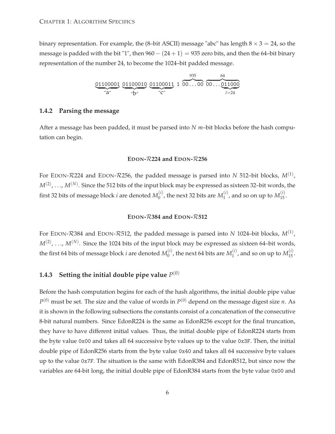binary representation. For example, the (8–bit ASCII) message "abc" has length  $8 \times 3 = 24$ , so the message is padded with the bit "1", then  $960 - (24 + 1) = 935$  zero bits, and then the 64-bit binary representation of the number 24, to become the 1024–bit padded message.

$$
\underbrace{01100001}_{\text{a}''}\underbrace{01100010}_{\text{b}''}\underbrace{01100011}_{\text{c}''\text{c}''}1 \underbrace{100...00}_{\text{O}...00}\underbrace{64}_{\text{O}...011000}
$$

### <span id="page-13-0"></span>**1.4.2 Parsing the message**

After a message has been padded, it must be parsed into *N m*–bit blocks before the hash computation can begin.

#### **EDON-**R**224 and EDON-**R**256**

<span id="page-13-1"></span>For EDON-R224 and EDON-R256, the padded message is parsed into *N* 512–bit blocks, *M*(1) ,  $M^{(2)},$   $\ldots$  ,  $M^{(N)}.$  Since the 512 bits of the input block may be expressed as sixteen 32–bit words, the first 32 bits of message block *i* are denoted  $M_0^{(i)}$  $\binom{(i)}{0}$ , the next 32 bits are  $M_1^{(i)}$  $1^{(i)}$ , and so on up to  $M_{15}^{(i)}$ .

#### **EDON-**R**384 and EDON-**R**512**

For EDON-R384 and EDON-R512, the padded message is parsed into *N* 1024–bit blocks, *M*(1) ,  $M^{(2)}, \ldots, M^{(N)}.$  Since the 1024 bits of the input block may be expressed as sixteen 64–bit words, the first 64 bits of message block *i* are denoted  $M_0^{(i)}$  $\binom{(i)}{0}$ , the next 64 bits are  $M_1^{(i)}$  $1^{(i)}$ , and so on up to  $M_{15}^{(i)}$ .

# <span id="page-13-2"></span>**1.4.3** Setting the initial double pipe value  $P^{(0)}$

Before the hash computation begins for each of the hash algorithms, the initial double pipe value  $P^{(0)}$  must be set. The size and the value of words in  $P^{(0)}$  depend on the message digest size *n*. As it is shown in the following subsections the constants consist of a concatenation of the consecutive 8-bit natural numbers. Since EdonR224 is the same as EdonR256 except for the final truncation, they have to have different initial values. Thus, the initial double pipe of EdonR224 starts from the byte value 0x00 and takes all 64 successive byte values up to the value 0x3F. Then, the initial double pipe of EdonR256 starts from the byte value 0x40 and takes all 64 successive byte values up to the value 0x7F. The situation is the same with EdonR384 and EdonR512, but since now the variables are 64-bit long, the initial double pipe of EdonR384 starts from the byte value 0x00 and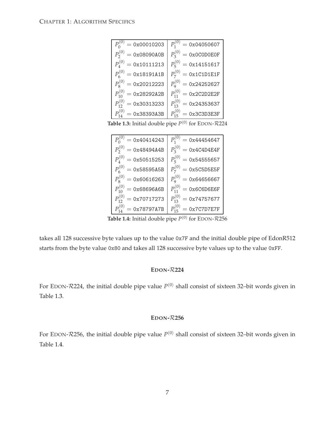<span id="page-14-0"></span>

| $P_0^{(0)} = 0 \times 00010203$        | $P_1^{(0)} = 0 \times 04050607$            |
|----------------------------------------|--------------------------------------------|
| $P_{2}^{\left( 0\right) }=$ 0x08090A0B | $P_{\mathrm{3}}^{(0)}=\texttt{0x0C0DOE0F}$ |
| $P_4^{(0)} = 0 \times 10111213$        | $P_5^{(0)} = 0 \times 14151617$            |
| $P_6^{(0)} = 0x18191A1B$               | $P_7^{(0)} = 0x1C1D1E1F$                   |
| $P_8^{(0)} = 0x20212223$               | $P^{(0)}_{\rm q}=$ 0x24252627              |
| $P_{10}^{(0)} = 0x28292A2B$            | $P_{\text{11}}^{(0)}=\texttt{0x2C2D2E2F}$  |
| $P_{12}^{(0)} = 0x30313233$            | $P_{13}^{(0)} = 0x24353637$                |
| $P_{14}^{(0)} = 0x38393A3B$            | $P_{15}^{(0)} = 0x3C3D3E3F$                |

<span id="page-14-1"></span>**Table 1.3:** Initial double pipe  $P^{(0)}$  for EDON- $\mathcal{R}224$ 

| $P_0^{(0)} = 0 \times 40414243$ | $P_1^{(0)} = 0 \times 44454647$           |
|---------------------------------|-------------------------------------------|
| $P_2^{(0)}=\mbox{0x48494A4B}$   | $P_3^{(0)}=\mbox{0x4C4D4E4F}$             |
| $P_4^{(0)} = 0 \times 50515253$ | $P_5^{(0)}=\mbox{0x54555657}$             |
| $P_6^{(0)} = 0x58595A5B$        | $P_7^{(0)}=\mbox{0x5C5D5E5F}$             |
| $P_8^{(0)} = 0 \times 60616263$ | $P_\mathrm{o}^{(0)} =$ 0x64656667         |
| $P_{\rm 10}^{(0)}=$ 0x68696A6B  | $P_{\text{11}}^{(0)}=\texttt{0x6C6D6E6F}$ |
| $P_{12}^{(0)} = 0x70717273$     | $P_{13}^{(0)} = 0x74757677$               |
| $P_{14}^{(0)} = 0x78797A7B$     | $P_{15}^{(0)} = 0x7C7D7E7F$               |

**Table 1.4:** Initial double pipe  $P^{(0)}$  for EDON- $\mathcal{R}256$ 

takes all 128 successive byte values up to the value 0x7F and the initial double pipe of EdonR512 starts from the byte value 0x80 and takes all 128 successive byte values up to the value 0xFF.

## **EDON-**R**224**

For EDON- $R$ 224, the initial double pipe value  $P^{(0)}$  shall consist of sixteen 32–bit words given in Table [1.3.](#page-14-0)

#### **EDON-**R**256**

For EDON- $R$ 256, the initial double pipe value  $P^{(0)}$  shall consist of sixteen 32–bit words given in Table [1.4.](#page-14-1)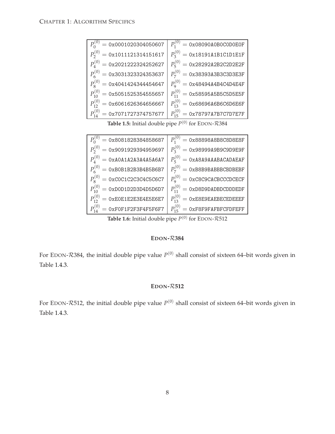<span id="page-15-0"></span>

| $P_0^{(0)} = 0x0001020304050607$    | $P_1^{(0)} = 0x08090A0B0C0D0E0F$    |
|-------------------------------------|-------------------------------------|
| $P_2^{(0)} = 0x1011121314151617$    | $P_3^{(0)} = 0x18191A1B1C1D1E1F$    |
| $P_A^{(0)} = 0x2021222324252627$    | $P_5^{(0)} = 0x28292A2B2C2D2E2F$    |
| $P_6^{(0)} = 0x3031323324353637$    | $P_7^{(0)} = 0x38393A3B3C3D3E3F$    |
| $P_8^{(0)} = 0x4041424344454647$    | $P_9^{(0)} = 0x48494A4B4C4D4E4F$    |
| $P_{10}^{(0)} = 0x5051525354555657$ | $P_{11}^{(0)} = 0x58595A5B5C5D5E5F$ |
| $P_{12}^{(0)} = 0x6061626364656667$ | $P_{13}^{(0)} = 0x68696A6B6C6D6E6F$ |
| $P_{14}^{(0)} = 0x7071727374757677$ | $P_{15}^{(0)} = 0x78797A7B7C7D7E7F$ |
|                                     |                                     |

**Table 1.5:** Initial double pipe  $P^{(0)}$  for EDON- $\mathcal{R}384$ 

| $P_0^{(0)} = 0x8081828384858687$        | $P_1^{(0)} = 0x88898A8B8C8D8E8F$        |
|-----------------------------------------|-----------------------------------------|
| $P_2^{(0)} = 0x9091929394959697$        | $P_3^{(0)} = 0x98999A9B9C9D9E9F$        |
| $P_A^{(0)} = 0 \times$ AOA1A2A3A4A5A6A7 | $P_5^{(0)} = 0$ xA8A9AAABACADAEAF       |
| $P_6^{(0)} = 0 \times B0B1B2B3B4B5B6B7$ | $P_7^{(0)} = 0$ xB8B9BABBBCBDBEBF       |
| $P_8^{(0)} = 0x0001020304050607$        | $P_9^{(0)} = 0 \times C8C9CACBCCCDCECF$ |
| $P_{10}^{(0)} = 0$ xDOD1D2D3D4D5D6D7    | $P_{11}^{(0)} = 0$ xD8D9DADBDCDDDEDF    |
| $P_{12}^{(0)} = 0$ xE0E1E2E3E4E5E6E7    | $P_{13}^{(0)} = 0$ xE8E9EAEBECEDEEEF    |
| $P_{14}^{(0)} = 0xF0F1F2F3F4F5F6F7$     | $P_{15}^{(0)} = 0$ xF8F9FAFBFCFDFEFF    |

**Table 1.6:** Initial double pipe  $P^{(0)}$  for EDON- $\mathcal{R}512$ 

## **EDON-**R**384**

<span id="page-15-1"></span>For EDON- $R$ 384, the initial double pipe value  $P^{(0)}$  shall consist of sixteen 64–bit words given in Table [1.4.3.](#page-15-1)

## **EDON-**R**512**

<span id="page-15-2"></span>For EDON- $R$ 512, the initial double pipe value  $P^{(0)}$  shall consist of sixteen 64–bit words given in Table [1.4.3.](#page-15-2)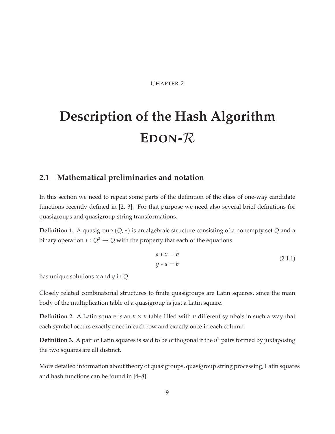## CHAPTER 2

# <span id="page-16-0"></span>**Description of the Hash Algorithm EDON-**R

## <span id="page-16-1"></span>**2.1 Mathematical preliminaries and notation**

In this section we need to repeat some parts of the definition of the class of one-way candidate functions recently defined in [\[2](#page-76-2), [3](#page-76-3)]. For that purpose we need also several brief definitions for quasigroups and quasigroup string transformations.

**Definition 1.** A quasigroup (*Q*, ∗) is an algebraic structure consisting of a nonempty set *Q* and a binary operation  $* : Q^2 \to Q$  with the property that each of the equations

$$
a * x = b
$$
  
\n
$$
y * a = b
$$
\n(2.1.1)

has unique solutions *x* and *y* in *Q*.

Closely related combinatorial structures to finite quasigroups are Latin squares, since the main body of the multiplication table of a quasigroup is just a Latin square.

**Definition 2.** A Latin square is an  $n \times n$  table filled with *n* different symbols in such a way that each symbol occurs exactly once in each row and exactly once in each column.

**Definition 3.** A pair of Latin squares is said to be orthogonal if the *n* <sup>2</sup> pairs formed by juxtaposing the two squares are all distinct.

More detailed information about theory of quasigroups, quasigroup string processing, Latin squares and hash functions can be found in [\[4](#page-76-4)[–8](#page-76-5)].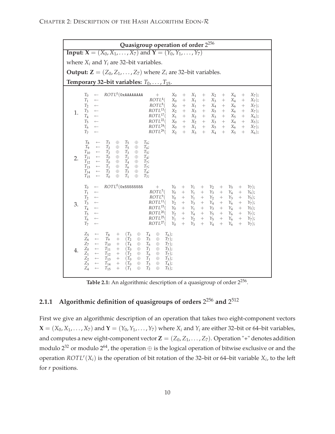| Quasigroup operation of order $2^{256}$                                                |                                                                                                  |                                                                                                                                                              |                                                                                                 |                                                                                              |                                                                                      |                                                                                              |                                                                                      |                                                                                                                                              |                                                                                            |                                                                               |                                                                                    |                                                                      |                                                                                   |                                                                      |                                                                                          |                                                                      |                                                                                 |                                                                                            |
|----------------------------------------------------------------------------------------|--------------------------------------------------------------------------------------------------|--------------------------------------------------------------------------------------------------------------------------------------------------------------|-------------------------------------------------------------------------------------------------|----------------------------------------------------------------------------------------------|--------------------------------------------------------------------------------------|----------------------------------------------------------------------------------------------|--------------------------------------------------------------------------------------|----------------------------------------------------------------------------------------------------------------------------------------------|--------------------------------------------------------------------------------------------|-------------------------------------------------------------------------------|------------------------------------------------------------------------------------|----------------------------------------------------------------------|-----------------------------------------------------------------------------------|----------------------------------------------------------------------|------------------------------------------------------------------------------------------|----------------------------------------------------------------------|---------------------------------------------------------------------------------|--------------------------------------------------------------------------------------------|
|                                                                                        | <b>Input:</b> $X = (X_0, X_1, , X_7)$ and $Y = (Y_0, Y_1, , Y_7)$                                |                                                                                                                                                              |                                                                                                 |                                                                                              |                                                                                      |                                                                                              |                                                                                      |                                                                                                                                              |                                                                                            |                                                                               |                                                                                    |                                                                      |                                                                                   |                                                                      |                                                                                          |                                                                      |                                                                                 |                                                                                            |
| where $X_i$ and $Y_i$ are 32-bit variables.                                            |                                                                                                  |                                                                                                                                                              |                                                                                                 |                                                                                              |                                                                                      |                                                                                              |                                                                                      |                                                                                                                                              |                                                                                            |                                                                               |                                                                                    |                                                                      |                                                                                   |                                                                      |                                                                                          |                                                                      |                                                                                 |                                                                                            |
| <b>Output:</b> $\mathbf{Z} = (Z_0, Z_1, \dots, Z_7)$ where $Z_i$ are 32-bit variables. |                                                                                                  |                                                                                                                                                              |                                                                                                 |                                                                                              |                                                                                      |                                                                                              |                                                                                      |                                                                                                                                              |                                                                                            |                                                                               |                                                                                    |                                                                      |                                                                                   |                                                                      |                                                                                          |                                                                      |                                                                                 |                                                                                            |
| Temporary 32-bit variables: $T_0$ , , $T_{15}$ .                                       |                                                                                                  |                                                                                                                                                              |                                                                                                 |                                                                                              |                                                                                      |                                                                                              |                                                                                      |                                                                                                                                              |                                                                                            |                                                                               |                                                                                    |                                                                      |                                                                                   |                                                                      |                                                                                          |                                                                      |                                                                                 |                                                                                            |
| 1.                                                                                     | $T_0$<br>$T_1$<br>T <sub>2</sub><br>$\mathcal{T}_3$<br>$T_4$<br>$T_5$<br>$T_6$<br>T <sub>7</sub> | $\longleftarrow$<br>$\leftarrow$<br>$\longleftarrow$<br>$\leftarrow$<br>$\leftarrow$<br>$\leftarrow$<br>$\longleftarrow$<br>$\leftarrow$                     |                                                                                                 |                                                                                              | ROTL <sup>0</sup> (OxAAAAAAAA                                                        |                                                                                              |                                                                                      | $\boldsymbol{+}$<br>$ROTL4$ (<br>ROTL <sup>8</sup><br>$ROTL^{13}$ (<br>$ROTL^{17}$<br>$ROTL^{22}$ (<br>$ROTL^{24}$ (<br>$ROTL^{29}$ (        |                                                                                            | $X_0$<br>$X_0$<br>$X_0$<br>$X_2$<br>$X_1$<br>$X_0$<br>$X_0$<br>X <sub>2</sub> | $+$<br>$+$<br>$+$<br>$\! +$<br>$\qquad \qquad +$<br>$\! +$<br>$+$<br>$+$           | $X_1$<br>$X_1$<br>$X_1$<br>$X_3$<br>$X_2$<br>$X_2$<br>$X_1$<br>$X_3$ | $+$<br>$\boldsymbol{+}$<br>$\boldsymbol{+}$<br>$+$<br>$+$<br>$\! +$<br>$+$<br>$+$ | $X_2$<br>$X_3$<br>$X_4$<br>$X_5$<br>$X_3$<br>$X_3$<br>$X_5$<br>$X_4$ | $^{+}$<br>$^{+}$<br>$+$<br>$+$<br>$\qquad \qquad +$<br>$\! +$<br>$\boldsymbol{+}$<br>$+$ | $X_4$<br>$X_4$<br>$X_6$<br>$X_6$<br>$X_5$<br>$X_4$<br>$X_6$<br>$X_5$ | $^+$<br>$^{+}$<br>$^{+}$<br>$^{+}$<br>$^{+}$<br>$\qquad \qquad +$<br>$+$<br>$+$ | $X_7$ );<br>$X_7$ );<br>$X_7$ );<br>$X_7$ );<br>$X_6$ ;<br>$X_5$ );<br>$X_7$ );<br>$X_6$ ; |
| 2.                                                                                     | $T_8$<br>$T_{\rm Q}$<br>$T_{10}$<br>$T_{11}$<br>$T_{12}$<br>$T_{13}$<br>$T_{14}$<br>$T_{15}$     | $\longleftarrow$<br>$\leftarrow$<br>$\longleftarrow$<br>$\leftarrow$<br>$\leftarrow$<br>$\longleftarrow$<br>$\leftarrow$<br>$\longleftarrow$                 | $T_3$<br>$T_2$<br>$\mathcal{T}_2$<br>$T_0$<br>$T_0$<br>$\mathcal{T}_1$<br>$T_2$<br>$T_0$        | $\oplus$<br>$\oplus$<br>$\oplus$<br>$\oplus$<br>$\oplus$<br>$\oplus$<br>$\oplus$<br>$\oplus$ | $T_5$<br>$T_5$<br>$T_3$<br>$T_1$<br>$\mathcal{T}_4$<br>$T_6$<br>$T_3$<br>$T_{1}$     | $\oplus$<br>$\oplus$<br>$\oplus$<br>$\oplus$<br>$\oplus$<br>$\oplus$<br>$\oplus$<br>$\oplus$ | $T_6$ ;<br>$T_6;$<br>$T_{5}$ ;<br>$T_4$ ;<br>$T_7$ ;<br>$T_7$ ;<br>$T_4$ ;<br>$T_7;$ |                                                                                                                                              |                                                                                            |                                                                               |                                                                                    |                                                                      |                                                                                   |                                                                      |                                                                                          |                                                                      |                                                                                 |                                                                                            |
| 3.                                                                                     | $T_0$<br>$T_1$<br>$T_2$<br>$T_3$<br>T <sub>4</sub><br>$T_5$<br>$T_6$<br>T <sub>7</sub>           | $\longleftarrow$<br>$\leftarrow$<br>$\leftarrow$<br>$\longleftarrow$<br>$\leftarrow$<br>$\leftarrow$<br>$\leftarrow$<br>$\leftarrow$                         |                                                                                                 |                                                                                              | $ROTL^{0}$ (0x555555555                                                              |                                                                                              |                                                                                      | $\hspace{1.0cm} + \hspace{1.0cm}$<br>$ROTL5$ (<br>$ROTL9$ (<br>$ROTL^{11}$ (<br>$ROTL^{15}$<br>$ROTL^{20}$<br>$ROTL^{25}$ (<br>$ROTL^{27}$ ( |                                                                                            | $Y_0$<br>$Y_0$<br>$Y_0$<br>$Y_2$<br>$Y_0$<br>$Y_2$<br>$Y_1$<br>$Y_0$          | $^{+}$<br>$\boldsymbol{+}$<br>$\qquad \qquad +$<br>$+$<br>$+$<br>$+$<br>$+$<br>$+$ | $Y_1$<br>$Y_1$<br>$Y_1$<br>$Y_3$<br>$Y_1$<br>$Y_4$<br>$Y_2$<br>$Y_3$ | $^{+}$<br>$\ddot{}$<br>$+$<br>$\pm$<br>$+$<br>$\ddot{}$<br>$+$                    | $Y_2$<br>$Y_3$<br>$Y_2$<br>$Y_4$<br>$Y_3$<br>$Y_5$<br>$Y_5$<br>$Y_4$ | $^+$<br>$^{+}$<br>$\ddot{}$<br>$+$<br>$\pm$<br>$+$<br>$\ddot{}$<br>$+$                   | Y5<br>$Y_4$<br>$Y_3$<br>$Y_6$<br>$Y_4$<br>$Y_6$<br>$Y_6$<br>Y6       | $^{+}$<br>$+$<br>$^{+}$<br>$\! +$<br>$+$<br>$+$<br>$+$                          | $Y_7$ ;<br>$Y_6$ ;<br>$Y_5$ ;<br>$Y_7$ :<br>$Y_5$ ;<br>$Y_7$ ;<br>$Y_7$ ;<br>$Y_7$ :       |
| $\overline{4}$ .                                                                       | $Z_5$<br>$Z_6$<br>Z <sub>7</sub><br>$Z_0$<br>$Z_1$<br>Z <sub>2</sub><br>$Z_3$<br>$Z_4$           | $\longleftarrow$<br>$\longleftarrow$<br>$\longleftarrow$<br>$\longleftarrow$<br>$\longleftarrow$<br>$\longleftarrow$<br>$\longleftarrow$<br>$\longleftarrow$ | $T_8$<br>$T_{9}$<br>$T_{10}$<br>${\cal T}_{11}$<br>$T_{12}$<br>$T_{13}$<br>$T_{14}$<br>$T_{15}$ | $^{+}$<br>$+$<br>$\ddag$<br>$+$<br>$+$                                                       | $(T_3)$<br>$(T_2)$<br>$(T_4)$<br>$(T_0)$<br>$(T_2)$<br>$(T_0)$<br>$(T_0)$<br>$(T_1)$ | $\oplus$<br>$\oplus$<br>$\oplus$<br>$\oplus$<br>$\oplus$<br>$\oplus$<br>$\oplus$<br>$\oplus$ | $T_4$<br>$T_5$<br>$T_6$<br>$\mathcal{T}_1$<br>$T_6$<br>$T_1$<br>$T_3$<br>$T_2$       | $\oplus$<br>$\oplus$<br>$\oplus$<br>$\oplus$<br>$\oplus$<br>$\oplus$<br>$\oplus$<br>$\oplus$                                                 | $T_6$ ;<br>$T_7$ );<br>$T_7$ );<br>$T_5$ );<br>$T_7$ );<br>$T_3$ ;<br>$T_4$ );<br>$T_5$ ); |                                                                               |                                                                                    |                                                                      |                                                                                   |                                                                      |                                                                                          |                                                                      |                                                                                 |                                                                                            |

Table 2.1: An algorithmic description of a quasigroup of order 2<sup>256</sup>.

## <span id="page-17-0"></span>2.1.1 Algorithmic definition of quasigroups of orders 2<sup>256</sup> and 2<sup>512</sup>

First we give an algorithmic description of an operation that takes two eight-component vectors  $\mathbf{X} = (X_0, X_1, \dots, X_7)$  and  $\mathbf{Y} = (Y_0, Y_1, \dots, Y_7)$  where  $X_i$  and  $Y_i$  are either 32–bit or 64–bit variables, and computes a new eight-component vector  $\mathbf{Z} = (Z_0, Z_1, \ldots, Z_7)$ . Operation "+" denotes addition modulo  $2^{32}$  or modulo  $2^{64}$ , the operation  $\oplus$  is the logical operation of bitwise exclusive or and the operation *ROTL<sup>r</sup>* (*Xi*) is the operation of bit rotation of the 32–bit or 64–bit variable *X<sup>i</sup>* , to the left for *r* positions.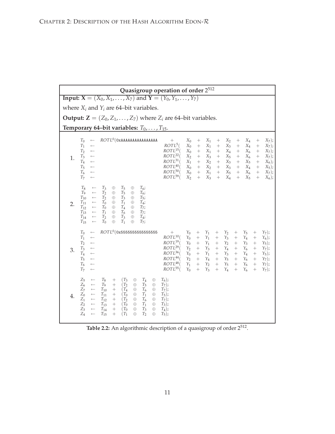|                                                                                        | Quasigroup operation of order 2512                                                              |                                                                                                                                                              |                                                                                              |                                                                                              |                                                                                      |                                                                                                 |                                                                                      |                                                                                                 |                                                                                                                         |                                                                      |                                                                                         |                                                                                |                                                                                          |                                                                                               |                                                                          |                                                                      |                                                                             |                                                                                           |
|----------------------------------------------------------------------------------------|-------------------------------------------------------------------------------------------------|--------------------------------------------------------------------------------------------------------------------------------------------------------------|----------------------------------------------------------------------------------------------|----------------------------------------------------------------------------------------------|--------------------------------------------------------------------------------------|-------------------------------------------------------------------------------------------------|--------------------------------------------------------------------------------------|-------------------------------------------------------------------------------------------------|-------------------------------------------------------------------------------------------------------------------------|----------------------------------------------------------------------|-----------------------------------------------------------------------------------------|--------------------------------------------------------------------------------|------------------------------------------------------------------------------------------|-----------------------------------------------------------------------------------------------|--------------------------------------------------------------------------|----------------------------------------------------------------------|-----------------------------------------------------------------------------|-------------------------------------------------------------------------------------------|
|                                                                                        | <b>Input:</b> $X = (X_0, X_1, , X_7)$ and $Y = (Y_0, Y_1, , Y_7)$                               |                                                                                                                                                              |                                                                                              |                                                                                              |                                                                                      |                                                                                                 |                                                                                      |                                                                                                 |                                                                                                                         |                                                                      |                                                                                         |                                                                                |                                                                                          |                                                                                               |                                                                          |                                                                      |                                                                             |                                                                                           |
|                                                                                        | where $X_i$ and $Y_i$ are 64-bit variables.                                                     |                                                                                                                                                              |                                                                                              |                                                                                              |                                                                                      |                                                                                                 |                                                                                      |                                                                                                 |                                                                                                                         |                                                                      |                                                                                         |                                                                                |                                                                                          |                                                                                               |                                                                          |                                                                      |                                                                             |                                                                                           |
| <b>Output:</b> $\mathbf{Z} = (Z_0, Z_1, \dots, Z_7)$ where $Z_i$ are 64-bit variables. |                                                                                                 |                                                                                                                                                              |                                                                                              |                                                                                              |                                                                                      |                                                                                                 |                                                                                      |                                                                                                 |                                                                                                                         |                                                                      |                                                                                         |                                                                                |                                                                                          |                                                                                               |                                                                          |                                                                      |                                                                             |                                                                                           |
| Temporary 64–bit variables: $T_0, \ldots, T_{15}$ .                                    |                                                                                                 |                                                                                                                                                              |                                                                                              |                                                                                              |                                                                                      |                                                                                                 |                                                                                      |                                                                                                 |                                                                                                                         |                                                                      |                                                                                         |                                                                                |                                                                                          |                                                                                               |                                                                          |                                                                      |                                                                             |                                                                                           |
| 1.                                                                                     | $T_0$<br>$T_1$<br>$T_2$<br>$T_3$<br>$T_4$<br>$T_5$<br>$T_6$<br>T <sub>7</sub>                   | $\longleftarrow$<br>$\longleftarrow$<br>$\longleftarrow$<br>$\longleftarrow$<br>$\longleftarrow$<br>$\leftarrow$<br>$\longleftarrow$<br>$\leftarrow$         |                                                                                              |                                                                                              | $ROTL^{0} (OxAAAAAAAAAAAAAAA$                                                        |                                                                                                 |                                                                                      |                                                                                                 | $+$<br>$ROTL5$ (<br>$ROTL^{15}$<br>$ROTL^{22}$ (<br>$ROTL^{31}$ (<br>$ROTL^{40}$<br>$ROTL^{50}$<br>$ROTL^{59}$ (        | $X_0$<br>$X_0$<br>$X_0$<br>$X_2$<br>$X_1$<br>$X_0$<br>$X_0$<br>$X_2$ | $^{+}$<br>$^{+}$<br>$^{+}$<br>$\ddot{}$<br>$+$<br>$^{+}$<br>$\qquad \qquad +$<br>$^{+}$ | $X_1$<br>$X_1$<br>$X_1$<br>$X_3$<br>$X_2$<br>$X_2$<br>$X_1$<br>$X_3$           | $^{+}$<br>$+$<br>$^{+}$<br>$\ddot{}$<br>$+$<br>$+$<br>$^{+}$<br>$+$                      | $X_2$<br>$X_3$<br>$X_4$<br>$X_5$<br>$X_3$<br>$X_3$<br>$X_5$<br>$X_4$                          | $^{+}$<br>$+$<br>$^{+}$<br>$+$<br>$\qquad \qquad +$<br>$^{+}$<br>$+$     | $X_4$<br>$X_4$<br>$X_6$<br>$X_6$<br>$X_5$<br>$X_4$<br>$X_6$<br>$X_5$ | $+$<br>$\! + \!$<br>$\! + \!$<br>$+$<br>$\hspace{1.0cm} +$<br>$\! +$<br>$+$ | $X_7$ );<br>$X_7$ ;<br>$X_7$ );<br>$X_7$ ;<br>$X_6$ ;<br>$X_5$ );<br>$X_7$ );<br>$X_6$ ); |
| 2.                                                                                     | $T_8$<br>T <sub>9</sub><br>$T_{10}$<br>$T_{11}$<br>$T_{12}$<br>$T_{13}$<br>$T_{14}$<br>$T_{15}$ | $\longleftarrow$<br>$\longleftarrow$<br>$\longleftarrow$<br>$\longleftarrow$<br>$\longleftarrow$<br>$\longleftarrow$<br>$\longleftarrow$<br>$\longleftarrow$ | $T_3$<br>$T_2$<br>T <sub>2</sub><br>$T_0$<br>$T_0$<br>$T_1$<br>T <sub>2</sub><br>$T_0$       | $\oplus$<br>$\oplus$<br>$\oplus$<br>$\oplus$<br>$\oplus$<br>$\oplus$<br>$\oplus$<br>$\oplus$ | $T_5$<br>$T_5$<br>$T_3$<br>${\cal T}_1$<br>$T_4$<br>$T_{\rm 6}$<br>$T_3$<br>$T_1$    | $\oplus$<br>$\oplus$<br>$\oplus$<br>$\oplus$<br>$\oplus$<br>$\oplus$<br>$\oplus$<br>$\oplus$    | $T_6$ ;<br>$T_6$ ;<br>$T_{5}$ ;<br>$T_4$ ;<br>$T_7$ ;<br>$T_7;$<br>$T_4$ ;<br>$T_7;$ |                                                                                                 |                                                                                                                         |                                                                      |                                                                                         |                                                                                |                                                                                          |                                                                                               |                                                                          |                                                                      |                                                                             |                                                                                           |
| 3.                                                                                     | $T_0$<br>$T_1$<br>T <sub>2</sub><br>$T_3$<br>$T_4$<br>$T_5$<br>$T_6$<br>T <sub>7</sub>          | $\longleftarrow$<br>$\longleftarrow$<br>$\longleftarrow$<br>$\longleftarrow$<br>$\leftarrow$<br>$\leftarrow$<br>$\longleftarrow$<br>$\leftarrow$             |                                                                                              |                                                                                              |                                                                                      |                                                                                                 |                                                                                      |                                                                                                 | $^{+}$<br>$ROTL^{10}$ (<br>$ROTL^{19}$ (<br>$ROTL^{29}$ (<br>$ROTL^{36}$<br>$ROTL^{44}$<br>$ROTL^{48}$ (<br>$ROTL^{55}$ | $Y_0$<br>$Y_0$<br>$Y_0$<br>$Y_2$<br>$Y_0$<br>$Y_2$<br>$Y_1$<br>$Y_0$ | $^{+}$<br>$\ddot{}$<br>$+$<br>$\ddag$<br>$\! + \!$<br>$\ddot{}$<br>$\! +$<br>$+$        | $Y_1$<br>$Y_1$<br>$Y_1$<br>$Y_3$<br>$Y_1$<br>$Y_4$<br>$\mathcal{Y}_2$<br>$Y_3$ | $^{+}$<br>$^{+}$<br>$+$<br>$\qquad \qquad +$<br>$\boldsymbol{+}$<br>$\! +$<br>$+$<br>$+$ | $Y_2$<br>$Y_3$<br>$Y_2$<br>$\mathcal{Y}_4$<br>$Y_3$<br>$\gamma_5$<br>$\mathcal{Y}_5$<br>$Y_4$ | $^{+}$<br>$^{+}$<br>$+$<br>$\qquad \qquad +$<br>$+$<br>$+$<br>$+$<br>$+$ | $Y_5$<br>$Y_4$<br>$Y_3$<br>$Y_6$<br>$Y_4$<br>$Y_6$<br>$Y_6$<br>$Y_6$ | $^{+}$<br>$+$<br>$+$<br>$+$<br>$\qquad \qquad +$<br>$^{+}$<br>$^{+}$        | $Y_7$ :<br>$Y_6$ ;<br>$Y_5$ );<br>$Y_7$ );<br>$Y_5$ );<br>$Y_7);$<br>$Y_7);$<br>$Y_7$ ;   |
| 4.                                                                                     | $\mathbb{Z}_5$<br>$Z_6$<br>$Z_7$<br>$Z_0$<br>$Z_1$<br>$Z_{2}$<br>$Z_3$<br>$Z_4$                 | $\leftarrow$<br>$\leftarrow$<br>$\leftarrow$<br>$\leftarrow$<br>$\leftarrow$<br>$\leftarrow$<br>$\leftarrow$                                                 | $T_8$<br>$T_{9}$<br>$T_{10}$<br>$T_{11}$<br>$T_{12}$<br>$T_{\rm 13}$<br>$T_{14}$<br>$T_{15}$ | $\pm$<br>$^{+}$<br>$\boldsymbol{+}$<br>$\qquad \qquad +$<br>$\boldsymbol{+}$<br>$+$<br>$+$   | $(T_3)$<br>$(T_2)$<br>$(T_4)$<br>$(T_0)$<br>$(T_2)$<br>$(T_0)$<br>$(T_0)$<br>$(T_1)$ | $_{\oplus}$<br>$\oplus$<br>$\oplus$<br>$\oplus$<br>$\oplus$<br>$\oplus$<br>$\oplus$<br>$\oplus$ | $T_4$<br>$T_5$<br>$T_6$<br>$T_1$<br>$T_6$<br>$T_1$<br>$T_3$<br>T <sub>2</sub>        | $_{\oplus}$<br>$\oplus$<br>$\oplus$<br>$\oplus$<br>$\oplus$<br>$\oplus$<br>$\oplus$<br>$\oplus$ | $T_6$ ;<br>$T_7$ ;<br>$T_7$ );<br>$T_5$ );<br>$T_7$ );<br>$T_3$ ;<br>$T_4$ );<br>$T_5$ );                               |                                                                      |                                                                                         |                                                                                |                                                                                          |                                                                                               |                                                                          |                                                                      |                                                                             |                                                                                           |

Table 2.2: An algorithmic description of a quasigroup of order 2<sup>512</sup>.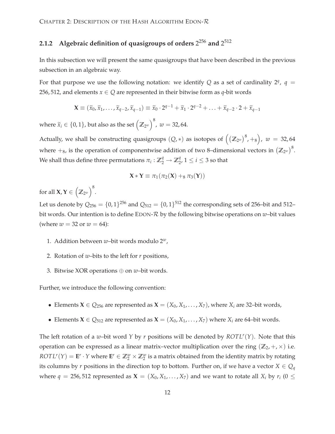## <span id="page-19-0"></span>**2.1.2 Algebraic definition of quasigroups of orders** 2 <sup>256</sup> **and** 2 512

In this subsection we will present the same quasigroups that have been described in the previous subsection in an algebraic way.

For that purpose we use the following notation: we identify  $Q$  as a set of cardinality  $2^q$ ,  $q =$ 256, 512, and elements  $x \in Q$  are represented in their bitwise form as *q*-bit words

$$
\mathbf{X} \equiv (\widetilde{x}_0, \widetilde{x}_1, \dots, \widetilde{x}_{q-2}, \widetilde{x}_{q-1}) \equiv \widetilde{x}_0 \cdot 2^{q-1} + \widetilde{x}_1 \cdot 2^{q-2} + \dots + \widetilde{x}_{q-2} \cdot 2 + \widetilde{x}_{q-1}
$$

where  $\widetilde{x}_i \in \{0, 1\}$ , but also as the set  $\left(\mathbb{Z}_{2^w}\right)^8$ ,  $w = 32, 64$ .

Actually, we shall be constructing quasigroups  $(Q, *)$  as isotopes of  $\left(\left(\mathbb{Z}_{2^w}\right)^8, +_8\right)$ ,  $w~=~$  32,64 where  $+_8$ , is the operation of componentwise addition of two 8–dimensional vectors in  $(\mathbb{Z}_{2^w})^8$ . We shall thus define three permutations  $\pi_i: \mathbb{Z}_2^q \to \mathbb{Z}_2^q$  $j_2^q, 1 \leq i \leq 3$  so that

$$
X*Y\equiv \pi_1(\pi_2(X)+_8\pi_3(Y))
$$

for all  $\textbf{X}, \textbf{Y} \in \big( \mathbb{Z}_{2^w} \big)^8.$ 

Let us denote by  $Q_{256} = \{0, 1\}^{256}$  and  $Q_{512} = \{0, 1\}^{512}$  the corresponding sets of 256–bit and 512– bit words. Our intention is to define EDON- $R$  by the following bitwise operations on  $w$ -bit values (where  $w = 32$  or  $w = 64$ ):

- 1. Addition between *w*–bit words modulo 2*w*,
- 2. Rotation of *w*–bits to the left for *r* positions,
- 3. Bitwise XOR operations ⊕ on *w*–bit words.

Further, we introduce the following convention:

- Elements  $X \in Q_{256}$  are represented as  $X = (X_0, X_1, \ldots, X_7)$ , where  $X_i$  are 32-bit words,
- Elements  $X \in Q_{512}$  are represented as  $X = (X_0, X_1, \ldots, X_7)$  where  $X_i$  are 64-bit words.

The left rotation of a *w*–bit word *Y* by *r* positions will be denoted by *ROTL<sup>r</sup>* (*Y*). Note that this operation can be expressed as a linear matrix–vector multiplication over the ring  $(\mathbb{Z}_2, +, \times)$  i.e.  $ROTL^r(Y) = E^r \cdot Y$  where  $E^r \in \mathbb{Z}_2^w \times \mathbb{Z}_2^w$  is a matrix obtained from the identity matrix by rotating its columns by *r* positions in the direction top to bottom. Further on, if we have a vector  $X \in Q_q$ where  $q = 256, 512$  represented as  $\mathbf{X} = (X_0, X_1, \ldots, X_7)$  and we want to rotate all  $X_i$  by  $r_i$  ( $0 \leq$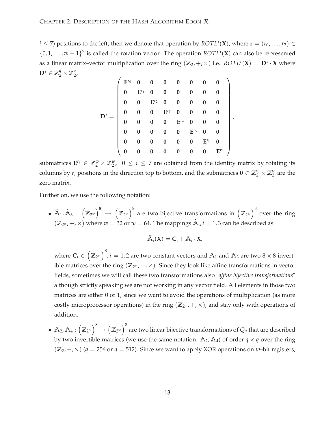$i \leq 7$ ) positions to the left, then we denote that operation by  $ROTL^{r}(X)$ , where  $\mathbf{r} = (r_0, \ldots, r_7) \in \mathbb{C}$  $\{0, 1, \ldots, w-1\}^7$  is called the rotation vector. The operation *ROTL*<sup> $r$ </sup>(**X**) can also be represented as a linear matrix–vector multiplication over the ring  $(\mathbb{Z}_2, +, \times)$  i.e.  $ROTL^{r}(X) = D^{r} \cdot X$  where  $\mathbf{D}^{\mathbf{r}} \in \mathbb{Z}_2^q \times \mathbb{Z}_2^q$ ч<br>2,

|  | $\mathbf{E}^{r_0}$ | $\mathbf{0}$       | $\bf{0}$  | $\boldsymbol{0}$   | $\bf{0}$                                                       |           |           |                    |   |
|--|--------------------|--------------------|-----------|--------------------|----------------------------------------------------------------|-----------|-----------|--------------------|---|
|  | 0                  | $\mathbf{E}^{r_1}$ |           | $\bf{0}$           | $\bf{0}$                                                       | 0         |           |                    |   |
|  | $\bf{0}$           |                    | $E^{r_2}$ | $\bf{0}$           | $\bf{0}$                                                       | 0         |           |                    |   |
|  | $\bf{0}$           |                    |           | $\mathbf{E}^{r_3}$ | $\begin{aligned} \mathbf{0} \\ \mathbf{E}^{r_4} \end{aligned}$ | 0         |           |                    |   |
|  |                    |                    | $\bf{0}$  | $\bf{0}$           |                                                                | 0         |           |                    | í |
|  | 0                  |                    |           | $\bf{0}$           | $\bf{0}$                                                       | $E^{r_5}$ | $\bf{0}$  |                    |   |
|  | 0                  |                    |           | 0                  | $\bf{0}$                                                       | 0         | $E^{r_6}$ |                    |   |
|  |                    |                    |           | 0                  | 0                                                              | 0         | 0         | $\mathbf{E}^{r_7}$ |   |

submatrices  $\mathbf{E}^{r_i} \in \mathbb{Z}_2^w \times \mathbb{Z}_2^w$ ,  $0 \leq i \leq 7$  are obtained from the identity matrix by rotating its columns by  $r_i$  positions in the direction top to bottom, and the submatrices  $\mathbf{0} \in \mathbb{Z}_2^w \times \mathbb{Z}_2^w$  are the zero matrix.

Further on, we use the following notation:

 $\bullet$   $\widehat{{\mathbb A}}_1$ ,  $\widehat{{\mathbb A}}_3$   $\colon$   $\left(\mathbb{Z}_{2^w}\right)^8$   $\to$   $\left(\mathbb{Z}_{2^w}\right)^8$  are two bijective transformations in  $\left(\mathbb{Z}_{2^w}\right)^8$  over the ring  $(\mathbb{Z}_{2^w}, +, \times)$  where  $w = 32$  or  $w = 64$ . The mappings  $\hat{A}_i$ ,  $i = 1, 3$  can be described as:

$$
\widehat{\mathbb{A}}_i(\mathbf{X}) = \mathbf{C}_i + \mathbb{A}_i \cdot \mathbf{X},
$$

where  $\textbf{C}_i \in \left( \mathbb{Z}_{2^w} \right)^8$ ,  $i=1,2$  are two constant vectors and  $\textbf{A}_1$  and  $\textbf{A}_3$  are two  $8 \times 8$  invertible matrices over the ring  $(\mathbb{Z}_{2^w}, +, \times)$ . Since they look like affine transformations in vector fields, sometimes we will call these two transformations also "*affine bijective transformations*" although strictly speaking we are not working in any vector field. All elements in those two matrices are either 0 or 1, since we want to avoid the operations of multiplication (as more costly microprocessor operations) in the ring  $(\mathbb{Z}_{2^w}, +, \times)$ , and stay only with operations of addition.

 $\bullet$   $\mathbb{A}_2$ ,  $\mathbb{A}_4$  :  $\left(\mathbb{Z}_{2^w}\right)^8 \to \left(\mathbb{Z}_{2^w}\right)^8$  are two linear bijective transformations of  $Q_q$  that are described by two invertible matrices (we use the same notation:  $A_2$ ,  $A_4$ ) of order  $q \times q$  over the ring  $(\mathbb{Z}_2, +, \times)$  ( $q = 256$  or  $q = 512$ ). Since we want to apply XOR operations on *w*-bit registers,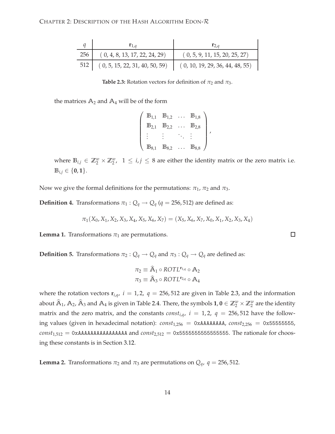<span id="page-21-0"></span>

|     | ${\bf r}_{1,a}$                | $\mathbf{r}_{2,a}$              |
|-----|--------------------------------|---------------------------------|
| 256 | (0, 4, 8, 13, 17, 22, 24, 29)  | (0, 5, 9, 11, 15, 20, 25, 27)   |
| 512 | (0, 5, 15, 22, 31, 40, 50, 59) | (0, 10, 19, 29, 36, 44, 48, 55) |

**Table 2.3:** Rotation vectors for definition of  $\pi_2$  and  $\pi_3$ .

the matrices  $A_2$  and  $A_4$  will be of the form

$$
\left(\begin{array}{cccc}\nB_{1,1} & B_{1,2} & \dots & B_{1,8} \\
B_{2,1} & B_{2,2} & \dots & B_{2,8} \\
\vdots & \vdots & \ddots & \vdots \\
B_{8,1} & B_{8,2} & \dots & B_{8,8}\n\end{array}\right),
$$

where  $\mathbb{B}_{i,j} \in \mathbb{Z}_2^w \times \mathbb{Z}_2^w$ ,  $1 \leq i, j \leq 8$  are either the identity matrix or the zero matrix i.e.  $\mathbb{B}_{i,j} \in \{0,1\}.$ 

Now we give the formal definitions for the permutations:  $\pi_1$ ,  $\pi_2$  and  $\pi_3$ .

**Definition 4.** Transformations  $\pi_1$  :  $Q_q \rightarrow Q_q$  ( $q = 256, 512$ ) are defined as:

$$
\pi_1(X_0, X_1, X_2, X_3, X_4, X_5, X_6, X_7) = (X_5, X_6, X_7, X_0, X_1, X_2, X_3, X_4)
$$

**Lemma 1.** Transformations  $\pi_1$  are permutations.

**Definition 5.** Transformations  $\pi_2$  :  $Q_q \rightarrow Q_q$  and  $\pi_3$  :  $Q_q \rightarrow Q_q$  are defined as:

$$
\pi_2 \equiv \widehat{A}_1 \circ ROTL^{\mathbf{r}_{1,q}} \circ A_2
$$

$$
\pi_3 \equiv \widehat{A}_3 \circ ROTL^{\mathbf{r}_{2,q}} \circ A_4
$$

where the rotation vectors  $\mathbf{r}_{i,q}$ ,  $i = 1, 2, q = 256, 512$  are given in Table [2.3,](#page-21-0) and the information about  $\widehat{A}_1$ ,  $A_2$ ,  $\widehat{A}_3$  and  $A_4$  is given in Table [2.4.](#page-22-0) There, the symbols  $1,0\in\mathbb{Z}_2^w\times\mathbb{Z}_2^w$  are the identity matrix and the zero matrix, and the constants  $const_{i,q}$ ,  $i = 1,2$ ,  $q = 256,512$  have the following values (given in hexadecimal notation):  $const_{1,256}$  = 0xAAAAAAAA,  $const_{2,256}$  = 0x555555555, *const*1,512 = 0xAAAAAAAAAAAAAAAA and *const*2,512 = 0x5555555555555555. The rationale for choosing these constants is in Section [3.12.](#page-58-0)

**Lemma 2.** Transformations  $\pi_2$  and  $\pi_3$  are permutations on  $Q_q$ ,  $q = 256, 512$ .

 $\Box$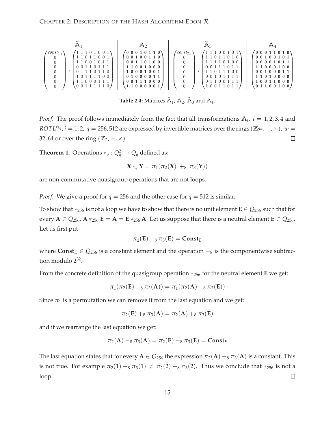<span id="page-22-0"></span>

|                 | Άэ                                  | $A_3$                | $A_{4}$                    |
|-----------------|-------------------------------------|----------------------|----------------------------|
| $const_{1,q}$   | $^\prime$ 0 0 0 1 0 1 1 0 $^\prime$ | $\sqrt{const_{2,q}}$ | $'0\;0\;0\;1\;1\;0\;1\;0"$ |
| 11011001        | 00100110                            | 11011010             | 00100101                   |
| 11001011        | 00110100                            | 1110100              | 00001011                   |
| 0 0 1 1 0 1 1 1 | 11001000                            | 0 0 1 1 1 0 1 1      | 11000100                   |
| 0 1 1 1 0 1 1 0 | 10001001                            | 1011100              | 00100011                   |
| 10111100        | 01000011                            | 00101111             | 11010000                   |
| 11000111        | 00111000                            | 0 1 1 0 0 1 1 1      | 10011000                   |
| 00111110        | 11000001                            | 10011011             | 01100100                   |

**Table 2.4:** Matrices  $\widehat{A}_1$ ,  $A_2$ ,  $\widehat{A}_3$  and  $A_4$ .

*Proof.* The proof follows immediately from the fact that all transformations  $A_i$ ,  $i = 1, 2, 3, 4$  and *ROTL*<sup>**r**<sub>*iA*</sub></sup>,  $i = 1, 2, q = 256, 512$  are expressed by invertible matrices over the rings ( $\mathbb{Z}_{2^w}$ , +,  $\times$ ),  $w =$ 32, 64 or over the ring  $(\mathbb{Z}_2, +, \times)$ .  $\Box$ 

**Theorem 1.** Operations  $*_q: Q_q^2 \to Q_q$  defined as:

$$
X *_{q} Y = \pi_{1}(\pi_{2}(X) +_{8} \pi_{3}(Y))
$$

are non-commutative quasigroup operations that are not loops.

*Proof.* We give a proof for  $q = 256$  and the other case for  $q = 512$  is similar.

To show that ∗<sup>256</sup> is not a loop we have to show that there is no unit element **E** ∈ *Q*<sup>256</sup> such that for every  $A \in Q_{256}$ ,  $A *_{256} E = A = E *_{256} A$ . Let us suppose that there is a neutral element  $E \in Q_{256}$ . Let us first put

$$
\pi_2(E)-_8\pi_3(E)=\text{Const}_E
$$

where **Const***<sup>E</sup>* ∈ *Q*<sup>256</sup> is a constant element and the operation −<sup>8</sup> is the componentwise subtraction modulo  $2^{32}$ .

From the concrete definition of the quasigroup operation ∗<sup>256</sup> for the neutral element **E** we get:

$$
\pi_1(\pi_2(\mathbf{E}) +_8 \pi_3(\mathbf{A})) = \pi_1(\pi_2(\mathbf{A}) +_8 \pi_3(\mathbf{E}))
$$

Since  $\pi_1$  is a permutation we can remove it from the last equation and we get:

$$
\pi_2(\mathbf{E}) +_8 \pi_3(\mathbf{A}) = \pi_2(\mathbf{A}) +_8 \pi_3(\mathbf{E})
$$

and if we rearrange the last equation we get:

$$
\pi_2(\mathbf{A}) -_8 \pi_3(\mathbf{A}) = \pi_2(\mathbf{E}) -_8 \pi_3(\mathbf{E}) = \mathbf{Const}_E
$$

The last equation states that for every  $A \in Q_{256}$  the expression  $\pi_2(A) -_8 \pi_3(A)$  is a constant. This is not true. For example  $\pi_2(1) -_8 \pi_3(1) \neq \pi_2(2) -_8 \pi_3(2)$ . Thus we conclude that \*<sub>256</sub> is not a loop.  $\Box$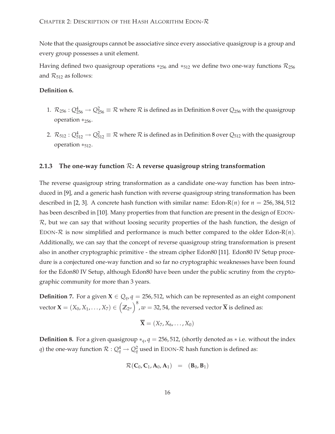Note that the quasigroups cannot be associative since every associative quasigroup is a group and every group possesses a unit element.

Having defined two quasigroup operations  $*_{256}$  and  $*_{512}$  we define two one-way functions  $\mathcal{R}_{256}$ and  $\mathcal{R}_{512}$  as follows:

## **Definition 6.**

- 1.  $\mathcal{R}_{256}$  :  $\mathrm{Q}^4_{256}\to\mathrm{Q}^2_{256}\equiv \mathcal{R}$  where  $\mathcal R$  is defined as in Definition [8](#page-23-1) over  $\mathrm{Q}_{256}$  with the quasigroup operation ∗256.
- 2.  $\mathcal{R}_{512}:\mathcal{Q}_{512}^4\to\mathcal{Q}_{512}^2\equiv \mathcal{R}$  where  $\mathcal R$  is defined as in Definition [8](#page-23-1) over  $\mathcal{Q}_{512}$  with the quasigroup operation ∗512.

## <span id="page-23-0"></span>**2.1.3 The one-way function** R**: A reverse quasigroup string transformation**

The reverse quasigroup string transformation as a candidate one-way function has been introduced in [\[9](#page-76-6)], and a generic hash function with reverse quasigroup string transformation has been described in [\[2,](#page-76-2) [3](#page-76-3)]. A concrete hash function with similar name: Edon-R $(n)$  for  $n = 256,384,512$ has been described in [\[10](#page-76-7)]. Many properties from that function are present in the design of EDON- $\mathcal{R}$ , but we can say that without loosing security properties of the hash function, the design of EDON- $\mathcal R$  is now simplified and performance is much better compared to the older Edon- $R(n)$ . Additionally, we can say that the concept of reverse quasigroup string transformation is present also in another cryptographic primitive - the stream cipher Edon80 [\[11](#page-76-8)]. Edon80 IV Setup procedure is a conjectured one-way function and so far no cryptographic weaknesses have been found for the Edon80 IV Setup, although Edon80 have been under the public scrutiny from the cryptographic community for more than 3 years.

**Definition 7.** For a given  $X \in Q_q$ ,  $q = 256, 512$ , which can be represented as an eight component  $\mathbf{v}$ ector  $\mathbf{X}=(X_0,X_1,\ldots,X_7)\in\left(\mathbb{Z}_{2^w}\right)^8$ ,  $w=$  32, 54, the reversed vector  $\overline{\mathbf{X}}$  is defined as:

$$
\overline{\mathbf{X}}=(X_7,X_6,\ldots,X_0)
$$

<span id="page-23-1"></span>**Definition 8.** For a given quasigroup  $*_q$ ,  $q = 256$ , 512, (shortly denoted as  $*$  i.e. without the index *q*) the one-way function  $\mathcal{R}:\mathcal{Q}_q^4\to\mathcal{Q}_q^2$  used in EDON- $\mathcal R$  hash function is defined as:

$$
\mathcal{R}(\mathbf{C}_0, \mathbf{C}_1, \mathbf{A}_0, \mathbf{A}_1) = (\mathbf{B}_0, \mathbf{B}_1)
$$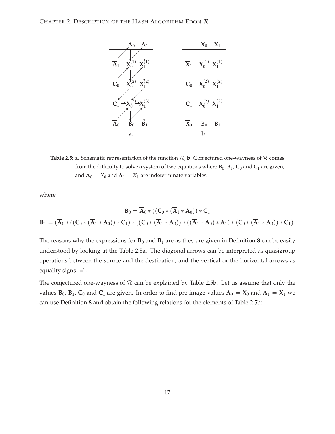<span id="page-24-0"></span>

**Table 2.5: a.** Schematic representation of the function  $\mathcal{R}$ , **b.** Conjectured one-wayness of  $\mathcal{R}$  comes from the difficulty to solve a system of two equations where  $\mathbf{B}_0$ ,  $\mathbf{B}_1$ ,  $\mathbf{C}_0$  and  $\mathbf{C}_1$  are given, and  $\mathbf{A}_0 = X_0$  and  $\mathbf{A}_1 = X_1$  are indeterminate variables.

where

$$
\mathbf{B}_0 = \overline{\mathbf{A}}_0*((\mathbf{C}_0 * (\overline{\mathbf{A}}_1 * \mathbf{A}_0))*\mathbf{C}_1\\\mathbf{B}_1 = (\overline{\mathbf{A}}_0 * ((\mathbf{C}_0 * (\overline{\mathbf{A}}_1 * \mathbf{A}_0))*\mathbf{C}_1)*((\mathbf{C}_0 * (\overline{\mathbf{A}}_1 * \mathbf{A}_0))*((\overline{\mathbf{A}}_1 * \mathbf{A}_0)*\mathbf{A}_1)*(\mathbf{C}_0 * (\overline{\mathbf{A}}_1 * \mathbf{A}_0))*\mathbf{C}_1).
$$

The reasons why the expressions for  $\mathbf{B}_0$  and  $\mathbf{B}_1$  are as they are given in Definition [8](#page-23-1) can be easily understood by looking at the Table [2.5a](#page-24-0). The diagonal arrows can be interpreted as quasigroup operations between the source and the destination, and the vertical or the horizontal arrows as equality signs "=".

The conjectured one-wayness of  $R$  can be explained by Table [2.5b](#page-24-0). Let us assume that only the values  $\mathbf{B}_0$ ,  $\mathbf{B}_1$ ,  $\mathbf{C}_0$  and  $\mathbf{C}_1$  are given. In order to find pre-image values  $\mathbf{A}_0 = \mathbf{X}_0$  and  $\mathbf{A}_1 = \mathbf{X}_1$  we can use Definition [8](#page-23-1) and obtain the following relations for the elements of Table [2.5b](#page-24-0):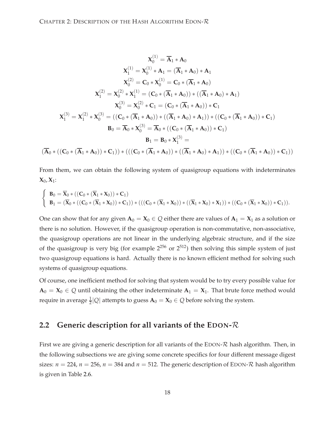$$
x_0^{(1)} = \overline{A}_1 * A_0
$$
  
\n
$$
x_1^{(1)} = x_0^{(1)} * A_1 = (\overline{A}_1 * A_0) * A_1
$$
  
\n
$$
x_0^{(2)} = C_0 * x_0^{(1)} = C_0 * (\overline{A}_1 * A_0)
$$
  
\n
$$
x_1^{(2)} = x_0^{(2)} * x_1^{(1)} = (C_0 * (\overline{A}_1 * A_0)) * ((\overline{A}_1 * A_0) * A_1)
$$
  
\n
$$
x_0^{(3)} = x_0^{(2)} * C_1 = (C_0 * (\overline{A}_1 * A_0)) * C_1
$$
  
\n
$$
x_1^{(3)} = x_1^{(2)} * x_0^{(3)} = ((C_0 * (\overline{A}_1 * A_0)) * ((\overline{A}_1 * A_0) * A_1)) * ((C_0 * (\overline{A}_1 * A_0)) * C_1)
$$
  
\n
$$
B_0 = \overline{A}_0 * x_0^{(3)} = \overline{A}_0 * ((C_0 * (\overline{A}_1 * A_0)) * C_1)
$$
  
\n
$$
B_1 = B_0 * x_1^{(3)} =
$$
  
\n
$$
(\overline{A}_0 * ((C_0 * (\overline{A}_1 * A_0)) * C_1)) * (((C_0 * (\overline{A}_1 * A_0)) * ((\overline{A}_1 * A_0) * A_1)) * ((C_0 * (\overline{A}_1 * A_0)) * C_1))
$$

From them, we can obtain the following system of quasigroup equations with indeterminates  $\mathbf{X}_0, \mathbf{X}_1$ :

$$
\left\{\begin{array}{l} \mathbf{B}_0=\overline{\mathbf{X}}_0*((\mathbf{C}_0*(\overline{\mathbf{X}}_1*\mathbf{X}_0))*\mathbf{C}_1) \\ \mathbf{B}_1=(\overline{\mathbf{X}}_0*((\mathbf{C}_0*(\overline{\mathbf{X}}_1*\mathbf{X}_0))*\mathbf{C}_1))*(((\mathbf{C}_0*(\overline{\mathbf{X}}_1*\mathbf{X}_0))*((\overline{\mathbf{X}}_1*\mathbf{X}_0)*\mathbf{X}_1))*((\mathbf{C}_0*(\overline{\mathbf{X}}_1*\mathbf{X}_0))*\mathbf{C}_1)). \end{array} \right.
$$

One can show that for any given  $A_0 = X_0 \in Q$  either there are values of  $A_1 = X_1$  as a solution or there is no solution. However, if the quasigroup operation is non-commutative, non-associative, the quasigroup operations are not linear in the underlying algebraic structure, and if the size of the quasigroup is very big (for example  $2^{256}$  or  $2^{512}$ ) then solving this simple system of just two quasigroup equations is hard. Actually there is no known efficient method for solving such systems of quasigroup equations.

Of course, one inefficient method for solving that system would be to try every possible value for  $$ require in average  $\frac{1}{2}|Q|$  attempts to guess  $A_0 = X_0 \in Q$  before solving the system.

## <span id="page-25-0"></span>**2.2 Generic description for all variants of the EDON-**R

First we are giving a generic description for all variants of the EDON- $R$  hash algorithm. Then, in the following subsections we are giving some concrete specifics for four different message digest sizes:  $n = 224$ ,  $n = 256$ ,  $n = 384$  and  $n = 512$ . The generic description of EDON-R hash algorithm is given in Table [2.6.](#page-26-2)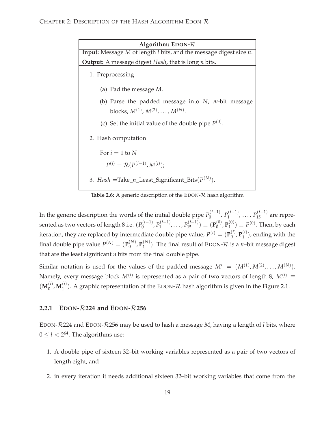<span id="page-26-2"></span>

| Algorithm: EDON- $\mathcal{R}$                                                                         |  |  |  |  |  |  |  |
|--------------------------------------------------------------------------------------------------------|--|--|--|--|--|--|--|
| <b>Input:</b> Message M of length <i>l</i> bits, and the message digest size $n$ .                     |  |  |  |  |  |  |  |
| <b>Output:</b> A message digest Hash, that is long <i>n</i> bits.                                      |  |  |  |  |  |  |  |
| 1. Preprocessing                                                                                       |  |  |  |  |  |  |  |
| (a) Pad the message $M$ .                                                                              |  |  |  |  |  |  |  |
| (b) Parse the padded message into N, $m$ -bit message<br>blocks, $M^{(1)}$ , $M^{(2)}$ , , $M^{(N)}$ . |  |  |  |  |  |  |  |
| (c) Set the initial value of the double pipe $P^{(0)}$ .                                               |  |  |  |  |  |  |  |
| 2. Hash computation                                                                                    |  |  |  |  |  |  |  |
| For $i = 1$ to N                                                                                       |  |  |  |  |  |  |  |
| $P^{(i)} = \mathcal{R}(P^{(i-1)}, M^{(i)})$ ;                                                          |  |  |  |  |  |  |  |
| 3. Hash = Take_n_Least_Significant_Bits( $P^{(N)}$ ).                                                  |  |  |  |  |  |  |  |

Table 2.6: A generic description of the EDON-R hash algorithm

In the generic description the words of the initial double pipe  $P_0^{(i-1)}$ <sup>(*i*−1)</sup>, *P*<sub>1</sub><sup>(*i*−1)</sup> <sup>(*i*−1)</sup>, ..., *P*<sup>(*i*−1)</sup> are represented as two vectors of length 8 i.e.  $(P_0^{(i-1)})$ <sup>(*i*−1)</sup>, *P*<sub>1</sub><sup>(*i*−1)</sup>  $P_{1}^{(i-1)}, \ldots, P_{15}^{(i-1)} \equiv (\mathbf{P}_{0}^{(0)})$  $\mathbf{P}_1^{(0)}$ ,  $\mathbf{P}_1^{(0)}$  $\binom{0}{1} \equiv P^{(0)}$ . Then, by each iteration, they are replaced by intermediate double pipe value,  $P^{(i)} = (\mathbf{P}_0^{(i)})$  $\mathbf{P}_1^{(i)}$ ,  $\mathbf{P}_1^{(i)}$  $\binom{1}{1}$ , ending with the final double pipe value  $P^{(N)} = (\mathbf{P}_0^{(N)})$  $\mathbf{P}_0^{(N)}$ ,  $\mathbf{P}_1^{(N)}$  $1^{(N)}$ ). The final result of EDON- $\mathcal R$  is a *n*-bit message digest that are the least significant *n* bits from the final double pipe.

Similar notation is used for the values of the padded message  $M' = (M^{(1)}, M^{(2)}, \ldots, M^{(N)}).$ Namely, every message block  $M^{(i)}$  is represented as a pair of two vectors of length 8,  $M^{(i)} \equiv$  $({\bf M}_0^{(i)}$  $_0^{\left( i \right)}$  ,  $\mathbf{M}_1^{\left( i \right)}$  $1^{(1)}$ ). A graphic representation of the EDON- $\mathcal R$  hash algorithm is given in the Figure [2.1.](#page-27-2)

### <span id="page-26-0"></span>**2.2.1 EDON-**R**224 and EDON-**R**256**

EDON-R224 and EDON-R256 may be used to hash a message *M*, having a length of *l* bits, where  $0 \leq l < 2^{64}$ . The algorithms use:

- <span id="page-26-1"></span>1. A double pipe of sixteen 32–bit working variables represented as a pair of two vectors of length eight, and
- 2. in every iteration it needs additional sixteen 32–bit working variables that come from the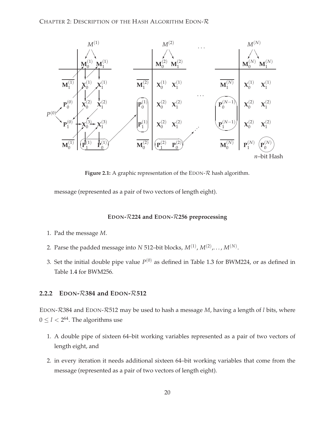<span id="page-27-2"></span>

Figure 2.1: A graphic representation of the EDON-R hash algorithm.

message (represented as a pair of two vectors of length eight).

### **EDON-**R**224 and EDON-**R**256 preprocessing**

- 1. Pad the message *M*.
- 2. Parse the padded message into *N* 512–bit blocks,  $M^{(1)}$ ,  $M^{(2)}$ ,...,  $M^{(N)}$ .
- 3. Set the initial double pipe value  $P^{(0)}$  as defined in Table [1.3](#page-14-0) for BWM224, or as defined in Table [1.4](#page-14-1) for BWM256.

### <span id="page-27-0"></span>**2.2.2 EDON-**R**384 and EDON-**R**512**

EDON-R384 and EDON-R512 may be used to hash a message *M*, having a length of *l* bits, where  $0 \leq l < 2^{64}$ . The algorithms use

- <span id="page-27-1"></span>1. A double pipe of sixteen 64–bit working variables represented as a pair of two vectors of length eight, and
- 2. in every iteration it needs additional sixteen 64–bit working variables that come from the message (represented as a pair of two vectors of length eight).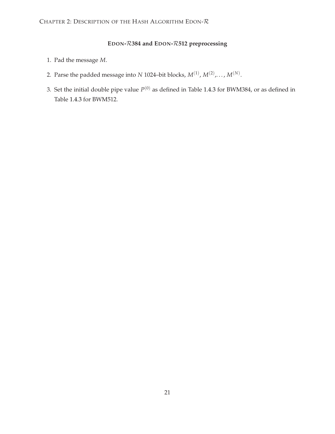## **EDON-**R**384 and EDON-**R**512 preprocessing**

- 1. Pad the message *M*.
- 2. Parse the padded message into *N* 1024–bit blocks,  $M^{(1)}$ ,  $M^{(2)}$ ,...,  $M^{(N)}$ .
- 3. Set the initial double pipe value  $P^{(0)}$  as defined in Table [1.4.3](#page-15-1) for BWM384, or as defined in Table [1.4.3](#page-15-2) for BWM512.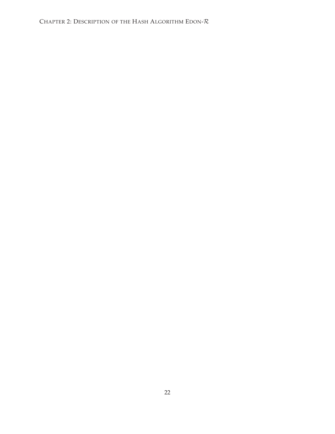CHAPTER 2: DESCRIPTION OF THE HASH ALGORITHM EDON- $\mathcal R$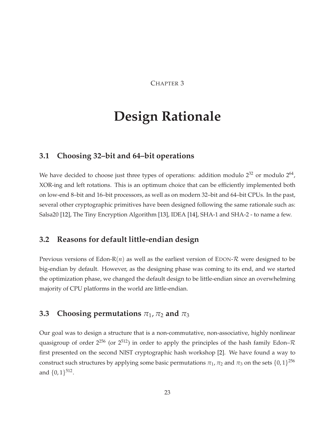CHAPTER 3

# <span id="page-30-0"></span>**Design Rationale**

# <span id="page-30-1"></span>**3.1 Choosing 32–bit and 64–bit operations**

We have decided to choose just three types of operations: addition modulo  $2^{32}$  or modulo  $2^{64}$ , XOR-ing and left rotations. This is an optimum choice that can be efficiently implemented both on low-end 8–bit and 16–bit processors, as well as on modern 32–bit and 64–bit CPUs. In the past, several other cryptographic primitives have been designed following the same rationale such as: Salsa20 [\[12](#page-76-9)], The Tiny Encryption Algorithm [\[13](#page-77-0)], IDEA [\[14](#page-77-1)], SHA-1 and SHA-2 - to name a few.

## <span id="page-30-2"></span>**3.2 Reasons for default little-endian design**

Previous versions of Edon-R $(n)$  as well as the earliest version of EDON-R were designed to be big-endian by default. However, as the designing phase was coming to its end, and we started the optimization phase, we changed the default design to be little-endian since an overwhelming majority of CPU platforms in the world are little-endian.

# <span id="page-30-3"></span>**3.3** Choosing permutations  $\pi_1$ ,  $\pi_2$  and  $\pi_3$

Our goal was to design a structure that is a non-commutative, non-associative, highly nonlinear quasigroup of order  $2^{256}$  (or  $2^{512}$ ) in order to apply the principles of the hash family Edon– $\mathcal R$ first presented on the second NIST cryptographic hash workshop [\[2](#page-76-2)]. We have found a way to construct such structures by applying some basic permutations  $\pi_1$ ,  $\pi_2$  and  $\pi_3$  on the sets  $\{0,1\}^{256}$ and  $\{0, 1\}^{512}$ .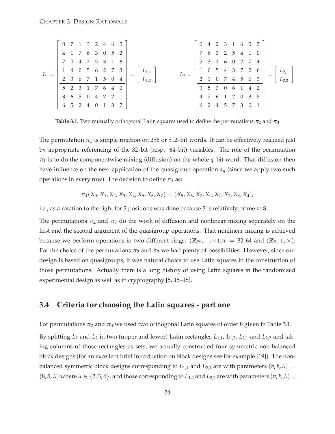<span id="page-31-1"></span>
$$
L_1 = \begin{bmatrix} 0 & 7 & 1 & 3 & 2 & 4 & 6 & 5 \\ 4 & 1 & 7 & 6 & 3 & 0 & 5 & 2 \\ 7 & 0 & 4 & 2 & 5 & 3 & 1 & 6 \\ 1 & 4 & 0 & 5 & 6 & 2 & 7 & 3 \\ 2 & 3 & 6 & 7 & 1 & 5 & 0 & 4 \\ 5 & 2 & 3 & 1 & 7 & 6 & 4 & 0 \\ 3 & 6 & 5 & 0 & 4 & 7 & 2 & 1 \\ 6 & 5 & 2 & 4 & 0 & 1 & 3 & 7 \end{bmatrix} = \begin{bmatrix} L_{1,1} \\ L_{1,2} \end{bmatrix} \qquad L_2 = \begin{bmatrix} 0 & 4 & 2 & 3 & 1 & 6 & 5 & 7 \\ 7 & 6 & 3 & 2 & 5 & 4 & 1 & 0 \\ 5 & 3 & 1 & 6 & 0 & 2 & 7 & 4 \\ 1 & 0 & 5 & 4 & 3 & 7 & 2 & 6 \\ 2 & 1 & 0 & 7 & 4 & 5 & 6 & 3 \\ 3 & 5 & 7 & 0 & 6 & 1 & 4 & 2 \\ 4 & 7 & 6 & 1 & 2 & 0 & 3 & 5 \\ 6 & 2 & 4 & 5 & 7 & 3 & 0 & 1 \end{bmatrix} = \begin{bmatrix} L_{2,1} \\ L_{2,2} \end{bmatrix}
$$

**Table 3.1:** Two mutually orthogonal Latin squares used to define the permutations  $\pi_2$  and  $\pi_3$ 

The permutation  $\pi_1$  is simple rotation on 256 or 512–bit words. It can be effectively realized just by appropriate referencing of the 32–bit (resp. 64–bit) variables. The role of the permutation  $\pi_1$  is to do the componentwise mixing (diffusion) on the whole *q*–bit word. That diffusion then have influence on the next application of the quasigroup operation ∗*<sup>q</sup>* (since we apply two such operations in every row). The decision to define  $\pi_1$  as:

$$
\pi_1(X_0, X_1, X_2, X_3, X_4, X_5, X_6, X_7) = (X_5, X_6, X_7, X_0, X_1, X_2, X_3, X_4),
$$

i.e., as a rotation to the right for 3 positions was done because 3 is relatively prime to 8.

The permutations  $\pi_2$  and  $\pi_3$  do the work of diffusion and nonlinear mixing separately on the first and the second argument of the quasigroup operations. That nonlinear mixing is achieved because we perform operations in two different rings:  $(\mathbb{Z}_{2^w}, +, \times), w = 32,64$  and  $(\mathbb{Z}_2, +, \times)$ . For the choice of the permutations  $\pi_2$  and  $\pi_3$  we had plenty of possibilities. However, since our design is based on quasigroups, it was natural choice to use Latin squares in the construction of those permutations. Actually there is a long history of using Latin squares in the randomized experimental design as well as in cryptography [\[5](#page-76-10), [15](#page-77-2)[–18](#page-77-3)].

## <span id="page-31-0"></span>**3.4 Criteria for choosing the Latin squares - part one**

For permutations  $\pi_2$  and  $\pi_3$  we used two orthogonal Latin squares of order 8 given in Table [3.1.](#page-31-1) By splitting *L*<sup>1</sup> and *L*<sup>2</sup> in two (upper and lower) Latin rectangles *L*1,1, *L*1,2, *L*2,1 and *L*2,2 and taking columns of those rectangles as sets, we actually constructed four symmetric non-balanced

balanced symmetric block designs corresponding to  $L_{1,1}$  and  $L_{2,1}$  are with parameters  $(v, k, \lambda)$  =  $(8, 5, \lambda)$  where  $\lambda \in \{2, 3, 4\}$ , and those corresponding to  $L_{1,2}$  and  $L_{2,2}$  are with parameters  $(v, k, \lambda)$  =

block designs (for an excellent brief introduction on block designs see for example [\[19](#page-77-4)]). The non-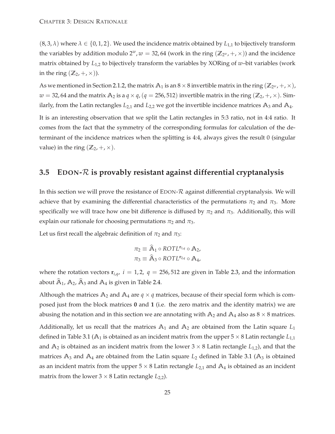$(8,3,\lambda)$  where  $\lambda \in \{0,1,2\}$ . We used the incidence matrix obtained by  $L_{1,1}$  to bijectively transform the variables by addition modulo  $2^w$ ,  $w = 32$ , 64 (work in the ring  $(\mathbb{Z}_{2^w}, +, \times)$ ) and the incidence matrix obtained by *L*1,2 to bijectively transform the variables by XORing of *w*–bit variables (work in the ring  $(\mathbb{Z}_2, +, \times)$ ).

As we mentioned in Section [2.1.2,](#page-19-0) the matrix  $\mathbb{A}_1$  is an  $8\times 8$  invertible matrix in the ring  $(\mathbb{Z}_{2^w}, +, \times)$ ,  $w = 32$ , 64 and the matrix  $A_2$  is a  $q \times q$ , ( $q = 256, 512$ ) invertible matrix in the ring ( $\mathbb{Z}_2$ , +,  $\times$ ). Similarly, from the Latin rectangles  $L_{2,1}$  and  $L_{2,2}$  we got the invertible incidence matrices  $A_3$  and  $A_4$ .

It is an interesting observation that we split the Latin rectangles in 5:3 ratio, not in 4:4 ratio. It comes from the fact that the symmetry of the corresponding formulas for calculation of the determinant of the incidence matrices when the splitting is 4:4, always gives the result 0 (singular value) in the ring  $(\mathbb{Z}_2, +, \times)$ .

# <span id="page-32-0"></span>**3.5 EDON-**R **is provably resistant against differential cryptanalysis**

In this section we will prove the resistance of EDON- $\mathcal R$  against differential cryptanalysis. We will achieve that by examining the differential characteristics of the permutations  $\pi_2$  and  $\pi_3$ . More specifically we will trace how one bit difference is diffused by  $\pi_2$  and  $\pi_3$ . Additionally, this will explain our rationale for choosing permutations  $\pi_2$  and  $\pi_3$ .

Let us first recall the algebraic definition of  $\pi_2$  and  $\pi_3$ :

$$
\pi_2 \equiv \widehat{A}_1 \circ ROTL^{r_{1,q}} \circ A_2,
$$
  

$$
\pi_3 \equiv \widehat{A}_3 \circ ROTL^{r_{2,q}} \circ A_4,
$$

where the rotation vectors  $\mathbf{r}_{i,q}$ ,  $i = 1, 2$ ,  $q = 256, 512$  are given in Table [2.3,](#page-21-0) and the information about  $\widehat{A}_1$ ,  $A_2$ ,  $\widehat{A}_3$  and  $A_4$  is given in Table [2.4.](#page-22-0)

Although the matrices  $A_2$  and  $A_4$  are  $q \times q$  matrices, because of their special form which is composed just from the block matrices **0** and **1** (i.e. the zero matrix and the identity matrix) we are abusing the notation and in this section we are annotating with  $A_2$  and  $A_4$  also as  $8 \times 8$  matrices.

Additionally, let us recall that the matrices  $A_1$  and  $A_2$  are obtained from the Latin square  $L_1$ defined in Table [3.1](#page-31-1) ( $A_1$  is obtained as an incident matrix from the upper  $5 \times 8$  Latin rectangle  $L_{1,1}$ and  $A_2$  is obtained as an incident matrix from the lower  $3 \times 8$  Latin rectangle  $L_{1,2}$ ), and that the matrices  $A_3$  and  $A_4$  are obtained from the Latin square  $L_2$  defined in Table [3.1](#page-31-1) ( $A_3$  is obtained as an incident matrix from the upper  $5 \times 8$  Latin rectangle  $L_{2,1}$  and  $\mathbb{A}_4$  is obtained as an incident matrix from the lower  $3 \times 8$  Latin rectangle  $L_{2,2}$ ).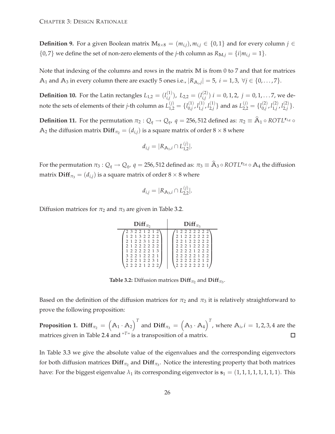**Definition 9.** For a given Boolean matrix  $M_{8\times8} = (m_{i,j})$ ,  $m_{i,j} \in \{0,1\}$  and for every column  $j \in$  $\{0,7\}$  we define the set of non-zero elements of the *j*-th column as  $R_{\text{M},j} = \{i | m_{i,j} = 1\}.$ 

Note that indexing of the columns and rows in the matrix **M** is from 0 to 7 and that for matrices  $\mathbb{A}_1$  and  $\mathbb{A}_3$  in every column there are exactly 5 ones i.e.,  $|R_{\mathbb{A}_{i,j}}| = 5$ ,  $i = 1,3$ ,  $\forall j \in \{0,\ldots,7\}$ .

**Definition 10.** For the Latin rectangles  $L_{1,2} = (l_{i,j}^{(1)})$  $\binom{1}{i,j}$ ,  $L_{2,2} = \binom{j^{(2)}}{i,j}$  $\binom{1}{i,j}$  *i* = 0, 1, 2, *j* = 0, 1, . . . 7, we denote the sets of elements of their *j*-th column as  $L_{1,2}^{(j)} = \{l_{0,j}^{(1)}\}$  $\binom{(1)}{0,j}$ ,  $l_{1,j}^{(1)}$  $\frac{(1)}{1,j}$ ,  $l_{2,j}^{(1)}$  $\{2, \atop 2, j\}$  and as  $L_{2,2}^{(j)} = \{l_{0,j}^{(2)}\}$  $\binom{(2)}{0,j}$ ,  $l_{1,j}^{(2)}$  $\binom{2}{1,j}$ ,  $l_{2,j}^{(2)}$  ${}_{2,j}^{(2)}$ .

**Definition 11.** For the permutation  $\pi_2$  :  $Q_q \to Q_q$ ,  $q = 256, 512$  defined as:  $\pi_2 \equiv \hat{A}_1 \circ ROTL^{r_{1,q}} \circ ROTL^{r_{2,q}}$  $\mathbb{A}_2$  the diffusion matrix  $\text{Diff}_{\pi_2} = (d_{i,j})$  is a square matrix of order  $8 \times 8$  where

$$
d_{i,j} = |R_{\mathbb{A}_{1},i} \cap L_{1,2}^{(j)}|.
$$

For the permutation  $\pi_3$ :  $Q_q \to Q_q$ ,  $q = 256, 512$  defined as:  $\pi_3 \equiv \hat{A}_3 \circ ROTL^{r_{2,q}} \circ A_4$  the diffusion matrix  $\text{Diff}_{\pi_3} = (d_{i,j})$  is a square matrix of order  $8 \times 8$  where

$$
d_{i,j} = |R_{\mathbb{A}_3,i} \cap L_{2,2}^{(j)}|.
$$

<span id="page-33-0"></span>Diffusion matrices for  $\pi_2$  and  $\pi_3$  are given in Table [3.2.](#page-33-0)

| $Diff_{\pi}$    | $Diff_{\pi_2}$  |
|-----------------|-----------------|
| 2 3 2 2 1 2 1 2 | 1 2 2 2 2 2 2 2 |
| 1 2 1 3 2 2 2 2 | 21222222        |
| 2 1 2 2 3 1 2 2 | 22122222        |
| 21222222        | 22212222        |
| 1 2 2 2 2 2 1 3 | 2 2 2 2 1 2 2 2 |
| 3 2 2 1 2 2 2 1 | 2 2 2 2 2 1 2 2 |
| 22212231        | 22222212        |
| 2 2 2 2 1 2 2 2 | 2 2 2 2 2 2 2 1 |

**Table 3.2:** Diffusion matrices  $\textbf{Diff}_{\pi_2}$  and  $\textbf{Diff}_{\pi_3}$ .

Based on the definition of the diffusion matrices for  $\pi_2$  and  $\pi_3$  it is relatively straightforward to prove the following proposition:

**Proposition 1. Diff** $_{\pi_2} = \left(A_1 \cdot A_2\right)^T$  and  $\textbf{Diff}_{\pi_3} = \left(A_3 \cdot A_4\right)^T$ , where  $A_i$ ,  $i=1,2,3,4$  are the matrices given in Table [2.4](#page-22-0) and "*<sup>T</sup>* " is a transposition of a matrix.  $\Box$ 

In Table [3.3](#page-34-0) we give the absolute value of the eigenvalues and the corresponding eigenvectors for both diffusion matrices  $\textbf{Diff}_{\pi_2}$  and  $\textbf{Diff}_{\pi_3}$ . Notice the interesting property that both matrices have: For the biggest eigenvalue  $\lambda_1$  its corresponding eigenvector is  $\mathbf{s}_1 = (1, 1, 1, 1, 1, 1, 1, 1)$ . This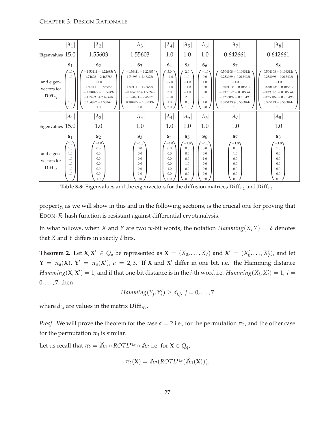<span id="page-34-0"></span>

| Eigenvalues 15.0                             | $ \lambda_1 $                                                       | $ \lambda_2 $<br>1.55603                                                                                                                                           | $ \lambda_3 $<br>1.55603                                                                                                                                           | $ \lambda_4 $<br>1.0                                             | $\lambda_5$<br>1.0                                            | $ \lambda_6 $<br>1.0                                           | $ \lambda_7 $<br>0.642661                                                                                                                                                    | $ \lambda_8 $<br>0.642661                                                                                                                                                    |
|----------------------------------------------|---------------------------------------------------------------------|--------------------------------------------------------------------------------------------------------------------------------------------------------------------|--------------------------------------------------------------------------------------------------------------------------------------------------------------------|------------------------------------------------------------------|---------------------------------------------------------------|----------------------------------------------------------------|------------------------------------------------------------------------------------------------------------------------------------------------------------------------------|------------------------------------------------------------------------------------------------------------------------------------------------------------------------------|
|                                              | S <sub>1</sub>                                                      | S <sub>2</sub>                                                                                                                                                     | $S_3$                                                                                                                                                              | $S_4$                                                            | S <sub>5</sub>                                                | S <sub>6</sub>                                                 | S <sub>7</sub>                                                                                                                                                               | $S_8$                                                                                                                                                                        |
| and eigen-<br>vectors for<br>$Diff_{\pi}$    | 1.0<br>1.0<br>1.0<br>1.0<br>1.0<br>1.0<br>1.0<br>1.0                | $-1.50411 - 1.22685i$<br>$1.74693 - 2.46378i$<br>$-1.0$<br>$1.50411 + 1.22685i$<br>$-0.104877 - 1.55249i$<br>$-1.74693 + 2.46378i$<br>$0.104877 + 1.55249i$<br>1.0 | $-1.50411 + 1.22685i$<br>$1.74693 + 2.46378i$<br>$-1.0$<br>$1.50411 - 1.22685i$<br>$-0.104877 + 1.55249i$<br>$-1.74693 - 2.46378i$<br>$0.104877 - 1.55249i$<br>1.0 | 5.0<br>$-1.0$<br>$-7.0$<br>$-1.0$<br>3.0<br>$-3.0$<br>1.0<br>3.0 | 2.0<br>1.0<br>$-4.0$<br>$-1.0$<br>$-1.0$<br>2.0<br>0.0<br>1.0 | $-1.0$<br>0.0<br>$1.0\,$<br>0.0<br>0.0<br>$-1.0$<br>1.0<br>0.0 | $0.504108 - 0.106312i$<br>$0.253069 + 0.213498i$<br>$-1.0$<br>$-0.504108 + 0.106312i$<br>$-0.395123 - 0.506844i$<br>$-0.253069 - 0.213498i$<br>$0.395123 + 0.506844i$<br>1.0 | $0.504108 + 0.106312i$<br>$0.253069 - 0.213498i$<br>$-1.0$<br>$-0.504108 - 0.106312i$<br>$-0.395123 + 0.506844i$<br>$-0.253069 + 0.213498i$<br>$0.395123 - 0.506844i$<br>1.0 |
| Eigenvalues 15.0                             | $ \lambda_1 $                                                       | $ \lambda_2 $<br>1.0                                                                                                                                               | $ \lambda_3 $<br>1.0                                                                                                                                               | $ \lambda_4 $<br>1.0                                             | $\lambda_5$<br>1.0                                            | $ \lambda_6 $<br>1.0                                           | $ \lambda_7 $<br>1.0                                                                                                                                                         | $ \lambda_8 $<br>1.0                                                                                                                                                         |
|                                              | S <sub>1</sub>                                                      | $s_2$                                                                                                                                                              | $S_3$                                                                                                                                                              | $S_4$                                                            | $S_5$                                                         | $S_6$                                                          | $S_7$                                                                                                                                                                        | $\mathbf{s}_8$                                                                                                                                                               |
| and eigen-<br>vectors for<br>Diff $_{\pi_3}$ | '1.0'<br>1.0<br>1.0<br>1.0<br>1.0<br>1.0<br>1.0<br>1.0 <sub>1</sub> | $-1.0$<br>0.0<br>0.0<br>0.0<br>0.0<br>0.0<br>0.0<br>$1.0\,$                                                                                                        | $-1.0$<br>0.0<br>0.0<br>0.0<br>0.0<br>0.0<br>1.0<br>0.0                                                                                                            | $-1.0$<br>0.0<br>0.0<br>0.0<br>0.0<br>1.0<br>0.0<br>0.0          | $-1.0$<br>0.0<br>0.0<br>0.0<br>1.0<br>0.0<br>0.0<br>0.0       | $-1.0$<br>0.0<br>0.0<br>1.0<br>0.0<br>0.0<br>0.0<br>0.0        | $-1.0$<br>0.0<br>1.0<br>0.0<br>0.0<br>0.0<br>0.0<br>0.0                                                                                                                      | $-1.0$<br>1.0<br>0.0<br>0.0<br>0.0<br>0.0<br>0.0<br>0.0                                                                                                                      |

**Table 3.3:** Eigenvalues and the eigenvectors for the diffusion matrices  $\text{Diff}_{\pi_2}$  and  $\text{Diff}_{\pi_3}$ .

property, as we will show in this and in the following sections, is the crucial one for proving that EDON-R hash function is resistant against differential cryptanalysis.

In what follows, when *X* and *Y* are two *w*-bit words, the notation  $Hamming(X, Y) = \delta$  denotes that *X* and *Y* differs in exactly *δ* bits.

**Theorem 2.** Let  $X, X' \in Q_q$  be represented as  $X = (X_0, \ldots, X_7)$  and  $X' = (X'_0, \ldots, X'_7)$ , and let  $Y = \pi_a(X)$ ,  $Y' = \pi_a(X')$ ,  $a = 2, 3$ . If X and X' differ in one bit, i.e. the Hamming distance  $Hamming(\mathbf{X}, \mathbf{X}') = 1$ , and if that one-bit distance is in the *i*-th word i.e.  $Hamming(X_i, X'_i) = 1$ , *i* =  $0, \ldots, 7$ , then

$$
Hamming(Y_j, Y'_j) \ge d_{i,j}, \ j = 0, \ldots, 7
$$

where  $d_{i,j}$  are values in the matrix  $\mathbf{Diff}_{\pi_a}.$ 

*Proof.* We will prove the theorem for the case  $a = 2$  i.e., for the permutation  $\pi_2$ , and the other case for the permutation  $\pi_3$  is similar.

Let us recall that  $\pi_2 = \widehat{A}_1 \circ ROTL^{r_{1,q}} \circ A_2$  i.e. for  $X \in Q_q$ ,

$$
\pi_2(\mathbf{X}) = \mathbb{A}_2(ROTL^{\mathbf{r}_{1,q}}(\widehat{\mathbb{A}}_1(\mathbf{X}))).
$$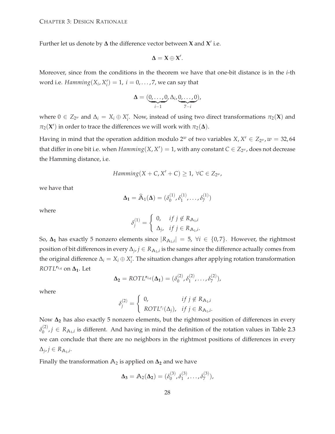Further let us denote by  $\Delta$  the difference vector between  $X$  and  $X'$  i.e.

$$
\Delta = X \oplus X'.
$$

Moreover, since from the conditions in the theorem we have that one-bit distance is in the *i*-th word i.e.  $Hamming(X_i, X_i') = 1$ ,  $i = 0, \ldots, 7$ , we can say that

$$
\Delta = (\underbrace{0,\ldots,0}_{i-1},\Delta_i,\underbrace{0,\ldots,0}_{7-i}),
$$

where  $0 \in Z_{2^w}$  and  $\Delta_i = X_i \oplus X'_i$ . Now, instead of using two direct transformations  $\pi_2(\mathbf{X})$  and  $\pi_2(\mathbf{X}')$  in order to trace the differences we will work with  $\pi_2(\mathbf{\Delta})$ .

Having in mind that the operation addition modulo 2<sup>*w*</sup> of two variables  $X$ ,  $X' \in Z_{2^w}$ ,  $w = 32$ , 64 that differ in one bit i.e. when  $Hamming(X, X') = 1$ , with any constant  $C \in Z_{2^w}$ , does not decrease the Hamming distance, i.e.

$$
Hamming(X + C, X' + C) \ge 1, \ \forall C \in Z_{2^w},
$$

we have that

$$
\Delta_1 = \widehat{A}_1(\Delta) = (\delta_0^{(1)}, \delta_1^{(1)}, \dots, \delta_7^{(1)})
$$

where

$$
\delta_j^{(1)} = \begin{cases} 0, & if j \notin R_{\mathbb{A}_1, i} \\ \Delta_j, & if j \in R_{\mathbb{A}_1, i}. \end{cases}
$$

So,  $\Delta_1$  has exactly 5 nonzero elements since  $|R_{A_1,i}| = 5$ ,  $\forall i \in \{0,7\}$ . However, the rightmost position of bit differences in every  $\Delta_j$ ,  $j \in R_{A_1,i}$  is the same since the difference actually comes from the original difference  $\Delta_i = X_i \oplus X'_i$ . The situation changes after applying rotation transformation  $ROTL^{r_{1,q}}$  on  $\Delta_1$ . Let

$$
\Delta_2 = \text{ROTL}^{r_{1,q}}(\Delta_1) = (\delta_0^{(2)}, \delta_1^{(2)}, \ldots, \delta_7^{(2)}),
$$

where

$$
\delta_j^{(2)} = \begin{cases} 0, & if j \notin R_{\mathbb{A}_1,i} \\ \text{ROTL}^{r_j}(\Delta_j), & if j \in R_{\mathbb{A}_1,i}. \end{cases}
$$

Now **∆<sup>2</sup>** has also exactly 5 nonzero elements, but the rightmost position of differences in every  $\delta_0^{(2)}$  $\binom{1}{0}$ ,  $j \in R_{A_1,i}$  is different. And having in mind the definition of the rotation values in Table [2.3](#page-21-0) we can conclude that there are no neighbors in the rightmost positions of differences in every  $\Delta_j$ ,  $j \in R_{\mathbb{A}_1,i}$ .

Finally the transformation  $A_2$  is applied on  $\Delta_2$  and we have

$$
\Delta_3 = A_2(\Delta_2) = (\delta_0^{(3)}, \delta_1^{(3)}, \dots, \delta_7^{(3)}),
$$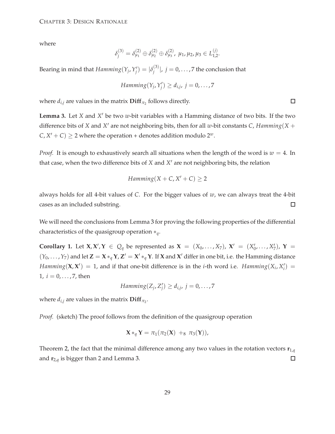where

$$
\delta_j^{(3)} = \delta_{\mu_1}^{(2)} \oplus \delta_{\mu_2}^{(2)} \oplus \delta_{\mu_3}^{(2)}, \ \mu_1, \mu_2, \mu_3 \in L_{1,2}^{(j)}.
$$

Bearing in mind that  $Hamming(Y_j, Y'_j) = |\delta_j^{(3)}|$  $\sum_{j}^{(3)} |$ ,  $j = 0, \ldots, 7$  the conclusion that

$$
Hamming(Y_j, Y'_j) \ge d_{i,j}, j = 0, \ldots, 7
$$

<span id="page-36-0"></span>where  $d_{i,j}$  are values in the matrix  $\textbf{Diff}_{\pi_2}$  follows directly.

**Lemma 3.** Let *X* and *X'* be two  $w$ -bit variables with a Hamming distance of two bits. If the two difference bits of *X* and *X'* are not neighboring bits, then for all *w*-bit constants *C*, *Hamming*(*X* +  $C$ ,  $X' + C$   $\geq$  2 where the operation + denotes addition modulo  $2^w$ .

*Proof.* It is enough to exhaustively search all situations when the length of the word is  $w = 4$ . In that case, when the two difference bits of *X* and *X'* are not neighboring bits, the relation

$$
Hamming(X + C, X' + C) \ge 2
$$

always holds for all 4-bit values of *C*. For the bigger values of *w*, we can always treat the 4-bit cases as an included substring.  $\Box$ 

<span id="page-36-1"></span>We will need the conclusions from Lemma [3](#page-36-0) for proving the following properties of the differential characteristics of the quasigroup operation ∗*q*.

**Corollary 1.** Let **X**, **X'**, **Y**  $\in$  *Q<sub>q</sub>* be represented as **X** = (*X*<sub>0</sub>, ..., *X*<sub>7</sub>), **X'** = (*X*<sub>0</sub>, ..., *X*<sub>7</sub>), **Y** =  $(Y_0, \ldots, Y_7)$  and let  $\mathbf{Z} = \mathbf{X} *_{q} \mathbf{Y}$ ,  $\mathbf{Z}' = \mathbf{X}' *_{q} \mathbf{Y}$ . If  $\mathbf{X}$  and  $\mathbf{X}'$  differ in one bit, i.e. the Hamming distance *Hamming*( $X$ ,  $X'$ ) = 1, and if that one-bit difference is in the *i*-th word i.e. *Hamming*( $X$ <sup>*i*</sup>,  $X$ <sup>*i*</sup>) = 1,  $i = 0, \ldots, 7$ , then

*Hamming*( $Z_j$ ,  $Z'_j$ )  $\geq d_{i,j}$ ,  $j = 0, \ldots, 7$ 

where  $d_{i,j}$  are values in the matrix  $\mathbf{Diff}_{\pi_2}.$ 

*Proof.* (sketch) The proof follows from the definition of the quasigroup operation

$$
\mathbf{X} *_{q} \mathbf{Y} = \pi_1(\pi_2(\mathbf{X}) +_8 \pi_3(\mathbf{Y})),
$$

<span id="page-36-2"></span>Theorem [2,](#page-34-0) the fact that the minimal difference among any two values in the rotation vectors  $\mathbf{r}_{1,q}$ and **r**2,*<sup>q</sup>* is bigger than 2 and Lemma [3.](#page-36-0)  $\Box$ 

 $\Box$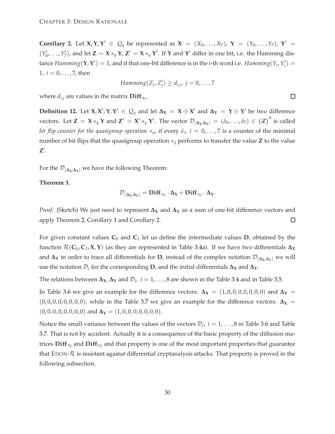**Corollary 2.** Let  $X, Y, Y' \in Q_q$  be represented as  $X = (X_0, \ldots, X_7), Y = (Y_0, \ldots, Y_7), Y' = (Y_0, \ldots, Y_7)$  $(Y'_0, \ldots, Y'_7)$ , and let  $\mathbf{Z} = \mathbf{X} *_{q} \mathbf{Y}$ ,  $\mathbf{Z}' = \mathbf{X} *_{q} \mathbf{Y}'$ . If **Y** and **Y**' differ in one bit, i.e. the Hamming distance  $Hamming(Y, Y') = 1$ , and if that one-bit difference is in the *i*-th word i.e.  $Hamming(Y_i, Y'_i) =$  $1, i = 0, \ldots, 7$ , then

$$
Hamming(Z_j, Z'_j) \geq d_{i,j}, \ j = 0, \ldots, 7
$$

where  $d_{i,j}$  are values in the matrix  $\mathbf{Diff}_{\pi_3}$ .

**Definition 12.** Let  $X, X', Y, Y' \in Q_q$  and let  $\Delta_X = X \oplus X'$  and  $\Delta_Y = Y \oplus Y'$  be two difference vectors. Let  $\mathbf{Z} = \mathbf{X} *_{q} \mathbf{Y}$  and  $\mathbf{Z}' = \mathbf{X}' *_{q} \mathbf{Y}'$ . The vector  $\mathcal{D}_{(\Delta_{\mathbf{X}}, \Delta_{\mathbf{Y}})} = (\delta_{0}, \ldots, \delta_{7}) \in \left(\mathbf{Z}\right)^{8}$  is called *bit flip counter for the quasigroup operation*  $*_q$ , if every  $\delta_i$ ,  $i = 0, \ldots, 7$  is a counter of the minimal number of bit flips that the quasigroup operation ∗*<sup>q</sup>* performs to transfer the value **Z** to the value  $Z'$ .

For the  $\mathcal{D}_{(\Delta_X,\Delta_Y)}$  we have the following Theorem:

#### **Theorem 3.**

$$
\mathcal{D}_{(\Delta_X,\Delta_Y)}=Diff_{\pi_2}\cdot\Delta_X+Diff_{\pi_3}\cdot\Delta_Y.
$$

*Proof.* (Sketch) We just need to represent  $\Delta_X$  and  $\Delta_Y$  as a sum of one-bit difference vectors and apply Theorem [2,](#page-34-0) Corollary [1](#page-36-1) and Corollary [2.](#page-36-2)  $\Box$ 

For given constant values  $C_0$  and  $C_1$  let us define the intermediate values  $D_i$  obtained by the function  $\mathcal{R}(\mathbf{C}_0, \mathbf{C}_1, \mathbf{X}, \mathbf{Y})$  (as they are represented in Table [3.4a](#page-38-0)). If we have two differentials  $\Delta_{\mathbf{X}}$ and  $\Delta_Y$  in order to trace all differentials for  $D_i$  instead of the complex notation  $\mathcal{D}_{(\Delta_X,\Delta_Y)}$  we will use the notation  $\mathcal{D}_i$  for the corresponding  $\mathbf{D}_i$  and the initial differentials  $\mathbf{\Delta}_\mathbf{X}$  and  $\mathbf{\Delta}_\mathbf{Y}$ .

The relations between  $\Delta_X$ ,  $\Delta_Y$  and  $\mathcal{D}_i$ ,  $i = 1, \ldots, 8$  are shown in the Table [3.4](#page-38-0) and in Table [3.5.](#page-38-1)

In Table [3.6](#page-39-0) we give an example for the difference vectors:  $\Delta_X = (1, 0, 0, 0, 0, 0, 0, 0)$  and  $\Delta_Y =$  $(0, 0, 0, 0, 0, 0, 0, 0)$ , while in the Table [3.7](#page-39-1) we give an example for the difference vectors:  $\Delta$ **X** =  $(0, 0, 0, 0, 0, 0, 0, 0)$  and  $\Delta$ **Y** =  $(1, 0, 0, 0, 0, 0, 0, 0)$ .

Notice the small variance between the values of the vectors  $\mathcal{D}_i$ ,  $i=1,\ldots,8$  in Table [3.6](#page-39-0) and Table [3.7.](#page-39-1) That is not by accident. Actually it is a consequence of the basic property of the diffusion matrices  $\textbf{Diff}_{\pi_2}$  and  $\textbf{Diff}_{\pi_3}$  and that property is one of the most important properties that guarantee that EDON- $\mathcal R$  is resistant against differential cryptanalysis attacks. That property is proved in the following subsection.

 $\Box$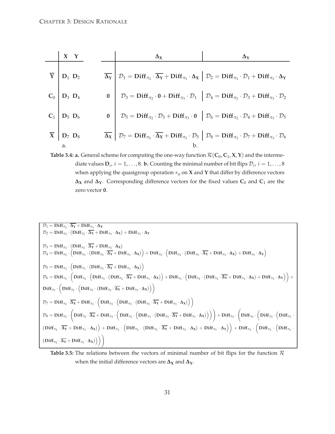<span id="page-38-0"></span>

| $X$ $Y$                                               |  | $\Delta_X$                                                                                                                                                                                                                                                 | $\Delta_{\rm Y}$ |
|-------------------------------------------------------|--|------------------------------------------------------------------------------------------------------------------------------------------------------------------------------------------------------------------------------------------------------------|------------------|
| $\overline{Y}$ $D_1$ $D_2$                            |  | $\overline{\Delta_Y}$ $\partial_1$ = Diff <sub><math>\pi_2</math></sub> · $\overline{\Delta_Y}$ + Diff $\pi_3$ · $\Delta_X$ $\partial_2$ = Diff $\pi_2$ · $\mathcal{D}_1$ + Diff $\pi_3$ · $\Delta_Y$                                                      |                  |
| $C_0$ $D_3$ $D_4$                                     |  | $0 \quad \boxed{\color{red} \mathcal{D}_3 = \textbf{Diff}_{\pi_2} \cdot 0 + \textbf{Diff}_{\pi_3} \cdot \mathcal{D}_1 \quad \boxed{\color{green} \mathcal{D}_4 = \textbf{Diff}_{\pi_2} \cdot \mathcal{D}_3 + \textbf{Diff}_{\pi_3} \cdot \mathcal{D}_2} }$ |                  |
| $C_1$ $D_5$ $D_6$                                     |  | 0 $D_5 = Diff_{\pi_2} \cdot \mathcal{D}_3 + Diff_{\pi_3} \cdot 0$ $\partial D_6 = Diff_{\pi_2} \cdot \mathcal{D}_4 + Diff_{\pi_3} \cdot \mathcal{D}_5$                                                                                                     |                  |
| $\overline{\mathbf{X}}$ $\mathbf{D}_7$ $\mathbf{D}_8$ |  | $\overline{\Delta_X}$ $\Big \mathcal{D}_7 = \text{Diff}_{\pi_2} \cdot \overline{\Delta_X} + \text{Diff}_{\pi_3} \cdot \mathcal{D}_5$ $\Big \mathcal{D}_8 = \text{Diff}_{\pi_2} \cdot \mathcal{D}_7 + \text{Diff}_{\pi_3} \cdot \mathcal{D}_6$              |                  |
| а.                                                    |  |                                                                                                                                                                                                                                                            |                  |

**Table 3.4: a.** General scheme for computing the one-way function  $\mathcal{R}(\mathsf{C}_0,\mathsf{C}_1,\mathsf{X},\mathsf{Y})$  and the intermediate values  $D_i$ ,  $i = 1, ..., 8$ . **b.** Counting the minimal number of bit flips  $D_i$ ,  $i = 1, ..., 8$ when applying the quasigroup operation ∗*<sup>q</sup>* on **X** and **Y** that differ by difference vectors  $\Delta$ **X** and  $\Delta$ **Y**. Corresponding difference vectors for the fixed values  $C_0$  and  $C_1$  are the zero vector **0**.

<span id="page-38-1"></span> $\mathcal{D}_1 = \textbf{Diff}_{\pi_2} \cdot \overline{\Delta_Y} + \textbf{Diff}_{\pi_3} \cdot \Delta_X$  $\mathcal{D}_2 = \textbf{Diff}_{\pi_2} \cdot \left( \textbf{Diff}_{\pi_2} \cdot \overline{\Delta_Y} + \textbf{Diff}_{\pi_3} \cdot \Delta_\mathbf{X} \right) + \textbf{Diff}_{\pi_3} \cdot \Delta_\mathbf{Y}$  $\mathcal{D}_3 = \textbf{Diff}_{\pi_3} \cdot (\textbf{Diff}_{\pi_2} \cdot \overline{\Delta_Y} + \textbf{Diff}_{\pi_3} \cdot \Delta_X)$  $\mathcal{D}_4 = \text{Diff}_{\pi_2} \cdot \left(\text{Diff}_{\pi_3} \cdot \left(\text{Diff}_{\pi_2} \cdot \overline{\Delta_Y} + \text{Diff}_{\pi_3} \cdot \Delta_X\right)\right) + \text{Diff}_{\pi_3} \cdot \left(\text{Diff}_{\pi_2} \cdot \left(\text{Diff}_{\pi_2} \cdot \overline{\Delta_Y} + \text{Diff}_{\pi_3} \cdot \Delta_X\right) + \text{Diff}_{\pi_3} \cdot \Delta_Y\right)$  $\mathcal{D}_5 = \textbf{Diff}_{\pi_2} \cdot \left( \textbf{Diff}_{\pi_3} \cdot \left( \textbf{Diff}_{\pi_2} \cdot \overline{\Delta_\textbf{Y}} + \textbf{Diff}_{\pi_3} \cdot \Delta_\textbf{X} \right) \right)$  $(Diff_{\pi} \cdot (Diff_{\pi}, \cdot \overline{\Delta_{Y}} + Diff_{\pi}, \cdot \Delta_{Y}))$  $\mathcal{D}_6 = \text{Diff}_{\pi_2} \cdot \left(\text{Diff}_{\pi_2} \cdot \left(\text{Diff}_{\pi_3} \cdot \left(\text{Diff}_{\pi_2} \cdot \overline{\Delta_\text{Y}} + \text{Diff}_{\pi_3} \cdot \Delta_\text{X}\right)\right) + \text{Diff}_{\pi_3} \cdot \left(\text{Diff}_{\pi_2} \cdot \left(\text{Diff}_{\pi_2} \cdot \overline{\Delta_\text{Y}} + \text{Diff}_{\pi_3} \cdot \Delta_\text{X}\right) + \text{Diff}_{\pi_3} \cdot \Delta_\text{Y}\right)\right) + \text{Diff}_{\pi_3} \cdot \text{Diff}_{\pi_4} \cdot \text$  $\mathbf{Diff}_{\pi_3} \cdot \left( \mathbf{Diff}_{\pi_2} \cdot \left( \mathbf{Diff}_{\pi_3} \cdot (\mathbf{Diff}_{\pi_2} \cdot \overline{\mathbf{\Delta_Y}} + \mathbf{Diff}_{\pi_3} \cdot \mathbf{\Delta_X}) \right) \right)$  $\mathcal{D}_7 = \textbf{Diff}_{\pi_2} \cdot \overline{\Delta_\textbf{X}} + \textbf{Diff}_{\pi_3} \cdot \left(\textbf{Diff}_{\pi_2} \cdot \left(\textbf{Diff}_{\pi_3} \cdot \left(\textbf{Diff}_{\pi_2} \cdot \overline{\Delta_\textbf{Y}} + \textbf{Diff}_{\pi_3} \cdot \Delta_\textbf{X}\right)\right)\right)$  $\mathcal{D}_8 = \textbf{Diff}_{\pi_2} \cdot$  $\sqrt{ }$  $\textbf{Diff}_{\pi_2} \cdot \overline{\Delta_\textbf{X}} + \textbf{Diff}_{\pi_3} \cdot \left( \textbf{Diff}_{\pi_2} \cdot \left( \textbf{Diff}_{\pi_3} \cdot \left( \textbf{Diff}_{\pi_2} \cdot \overline{\Delta_\textbf{Y}} + \textbf{Diff}_{\pi_3} \cdot \Delta_\textbf{X} \right) \right) \right) + \textbf{Diff}_{\pi_3} \cdot \left( \textbf{Diff}_{\pi_4} \cdot \overline{\Delta_\textbf{Y}} + \textbf{Diff}_{\pi_5} \cdot \Delta_\textbf{X} \right)$  $\sqrt{ }$  ${\rm Diff}_{\pi_2} \cdot \Big( {\rm Diff}_{\pi_2} \cdot \Big( {\rm Diff}_{\pi_3} \cdot$  $\left(\text{Diff}_{\pi_2}\cdot \overline{\Delta_\text{Y}}+\text{Diff}_{\pi_3}\cdot \Delta_\text{X}\right)\right)+\text{Diff}_{\pi_3}\cdot \left(\text{Diff}_{\pi_2}\cdot \left(\text{Diff}_{\pi_2}\cdot \overline{\Delta_\text{Y}}+\text{Diff}_{\pi_3}\cdot \Delta_\text{X}\right)+\text{Diff}_{\pi_3}\cdot \Delta_\text{Y}\right)\right)+\text{Diff}_{\pi_3}\cdot \left(\text{Diff}_{\pi_2}\cdot \left(\text{Diff}_{\pi_3}\cdot \text{Diff}_{\pi_3}\cdot \text{Diff}_{\pi_3}\cdot \text{Diff}_{\pi_3}\cdot \text{Diff}_{\pi_3}\cdot \text{Diff}_{$  $\left(\text{Diff}_{\pi_2} \cdot \overline{\Delta_Y} + \text{Diff}_{\pi_3} \cdot \Delta_X\right)\right)$ 

**Table 3.5:** The relations between the vectors of minimal number of bit flips for the function  $\mathcal{R}$ when the initial difference vectors are  $\Delta$ **X** and  $\Delta$ **Y**.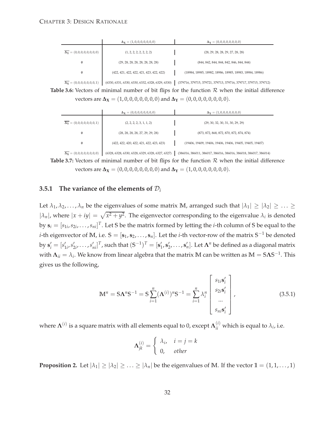<span id="page-39-0"></span>

|                                           | $\Delta$ <sub>X</sub> = (1, 0, 0, 0, 0, 0, 0, 0) | $\Delta$ <sub>Y</sub> = (0,0,0,0,0,0,0,0)                |
|-------------------------------------------|--------------------------------------------------|----------------------------------------------------------|
| $\overline{\Delta_Y} = (0,0,0,0,0,0,0,0)$ | (1, 2, 2, 2, 2, 2, 2, 2)                         | (28, 29, 28, 28, 29, 27, 28, 28)                         |
| 0                                         | (29, 28, 28, 28, 28, 28, 28, 28)                 | (844, 842, 844, 844, 842, 846, 844, 844)                 |
| $\bf{0}$                                  | (422, 421, 422, 422, 421, 423, 422, 422)         | (18984, 18985, 18982, 18986, 18985, 18983, 18984, 18986) |

<span id="page-39-1"></span>**<sup>∆</sup><sup>X</sup>** = (0, 0, 0, 0, 0, 0, 0, 1) (6330, 6331, 6330, 6330, 6332, 6328, 6329, 6330) (379716, 379715, 379721, 379713, 379716, 379717, 379715, 379712) **Table 3.6:** Vectors of minimal number of bit flips for the function  $R$  when the initial difference

|  | vectors are $\Delta$ <b>x</b> = (1, 0, 0, 0, 0, 0, 0, 0) and $\Delta$ <b>Y</b> = (0, 0, 0, 0, 0, 0, 0, 0). |  |
|--|------------------------------------------------------------------------------------------------------------|--|
|--|------------------------------------------------------------------------------------------------------------|--|

|                                           | $\Delta$ <b>x</b> = (0, 0, 0, 0, 0, 0, 0, 0) | $\Delta$ <sub>Y</sub> = $(1, 0, 0, 0, 0, 0, 0, 0)$       |
|-------------------------------------------|----------------------------------------------|----------------------------------------------------------|
| $\overline{\Delta_Y} = (0,0,0,0,0,0,0,1)$ | (2, 2, 2, 2, 3, 1, 1, 2)                     | (29, 30, 32, 30, 31, 30, 29, 29)                         |
| 0                                         | (28, 28, 28, 28, 27, 29, 29, 28)             | (873, 872, 868, 872, 870, 872, 874, 874)                 |
| 0                                         | (422, 422, 420, 422, 421, 422, 423, 423)     | (19406, 19409, 19406, 19406, 19406, 19405, 19405, 19407) |

 $\overline{\Delta_{\mathbf{X}}}$  **= (0, 0, 0, 0, 0, 0, 0, 0) (6328, 6328, 6330, 6328, 6329, 6328, 6327, 6327) (386016, 386011, 386017, 386016, 386016, 386018, 386017, 386017, 386017, 386017, 386017, 386017, 386017, 386017, 386017, 386017, Table 3.7:** Vectors of minimal number of bit flips for the function R when the initial difference vectors are  $\Delta$ **X** = (0, 0, 0, 0, 0, 0, 0, 0) and  $\Delta$ **Y** = (1, 0, 0, 0, 0, 0, 0, 0).

#### **3.5.1** The variance of the elements of  $D_i$

Let  $\lambda_1, \lambda_2, \ldots, \lambda_n$  be the eigenvalues of some matrix **M**, arranged such that  $|\lambda_1| \geq |\lambda_2| \geq \ldots \geq$  $|\lambda_n|$ , where  $|x + iy| = \sqrt{x^2 + y^2}$ . The eigenvector corresponding to the eigenvalue  $\lambda_i$  is denoted by  $\mathbf{s}_i = [s_{1i}, s_{2i}, \ldots, s_{ni}]^T$ . Let S be the matrix formed by letting the *i*-th column of S be equal to the *i*-th eigenvector of  $\mathbb{M}$ , i.e.  $\mathbb{S} = [\mathbf{s}_1, \mathbf{s}_2, \dots, \mathbf{s}_n].$  Let the *i*-th vector-row of the matrix  $\mathbb{S}^{-1}$  be denoted by  $\mathbf{s}'_i=[s'_{1i},s'_{2i},\ldots,s'_{ni}]^T$ , such that  $(\mathbb{S}^{-1})^T=[\mathbf{s}'_1,\mathbf{s}'_2,\ldots,\mathbf{s}'_n].$  Let  $\mathbf{\Lambda}^n$  be defined as a diagonal matrix with  $\bm{\Lambda}_{ii}=\lambda_i.$  We know from linear algebra that the matrix  $\bm{\mathbb{M}}$  can be written as  $\bm{\mathbb{M}}=\mathsf{S}\bm{\Lambda}\mathsf{S}^{-1}.$  This gives us the following,

<span id="page-39-2"></span>
$$
\mathbf{M}^{n} = \mathbf{S}\mathbf{\Lambda}^{n}\mathbf{S}^{-1} = \mathbf{S}\sum_{i=1}^{n}(\mathbf{\Lambda}^{(i)})^{n}\mathbf{S}^{-1} = \sum_{i=1}^{n}\lambda_{i}^{n} \begin{bmatrix} s_{1i}\mathbf{s}_{i}^{\prime} \\ s_{2i}\mathbf{s}_{i}^{\prime} \\ \dots \\ s_{ni}\mathbf{s}_{i}^{\prime} \end{bmatrix},
$$
(3.5.1)

where  $\Lambda^{(i)}$  is a square matrix with all elements equal to 0, except  $\Lambda_{ii}^{(i)}$  which is equal to  $\lambda_i$ , i.e.

$$
\Lambda_{jk}^{(i)} = \begin{cases} \lambda_i, & i = j = k \\ 0, & other \end{cases}
$$

<span id="page-39-3"></span>**Proposition 2.** Let  $|\lambda_1| \geq |\lambda_2| \geq \ldots \geq |\lambda_n|$  be the eigenvalues of M. If the vector  $\mathbb{1} = (1, 1, \ldots, 1)$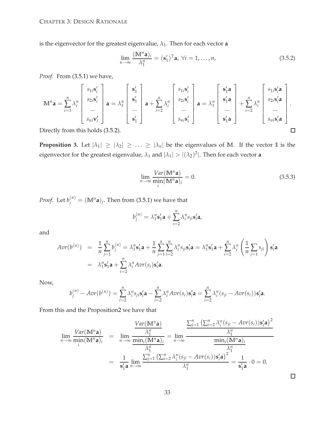is the eigenvector for the greatest eigenvalue,  $\lambda_1$ . Then for each vector **a** 

<span id="page-40-0"></span>
$$
\lim_{n \to \infty} \frac{(\mathbf{M}^n \mathbf{a})_i}{\lambda_1^n} = (\mathbf{s}'_1)^T \mathbf{a}, \ \forall i = 1, \dots, n,
$$
\n(3.5.2)

*Proof.* From [\(3.5.1\)](#page-39-2) we have,

$$
\mathbf{M}^{n} \mathbf{a} = \sum_{i=1}^{n} \lambda_{i}^{n} \begin{bmatrix} s_{1i} \mathbf{s}'_{i} \\ s_{2i} \mathbf{s}'_{i} \\ \vdots \\ s_{ni} \mathbf{v}'_{i} \end{bmatrix} \mathbf{a} = \lambda_{1}^{n} \begin{bmatrix} \mathbf{s}'_{1} \\ \mathbf{s}'_{1} \\ \vdots \\ \mathbf{s}'_{1} \end{bmatrix} \mathbf{a} + \sum_{i=2}^{n} \lambda_{i}^{n} \begin{bmatrix} s_{1i} \mathbf{s}'_{i} \\ s_{2i} \mathbf{s}'_{i} \\ \vdots \\ s_{ni} \mathbf{s}'_{i} \end{bmatrix} \mathbf{a} = \lambda_{1}^{n} \begin{bmatrix} \mathbf{s}'_{1} \mathbf{a} \\ \mathbf{s}'_{2} \mathbf{s}'_{i} \\ \vdots \\ \mathbf{s}'_{n} \mathbf{s}'_{i} \end{bmatrix} \mathbf{a} = \lambda_{1}^{n} \begin{bmatrix} \mathbf{s}'_{1} \mathbf{a} \\ \mathbf{s}'_{1} \mathbf{a} \\ \vdots \\ \mathbf{s}'_{1} \mathbf{a} \end{bmatrix} + \sum_{i=2}^{n} \lambda_{i}^{n} \begin{bmatrix} s_{1i} \mathbf{s}'_{i} \mathbf{a} \\ \vdots \\ s_{1i} \mathbf{s}'_{i} \end{bmatrix}.
$$
\nDirectly from this holds (3.5.2).

Directly from this holds [\(3.5.2\)](#page-40-0).

**Proposition 3.** Let  $|\lambda_1| \geq |\lambda_2| \geq ... \geq |\lambda_n|$  be the eigenvalues of M. If the vector 1 is the eigenvector for the greatest eigenvalue,  $\lambda_1$  and  $|\lambda_1| > |(\lambda_2)^2|$ . Then for each vector **a** 

$$
\lim_{n \to \infty} \frac{Var(\mathbf{M}^n \mathbf{a})}{\min_i (\mathbf{M}^n \mathbf{a})_i} = 0.
$$
\n(3.5.3)

*Proof.* Let  $b_j^{(n)} = (\mathbb{M}^n \mathsf{a})_j$ . Then from [\(3.5.1\)](#page-39-2) we have that

$$
b_j^{(n)} = \lambda_1^n \mathbf{s}_1' \mathbf{a} + \sum_{i=2}^n \lambda_i^n s_{ji} \mathbf{s}_i' \mathbf{a},
$$

and

$$
Avr(b^{(n)}) = \frac{1}{n} \sum_{j=1}^{n} b_j^{(n)} = \lambda_1^n \mathbf{s}_1' \mathbf{a} + \frac{1}{n} \sum_{j=1}^{n} \sum_{i=2}^{n} \lambda_i^n s_{ji} \mathbf{s}_i' \mathbf{a} = \lambda_1^n \mathbf{s}_1' \mathbf{a} + \sum_{i=2}^{n} \lambda_i^n \left( \frac{1}{n} \sum_{j=1}^{n} s_{ji} \right) \mathbf{s}_i' \mathbf{a}
$$
  
=  $\lambda_1^n \mathbf{s}_1' \mathbf{a} + \sum_{i=2}^{n} \lambda_i^n Avr(s_i) \mathbf{s}_i' \mathbf{a}.$ 

Now,

$$
b_j^{(n)} - Avr(b^{(n)}) = \sum_{i=2}^n \lambda_i^n s_{ji} \mathbf{s}_i' \mathbf{a} - \sum_{i=2}^n \lambda_i^n Avr(s_i) \mathbf{s}_i' \mathbf{a} = \sum_{i=2}^n \lambda_i^n (s_{ji} - Avr(s_i)) \mathbf{s}_i' \mathbf{a}.
$$

From this and the Propositio[n2](#page-39-3) we have that

$$
\lim_{n \to \infty} \frac{Var(\mathbf{M}^n \mathbf{a})}{\min(\mathbf{M}^n \mathbf{a})_i} = \lim_{n \to \infty} \frac{\frac{Var(\mathbf{M}^n \mathbf{a})}{\lambda_1^n}}{\frac{\lambda_1^n}{\lambda_1^n}} = \lim_{n \to \infty} \frac{\frac{\sum_{j=1}^n \left(\sum_{i=2}^n \lambda_i^n (s_{ji} - A v r(s_i)) \mathbf{s}_i' \mathbf{a}\right)^2}{\lambda_1^n}}{\frac{\min_i(\mathbf{M}^n \mathbf{a})_i}{\lambda_1^n}}}{\frac{\min_i(\mathbf{M}^n \mathbf{a})_i}{\lambda_1^n}} = \frac{1}{\mathbf{s}_1' \mathbf{a}} \lim_{n \to \infty} \frac{\frac{\sum_{j=1}^n \left(\sum_{i=2}^n \lambda_i^n (s_{ji} - A v r(s_i)) \mathbf{s}_i' \mathbf{a}\right)^2}{\lambda_1^n}}{\lambda_1^n} = \frac{1}{\mathbf{s}_1' \mathbf{a}} \cdot 0 = 0.
$$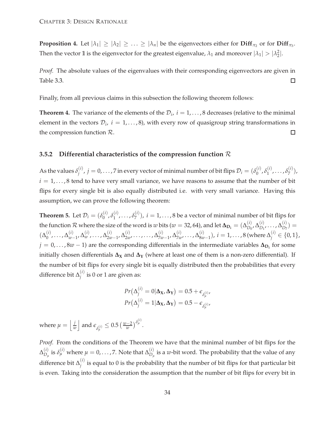**Proposition 4.** Let  $|\lambda_1| \ge |\lambda_2| \ge \ldots \ge |\lambda_n|$  be the eigenvectors either for  $\textbf{Diff}_{\pi_2}$  or for  $\textbf{Diff}_{\pi_3}$ . Then the vector 1 is the eigenvector for the greatest eigenvalue,  $\lambda_1$  and moreover  $|\lambda_1| > |\lambda_2^2|$ .

*Proof.* The absolute values of the eigenvalues with their corresponding eigenvectors are given in Table [3.3.](#page-34-1)  $\Box$ 

Finally, from all previous claims in this subsection the following theorem follows:

**Theorem 4.** The variance of the elements of the  $\mathcal{D}_i$ ,  $i = 1, \ldots, 8$  decreases (relative to the minimal element in the vectors  $\mathcal{D}_i$ ,  $i = 1, \ldots, 8$ ), with every row of quasigroup string transformations in the compression function R.  $\Box$ 

#### **3.5.2 Differential characteristics of the compression function** R

As the values  $\delta_i^{(i)}$  $j^{(i)}$  ,  $j=0,\ldots$  ,  $7$  in every vector of minimal number of bit flips  $\mathcal{D}_i=(\delta_0^{(i)})$  $\delta_0^{(i)}$ ,  $\delta_1^{(i)}$  $\frac{(i)}{1}, \ldots, \delta_7^{(i)}$  $\binom{1}{7}$ ,  $i = 1, \ldots, 8$  tend to have very small variance, we have reasons to assume that the number of bit flips for every single bit is also equally distributed i.e. with very small variance. Having this assumption, we can prove the following theorem:

<span id="page-41-0"></span>**Theorem 5.** Let  $\mathcal{D}_i = (\delta_0^{(i)})$  $\delta_0^{(i)}$ ,  $\delta_1^{(i)}$  $\frac{(i)}{1}, \ldots, \delta^{(i)}_{7}$  $\binom{1}{7}$ ,  $i = 1, \ldots, 8$  be a vector of minimal number of bit flips for the function  $\mathcal R$  where the size of the word is  $w$  bits ( $w=32$ , 64), and let  $\Delta_{\mathbf D_{\mathbf i}}=(\Delta_{D_0}^{(i)})$  $D_0^{(i)}$ ,  $\Delta_{D_1}^{(i)}$  $\Delta_{D_1}^{(i)}, \ldots, \Delta_{D_7}^{(i)}$  $\binom{U}{D_7}$  =  $(\Delta_0^{(i)}$  $\mathcal{L}_{0}^{(i)}, \ldots, \mathcal{L}_{w}^{(i)}$  $\alpha_{w-1}^{(i)}$ , ∆ $\alpha_{w}^{(i)}$ , . . . , ∆ $\alpha_{2w}^{(i)}$ 2*w*−1 , ∆ (*i*)  $\frac{(i)}{2w}, \ldots, \ldots, \Delta_{7w}^{(i)}$ 7*w*−1 , ∆ (*i*)  $\frac{(i)}{7w}, \ldots, \Delta_{8w}^{(i)}$ 8*w*−1 ), *i* = 1, . . . , 8 (where ∆ (*i*) *<sup>j</sup>* ∈ {0, 1},  $j = 0, \ldots, 8w - 1$  are the corresponding differentials in the intermediate variables  $\Delta_{D_i}$  for some initially chosen differentials  $\Delta_X$  and  $\Delta_Y$  (where at least one of them is a non-zero differential). If the number of bit flips for every single bit is equally distributed then the probabilities that every difference bit  $\Delta_i^{(i)}$  $j^{(i)}$  is 0 or 1 are given as:

$$
Pr(\Delta_j^{(i)} = 0 | \Delta \mathbf{x}, \Delta \mathbf{Y}) = 0.5 + \epsilon_{\delta_\mu^{(i)}},
$$
  

$$
Pr(\Delta_j^{(i)} = 1 | \Delta \mathbf{x}, \Delta \mathbf{Y}) = 0.5 - \epsilon_{\delta_\mu^{(i)}},
$$

where  $\mu = \left| \frac{j}{y} \right|$ *w*  $\int$  and  $\epsilon_{\delta_\mu^{(i)}} \leq 0.5 \left(\frac{w-2}{w}\right)^{\delta_\mu^{(i)}}$ .

*Proof.* From the conditions of the Theorem we have that the minimal number of bit flips for the  $\Delta_{\mathsf{D}}^{(i)}$  $D^{(i)}_{D_{\mu}}$  is  $\delta^{(i)}_{\mu}$  where  $\mu=0,\ldots,7.$  Note that  $\Delta^{(i)}_{D_{\mu}}$  $D_{\mu}^{(t)}$  is a *w*-bit word. The probability that the value of any difference bit  $\Delta_i^{(i)}$  $j_j^{(t)}$  is equal to 0 is the probability that the number of bit flips for that particular bit is even. Taking into the consideration the assumption that the number of bit flips for every bit in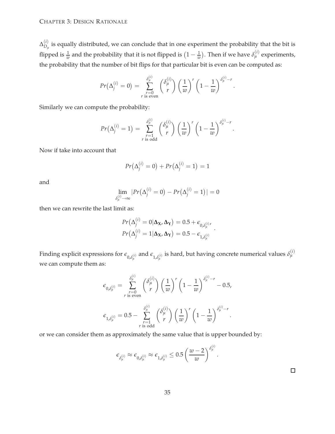$\Delta_{\mathsf{D}}^{(i)}$  $D_{\mu}^{(t)}$  is equally distributed, we can conclude that in one experiment the probability that the bit is flipped is  $\frac{1}{w}$  and the probability that it is not flipped is  $(1-\frac{1}{w})$ . Then if we have  $\delta_{\mu}^{(i)}$  experiments, the probability that the number of bit flips for that particular bit is even can be computed as:

$$
Pr(\Delta_j^{(i)} = 0) = \sum_{\substack{r=0 \ r \text{ is even}}}^{\delta_{\mu}^{(i)}} {\binom{\delta_{\mu}^{(i)}}{r}} {\left(\frac{1}{w}\right)}^r {\left(1 - \frac{1}{w}\right)}^{\delta_{\mu}^{(i)} - r}.
$$

Similarly we can compute the probability:

$$
Pr(\Delta_j^{(i)} = 1) = \sum_{\substack{r=1 \ r \text{ is odd}}}^{\delta_{\mu}^{(i)}} {\binom{\delta_{\mu}^{(i)}}{r}} {\left(\frac{1}{w}\right)}^r {\left(1 - \frac{1}{w}\right)}^{\delta_{\mu}^{(i)} - r}.
$$

Now if take into account that

$$
Pr(\Delta_j^{(i)} = 0) + Pr(\Delta_j^{(i)} = 1) = 1
$$

and

$$
\lim_{\delta_{\mu}^{(i)} \to \infty} |Pr(\Delta_j^{(i)} = 0) - Pr(\Delta_j^{(i)} = 1)| = 0
$$

then we can rewrite the last limit as:

$$
Pr(\Delta_j^{(i)} = 0 | \Delta \mathbf{x}, \Delta \mathbf{y}) = 0.5 + \epsilon_{0, \delta_{\mu}^{(i)}},
$$
  

$$
Pr(\Delta_j^{(i)} = 1 | \Delta \mathbf{x}, \Delta \mathbf{y}) = 0.5 - \epsilon_{1, \delta_{\mu}^{(i)}}.
$$

Finding explicit expressions for  $\epsilon_{0,\delta_\mu^{(i)}}$  and  $\epsilon_{1,\delta_\mu^{(i)}}$  is hard, but having concrete numerical values  $\delta_\mu^{(i)}$ we can compute them as:

$$
\begin{aligned} \epsilon_{0,\delta_\mu^{(i)}}&=\sum_{\substack{r=0\\ r \text{ is even}}}\limits^{\delta_\mu^{(i)}}\binom{\delta_\mu^{(i)}}{r}\left(\frac{1}{w}\right)^r\left(1-\frac{1}{w}\right)^{\delta_\mu^{(i)}-r}-0.5,\\ \epsilon_{1,\delta_\mu^{(i)}}&=0.5-\sum_{\substack{r=1\\ r \text{ is odd}}}\limits^{\delta_\mu^{(i)}}\binom{\delta_\mu^{(i)}}{r}\left(\frac{1}{w}\right)^r\left(1-\frac{1}{w}\right)^{\delta_\mu^{(i)}-r}. \end{aligned}
$$

or we can consider them as approximately the same value that is upper bounded by:

$$
\epsilon_{\delta_\mu^{(i)}} \approx \epsilon_{0,\delta_\mu^{(i)}} \approx \epsilon_{1,\delta_\mu^{(i)}} \leq 0.5 \left(\frac{w-2}{w}\right)^{\delta_\mu^{(i)}}.
$$

 $\Box$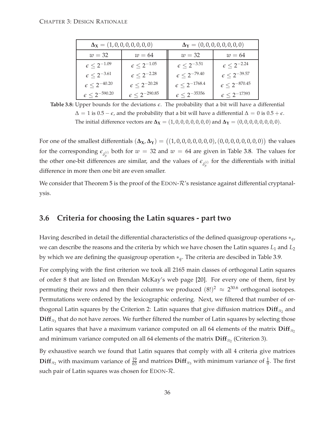<span id="page-43-0"></span>

|                             | $\Delta$ <sub>X</sub> = (1, 0, 0, 0, 0, 0, 0, 0) | $\Delta_Y = (0, 0, 0, 0, 0, 0, 0, 0)$ |                             |  |  |  |
|-----------------------------|--------------------------------------------------|---------------------------------------|-----------------------------|--|--|--|
| $w=32$                      | $w = 64$                                         | $w=32$                                | $w = 64$                    |  |  |  |
| $\epsilon \leq 2^{-1.09}$   | $\epsilon \leq 2^{-1.05}$                        | $\epsilon \leq 2^{-3.51}$             | $\epsilon \leq 2^{-2.24}$   |  |  |  |
| $\epsilon \leq 2^{-3.61}$   | $\epsilon \leq 2^{-2.28}$                        | $\epsilon \leq 2^{-79.40}$            | $\epsilon \leq 2^{-39.57}$  |  |  |  |
| $\epsilon \leq 2^{-40.20}$  | $\epsilon \leq 2^{-20.28}$                       | $\epsilon \leq 2^{-1768.4}$           | $\epsilon \leq 2^{-870.45}$ |  |  |  |
| $\epsilon \leq 2^{-590.20}$ | $\epsilon \leq 2^{-290.85}$                      | $\epsilon \leq 2^{-35356}$            | $\epsilon \leq 2^{-17393}$  |  |  |  |

**Table 3.8:** Upper bounds for the deviations *e*. The probability that a bit will have a differential  $\Delta = 1$  is 0.5 –  $\epsilon$ , and the probability that a bit will have a differential  $\Delta = 0$  is 0.5 +  $\epsilon$ . The initial difference vectors are  $\Delta$ **X** = (1,0,0,0,0,0,0,0) and  $\Delta$ **Y** = (0,0,0,0,0,0,0,0).

For one of the smallest differentials  $(\Delta_X, \Delta_Y) = ((1, 0, 0, 0, 0, 0, 0, 0), (0, 0, 0, 0, 0, 0, 0, 0))$  the values for the corresponding  $\epsilon_{\delta_\mu^{(i)}}$  both for  $w=32$  and  $w=64$  are given in Table [3.8.](#page-43-0) The values for the other one-bit differences are similar, and the values of  $\epsilon_{\delta_\mu^{(i)}}$  for the differentials with initial difference in more then one bit are even smaller.

We consider that Theorem [5](#page-41-0) is the proof of the EDON- $\mathcal{R}'$ s resistance against differential cryptanalysis.

## **3.6 Criteria for choosing the Latin squares - part two**

Having described in detail the differential characteristics of the defined quasigroup operations ∗*q*, we can describe the reasons and the criteria by which we have chosen the Latin squares *L*<sup>1</sup> and *L*<sup>2</sup> by which we are defining the quasigroup operation ∗*q*. The criteria are descibed in Table [3.9.](#page-44-0)

For complying with the first criterion we took all 2165 main classes of orthogonal Latin squares of order 8 that are listed on Brendan McKay's web page [\[20](#page-77-0)]. For every one of them, first by permuting their rows and then their columns we produced  $(8!)^2 \approx 2^{30.6}$  orthogonal isotopes. Permutations were ordered by the lexicographic ordering. Next, we filtered that number of orthogonal Latin squares by the Criterion 2: Latin squares that give diffusion matrices  $\text{Diff}_{\pi_2}$  and  $\mathbf{Diff}_{\pi_3}$  that do not have zeroes. We further filtered the number of Latin squares by selecting those Latin squares that have a maximum variance computed on all 64 elements of the matrix  $\text{Diff}_{\pi_2}$ and minimum variance computed on all 64 elements of the matrix  $\textbf{Diff}_{\pi_2}$  (Criterion 3).

By exhaustive search we found that Latin squares that comply with all 4 criteria give matrices  $\textbf{Diff}_{\pi_2}$  with maximum variance of  $\frac{19}{63}$  and matrices  $\textbf{Diff}_{\pi_3}$  with minimum variance of  $\frac{1}{9}$ . The first such pair of Latin squares was chosen for EDON- $\mathcal{R}$ .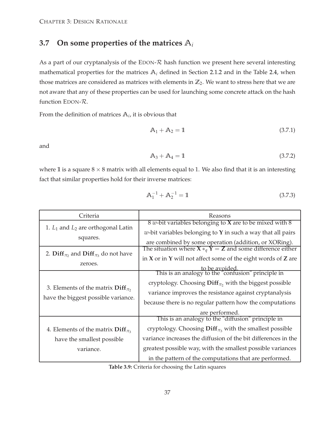## **3.7 On some properties of the matrices A***<sup>i</sup>*

As a part of our cryptanalysis of the EDON- $R$  hash function we present here several interesting mathematical properties for the matrices **A***<sup>i</sup>* defined in Section [2.1.2](#page-19-0) and in the Table [2.4,](#page-22-0) when those matrices are considered as matrices with elements in  $\mathbb{Z}_2$ . We want to stress here that we are not aware that any of these properties can be used for launching some concrete attack on the hash function EDON-R.

From the definition of matrices **A***<sup>i</sup>* , it is obvious that

$$
A_1 + A_2 = 1 \tag{3.7.1}
$$

and

$$
A_3 + A_4 = 1 \tag{3.7.2}
$$

where  $1$  is a square  $8 \times 8$  matrix with all elements equal to 1. We also find that it is an interesting fact that similar properties hold for their inverse matrices:

$$
\mathbb{A}_1^{-1} + \mathbb{A}_2^{-1} = \mathbb{1}
$$
\n(3.7.3)

<span id="page-44-0"></span>

| Criteria                                                                             | Reasons                                                                          |  |  |
|--------------------------------------------------------------------------------------|----------------------------------------------------------------------------------|--|--|
| 1. $L_1$ and $L_2$ are orthogonal Latin                                              | 8 <i>w</i> -bit variables belonging to <b>X</b> are to be mixed with 8           |  |  |
|                                                                                      | w-bit variables belonging to Y in such a way that all pairs                      |  |  |
| squares.                                                                             | are combined by some operation (addition, or XORing).                            |  |  |
| 2. Diff <sub><math>\pi</math></sub> and Diff <sub><math>\pi</math></sub> do not have | The situation where ${\bf X} *_{q} {\bf Y} = {\bf Z}$ and some difference either |  |  |
|                                                                                      | in $X$ or in $Y$ will not affect some of the eight words of $Z$ are              |  |  |
| zeroes.                                                                              | to be avoided.<br>This is an analogy to the "confusion" principle in             |  |  |
|                                                                                      |                                                                                  |  |  |
| 3. Elements of the matrix $\text{Diff}_{\pi_2}$                                      | cryptology. Choosing $\text{Diff}_{\pi_2}$ with the biggest possible             |  |  |
| have the biggest possible variance.                                                  | variance improves the resistance against cryptanalysis                           |  |  |
|                                                                                      | because there is no regular pattern how the computations                         |  |  |
|                                                                                      | are performed.                                                                   |  |  |
|                                                                                      | This is an analogy to the "diffusion" principle in                               |  |  |
| 4. Elements of the matrix $\text{Diff}_{\pi_3}$                                      | cryptology. Choosing $\text{Diff}_{\pi_3}$ with the smallest possible            |  |  |
| have the smallest possible                                                           | variance increases the diffusion of the bit differences in the                   |  |  |
| variance.                                                                            | greatest possible way, with the smallest possible variances                      |  |  |
|                                                                                      | in the pattern of the computations that are performed.                           |  |  |

**Table 3.9:** Criteria for choosing the Latin squares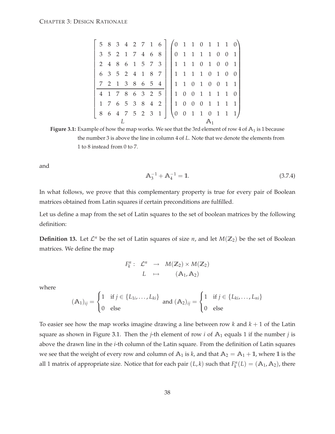<span id="page-45-0"></span>

|  |  |                 |  | 5 8 3 4 2 7 1 6 $(0 1 1 0 1 1 1 0)$ |                                                               |  |                             |  |  |
|--|--|-----------------|--|-------------------------------------|---------------------------------------------------------------|--|-----------------------------|--|--|
|  |  | 3 5 2 1 7 4 6 8 |  |                                     | 0 1 1 1 1 0 0 1                                               |  |                             |  |  |
|  |  |                 |  | 2 4 8 6 1 5 7 3                     |                                                               |  | 1 1 1 0 1 0 0               |  |  |
|  |  | 6 3 5 2 4 1 8 7 |  |                                     |                                                               |  | 1 1 1 1 0 1 0               |  |  |
|  |  |                 |  | 7 2 1 3 8 6 5 4                     | 1 1 0 1 0 0 1 1                                               |  |                             |  |  |
|  |  |                 |  | 4 1 7 8 6 3 2 5                     |                                                               |  | $1 \t0 \t0 \t1 \t1 \t1 \t1$ |  |  |
|  |  |                 |  | $1 \t7 \t6 \t5 \t3 \t8 \t4 \t2$     |                                                               |  | 1 0 0 0 1 1 1 1             |  |  |
|  |  |                 |  | 8 6 4 7 5 2 3 1                     | $\begin{pmatrix} 0 & 0 & 1 & 1 & 0 & 1 & 1 & 1 \end{pmatrix}$ |  |                             |  |  |
|  |  |                 |  |                                     |                                                               |  |                             |  |  |

Figure 3.1: Example of how the map works. We see that the 3rd element of row 4 of  $\mathbb{A}_1$  is 1 because the number 3 is above the line in column 4 of *L*. Note that we denote the elements from 1 to 8 instead from 0 to 7.

and

$$
A_3^{-1} + A_4^{-1} = 1.
$$
 (3.7.4)

In what follows, we prove that this complementary property is true for every pair of Boolean matrices obtained from Latin squares if certain preconditions are fulfilled.

Let us define a map from the set of Latin squares to the set of boolean matrices by the following definition:

**Definition 13.** Let  $\mathcal{L}^n$  be the set of Latin squares of size *n*, and let  $M(\mathbb{Z}_2)$  be the set of Boolean matrices. We define the map

$$
F_k^n: \mathcal{L}^n \rightarrow M(\mathbb{Z}_2) \times M(\mathbb{Z}_2)
$$

$$
L \rightarrow (\mathbb{A}_1, \mathbb{A}_2)
$$

where

$$
(\mathbb{A}_1)_{ij} = \begin{cases} 1 & \text{if } j \in \{L_{1i}, \dots, L_{ki}\} \\ 0 & \text{else} \end{cases} \text{ and } (\mathbb{A}_2)_{ij} = \begin{cases} 1 & \text{if } j \in \{L_{ki}, \dots, L_{ni}\} \\ 0 & \text{else} \end{cases}
$$

To easier see how the map works imagine drawing a line between row  $k$  and  $k + 1$  of the Latin square as shown in Figure [3.1.](#page-45-0) Then the *j*-th element of row *i* of **A**<sup>1</sup> equals 1 if the number *j* is above the drawn line in the *i*-th column of the Latin square. From the definition of Latin squares we see that the weight of every row and column of  $A_1$  is  $k$ , and that  $A_2 = A_1 + 1$ , where 1 is the all 1 matrix of appropriate size. Notice that for each pair  $(L, k)$  such that  $F_k^n(L) = (A_1, A_2)$ , there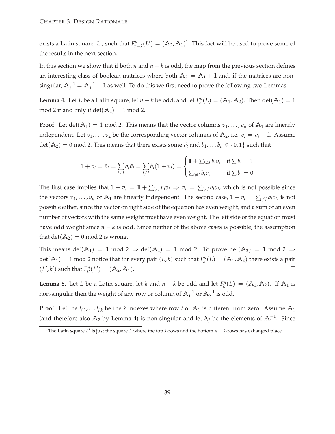exists a Latin square, *L'*, such that  $F_{n-k}^n(L') = (A_2, A_1)^1$  $F_{n-k}^n(L') = (A_2, A_1)^1$  $F_{n-k}^n(L') = (A_2, A_1)^1$ . This fact will be used to prove some of the results in the next section.

In this section we show that if both *n* and *n* − *k* is odd, the map from the previous section defines an interesting class of boolean matrices where both  $A_2 = A_1 + 1$  and, if the matrices are nonsingular,  $\mathbb{A}_2^{-1} = \mathbb{A}_1^{-1} + \mathbb{1}$  as well. To do this we first need to prove the following two Lemmas.

<span id="page-46-1"></span>**Lemma 4.** Let *L* be a Latin square, let  $n - k$  be odd, and let  $F_k^n(L) = (A_1, A_2)$ . Then  $det(A_1) = 1$ mod 2 if and only if  $det(A_2) = 1$  mod 2.

**Proof.** Let  $det(A_1) = 1$  mod 2. This means that the vector columns  $v_1, \ldots, v_n$  of  $A_1$  are linearly independent. Let  $\tilde{v}_1, \ldots, \tilde{v}_2$  be the corresponding vector columns of  $A_2$ , i.e.  $\tilde{v}_i = v_i + 1$ . Assume  $\det(A_2) = 0$  mod 2. This means that there exists some  $\tilde{v}_l$  and  $b_1, \ldots, b_n \in \{0, 1\}$  such that

$$
\mathbb{1} + v_l = \tilde{v}_l = \sum_{i \neq l} b_i \tilde{v}_i = \sum_{i \neq l} b_i (\mathbb{1} + v_i) = \begin{cases} \mathbb{1} + \sum_{i \neq l} b_i v_i & \text{if } \sum b_i = 1 \\ \sum_{i \neq l} b_i v_i & \text{if } \sum b_i = 0 \end{cases}
$$

The first case implies that  $1 + v_l = 1 + \sum_{i \neq l} b_i v_i \Rightarrow v_l = \sum_{i \neq l} b_i v_i$ , which is not possible since the vectors  $v_1, \ldots, v_n$  of  $\mathbb{A}_1$  are linearly independent. The second case,  $1 + v_l = \sum_{i \neq l} b_i v_i$ , is not possible either, since the vector on right side of the equation has even weight, and a sum of an even number of vectors with the same weight must have even weight. The left side of the equation must have odd weight since *n* − *k* is odd. Since neither of the above cases is possible, the assumption that  $det(A_2) = 0$  mod 2 is wrong.

This means  $det(A_1) = 1 \mod 2 \Rightarrow det(A_2) = 1 \mod 2$ . To prove  $det(A_2) = 1 \mod 2 \Rightarrow$  $det(A_1) = 1$  mod 2 notice that for every pair  $(L, k)$  such that  $F_k^n(L) = (A_1, A_2)$  there exists a pair  $(L', k')$  such that  $F_{k'}^n(L') = (A_2, A_1).$ 

<span id="page-46-2"></span>**Lemma 5.** Let *L* be a Latin square, let *k* and  $n - k$  be odd and let  $F_k^n(L) = (A_1, A_2)$ . If  $A_1$  is non-singular then the weight of any row or column of  $\mathbb{A}_1^{-1}$  or  $\mathbb{A}_2^{-1}$  is odd.

**Proof.** Let the  $l_{i,1}, \ldots, l_{i,k}$  be the *k* indexes where row *i* of  $\mathbb{A}_1$  is different from zero. Assume  $\mathbb{A}_1$ (and therefore also  $A_2$  by Lemma [4\)](#page-46-1) is non-singular and let  $b_{ij}$  be the elements of  $A_1^{-1}$ . Since

<span id="page-46-0"></span><sup>&</sup>lt;sup>1</sup>The Latin square *L'* is just the square *L* where the top *k*-rows and the bottom  $n - k$ -rows has exhanged place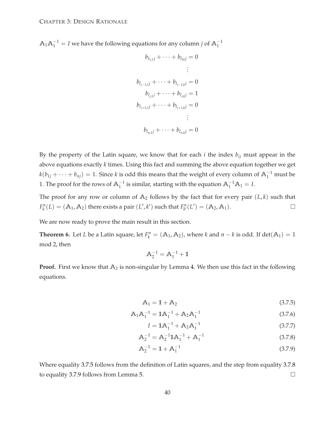$\mathbb{A}_1 \mathbb{A}_1^{-1} = I$  we have the following equations for any column *j* of  $\mathbb{A}_1^{-1}$ 

$$
b_{l_{1,1}j} + \cdots + b_{l_{1k}j} = 0
$$
  
\n
$$
\vdots
$$
  
\n
$$
b_{l_{j-1,1}j} + \cdots + b_{l_{j-1,k}j} = 0
$$
  
\n
$$
b_{l_{j,1}j} + \cdots + b_{l_{j,k}j} = 1
$$
  
\n
$$
b_{l_{j+1,1}j} + \cdots + b_{l_{j+1,k}j} = 0
$$
  
\n
$$
\vdots
$$
  
\n
$$
b_{l_{n,1}j} + \cdots + b_{l_{n,k}j} = 0
$$

By the property of the Latin square, we know that for each *i* the index *bij* must appear in the above equations exactly *k* times. Using this fact and summing the above equation together we get  $k(b_{1j} + \cdots + b_{nj}) = 1$ . Since *k* is odd this means that the weight of every column of  $\mathbb{A}_1^{-1}$  must be 1. The proof for the rows of  $\mathbb{A}_1^{-1}$  is similar, starting with the equation  $\mathbb{A}_1^{-1}\mathbb{A}_1 = I$ .

The proof for any row or column of  $A_2$  follows by the fact that for every pair  $(L, k)$  such that  $F_k^n(L) = (A_1, A_2)$  there exists a pair  $(L', k')$  such that  $F_{k'}^n(L') = (A_2, A_1)$ .

We are now ready to prove the main result in this section.

**Theorem 6.** Let *L* be a Latin square, let  $F_k^n = (A_1, A_2)$ , where *k* and *n* − *k* is odd. If det( $A_1$ ) = 1 mod 2, then

$$
\mathbb{A}_2^{-1} = \mathbb{A}_1^{-1} + \mathbb{1}
$$

**Proof.** First we know that **A**<sup>2</sup> is non-singular by Lemma [4.](#page-46-1) We then use this fact in the following equations.

$$
A_1 = 1 + A_2 \tag{3.7.5}
$$

$$
A_1 A_1^{-1} = 1 A_1^{-1} + A_2 A_1^{-1}
$$
\n(3.7.6)

<span id="page-47-2"></span><span id="page-47-1"></span><span id="page-47-0"></span>
$$
I = \mathbb{1}\mathbb{A}_1^{-1} + \mathbb{A}_2\mathbb{A}_1^{-1} \tag{3.7.7}
$$

$$
A_2^{-1} = A_2^{-1} 1 A_1^{-1} + A_1^{-1}
$$
\n(3.7.8)

$$
A_2^{-1} = 1 + A_1^{-1} \tag{3.7.9}
$$

Where equality [3.7.5](#page-47-0) follows from the definition of Latin squares, and the step from equality [3.7.8](#page-47-1) to equality [3.7.9](#page-47-2) follows from Lemma [5.](#page-46-2)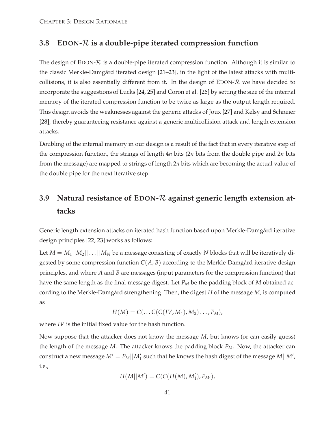## **3.8 EDON-**R **is a double-pipe iterated compression function**

The design of EDON- $R$  is a double-pipe iterated compression function. Although it is similar to the classic Merkle-Damgård iterated design [\[21](#page-77-1)[–23](#page-77-2)], in the light of the latest attacks with multicollisions, it is also essentially different from it. In the design of  $EDON-R$  we have decided to incorporate the suggestions of Lucks [\[24](#page-77-3), [25](#page-77-4)] and Coron et al. [\[26](#page-77-5)] by setting the size of the internal memory of the iterated compression function to be twice as large as the output length required. This design avoids the weaknesses against the generic attacks of Joux [\[27](#page-77-6)] and Kelsy and Schneier [\[28](#page-78-0)], thereby guaranteeing resistance against a generic multicollision attack and length extension attacks.

Doubling of the internal memory in our design is a result of the fact that in every iterative step of the compression function, the strings of length 4*n* bits (2*n* bits from the double pipe and 2*n* bits from the message) are mapped to strings of length 2*n* bits which are becoming the actual value of the double pipe for the next iterative step.

# **3.9 Natural resistance of EDON-**R **against generic length extension attacks**

Generic length extension attacks on iterated hash function based upon Merkle-Damgård iterative design principles [\[22](#page-77-7), [23](#page-77-2)] works as follows:

Let  $M = M_1||M_2||...||M_N$  be a message consisting of exactly N blocks that will be iteratively digested by some compression function  $C(A, B)$  according to the Merkle-Damgård iterative design principles, and where *A* and *B* are messages (input parameters for the compression function) that have the same length as the final message digest. Let *P<sup>M</sup>* be the padding block of *M* obtained according to the Merkle-Damgård strengthening. Then, the digest *H* of the message *M*, is computed as

$$
H(M) = C(\ldots C(C(IV, M_1), M_2) \ldots, P_M),
$$

where *IV* is the initial fixed value for the hash function.

Now suppose that the attacker does not know the message *M*, but knows (or can easily guess) the length of the message *M*. The attacker knows the padding block *PM*. Now, the attacker can construct a new message  $M' = P_M||M'_1$  such that he knows the hash digest of the message  $M||M'$ , i.e.,

$$
H(M||M') = C(C(H(M), M'_1), P_{M'}),
$$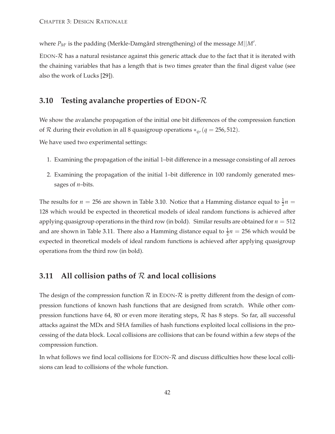where  $P_{M'}$  is the padding (Merkle-Damgård strengthening) of the message  $M||M'.$ 

EDON-R has a natural resistance against this generic attack due to the fact that it is iterated with the chaining variables that has a length that is two times greater than the final digest value (see also the work of Lucks [\[29](#page-78-1)]).

## **3.10 Testing avalanche properties of EDON-**R

We show the avalanche propagation of the initial one bit differences of the compression function of R during their evolution in all 8 quasigroup operations  $*_q$ , ( $q = 256, 512$ ).

We have used two experimental settings:

- 1. Examining the propagation of the initial 1–bit difference in a message consisting of all zeroes
- 2. Examining the propagation of the initial 1–bit difference in 100 randomly generated messages of *n*–bits.

The results for  $n = 256$  are shown in Table [3.10.](#page-50-0) Notice that a Hamming distance equal to  $\frac{1}{2}n =$ 128 which would be expected in theoretical models of ideal random functions is achieved after applying quasigroup operations in the third row (in bold). Similar results are obtained for  $n = 512$ and are shown in Table [3.11.](#page-51-0) There also a Hamming distance equal to  $\frac{1}{2}n = 256$  which would be expected in theoretical models of ideal random functions is achieved after applying quasigroup operations from the third row (in bold).

#### **3.11 All collision paths of** R **and local collisions**

The design of the compression function  $R$  in EDON- $R$  is pretty different from the design of compression functions of known hash functions that are designed from scratch. While other compression functions have 64, 80 or even more iterating steps,  $R$  has 8 steps. So far, all successful attacks against the MDx and SHA families of hash functions exploited local collisions in the processing of the data block. Local collisions are collisions that can be found within a few steps of the compression function.

In what follows we find local collisions for  $EDON-R$  and discuss difficulties how these local collisions can lead to collisions of the whole function.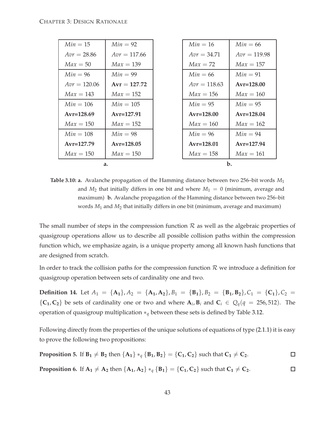<span id="page-50-0"></span>

| $Min = 15$     | $Min = 92$     | $Min = 16$     | $Min = 66$     |
|----------------|----------------|----------------|----------------|
| $Avr = 28.86$  | $Avr = 117.66$ | $Avr = 34.71$  | $Avr = 119.98$ |
| $Max = 50$     | $Max = 139$    | $Max = 72$     | $Max = 157$    |
| $Min = 96$     | $Min = 99$     | $Min = 66$     | $Min = 91$     |
| $Avr = 120.06$ | $Avr = 127.72$ | $Avr = 118.63$ | $Avr = 128.00$ |
| $Max = 143$    | $Max = 152$    | $Max = 156$    | $Max = 160$    |
| $Min = 106$    | $Min = 105$    | $Min = 95$     | $Min = 95$     |
| $Avr = 128.69$ | $Avr = 127.91$ | $Avr = 128.00$ | $Avr = 128.04$ |
| $Max = 150$    | $Max = 152$    | $Max = 160$    | $Max = 162$    |
| $Min = 108$    | $Min = 98$     | $Min = 96$     | $Min = 94$     |
| $Avr = 127.79$ | $Avr = 128.05$ | $Avr = 128.01$ | $Avr = 127.94$ |
| $Max = 150$    | $Max = 150$    | $Max = 158$    | $Max = 161$    |
|                | a.             |                | b.             |

**Table 3.10: a.** Avalanche propagation of the Hamming distance between two 256–bit words *M*<sup>1</sup> and  $M_2$  that initially differs in one bit and where  $M_1 = 0$  (minimum, average and maximum) **b.** Avalanche propagation of the Hamming distance between two 256–bit words *M*<sup>1</sup> and *M*<sup>2</sup> that initially differs in one bit (minimum, average and maximum)

The small number of steps in the compression function  $R$  as well as the algebraic properties of quasigroup operations allow us to describe all possible collision paths within the compression function which, we emphasize again, is a unique property among all known hash functions that are designed from scratch.

<span id="page-50-1"></span>In order to track the collision paths for the compression function  $R$  we introduce a definition for quasigroup operation between sets of cardinality one and two.

**Definition 14.** Let  $A_1 = \{A_1\}, A_2 = \{A_1, A_2\}, B_1 = \{B_1\}, B_2 = \{B_1, B_2\}, C_1 = \{C_1\}, C_2 =$  ${C_1, C_2}$  be sets of cardinality one or two and where  $A_i$ ,  $B_i$  and  $C_i \in Q_q(q = 256, 512)$ . The operation of quasigroup multiplication ∗*<sup>q</sup>* between these sets is defined by Table [3.12.](#page-51-1)

Following directly from the properties of the unique solutions of equations of type [\(2.1.1\)](#page-16-0) it is easy to prove the following two propositions:

**Proposition 5.** If 
$$
B_1 \neq B_2
$$
 then  $\{A_1\} *_{q} \{B_1, B_2\} = \{C_1, C_2\}$  such that  $C_1 \neq C_2$ .

**Proposition 6.** If  $A_1 \neq A_2$  then  $\{A_1, A_2\} *_{q} \{B_1\} = \{C_1, C_2\}$  such that  $C_1 \neq C_2$ .  $\Box$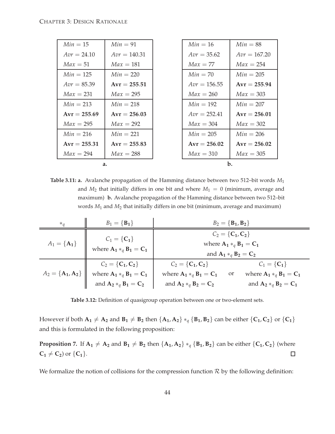<span id="page-51-0"></span>

| $Min = 15$     | $Min = 91$     | $Min = 16$     | $Min = 88$     |
|----------------|----------------|----------------|----------------|
| $Avr = 24.10$  | $Avr = 140.31$ | $Avr = 35.62$  | $Avr = 167.20$ |
| $Max = 51$     | $Max = 181$    | $Max = 77$     | $Max = 254$    |
| $Min = 125$    | $Min = 220$    | $Min = 70$     | $Min = 205$    |
| $Avr = 85.39$  | $Avr = 255.51$ | $Avr = 156.55$ | $Avr = 255.94$ |
| $Max = 231$    | $Max = 295$    | $Max = 260$    | $Max = 303$    |
| $Min = 213$    | $Min = 218$    | $Min = 192$    | $Min = 207$    |
| $Avr = 255.69$ | $Avr = 256.03$ | $Avr = 252.41$ | $Avr = 256.01$ |
| $Max = 295$    | $Max = 292$    | $Max = 304$    | $Max = 302$    |
| $Min = 216$    | $Min = 221$    | $Min = 205$    | $Min = 206$    |
| $Avr = 255.31$ | $Avr = 255.83$ | $Avr = 256.02$ | $Avr = 256.02$ |
| $Max = 294$    | $Max = 288$    | $Max = 310$    | $Max = 305$    |
|                | a.             |                | b.             |

**Table 3.11: a.** Avalanche propagation of the Hamming distance between two 512–bit words *M*<sup>1</sup> and  $M_2$  that initially differs in one bit and where  $M_1 = 0$  (minimum, average and maximum) **b.** Avalanche propagation of the Hamming distance between two 512–bit words *M*<sup>1</sup> and *M*<sup>2</sup> that initially differs in one bit (minimum, average and maximum)

<span id="page-51-1"></span>

| $*_q$                | $B_1 = {\bf{B_1}}$          |                                                     | $B_2 = {B_1, B_2}$                |  |  |  |
|----------------------|-----------------------------|-----------------------------------------------------|-----------------------------------|--|--|--|
|                      | $C_1 = \{C_1\}$             | $C_2 = \{C_1, C_2\}$                                |                                   |  |  |  |
| $A_1 = {\bf A_1}$    | where $A_1 *_{q} B_1 = C_1$ | where $A_1 *_{q} B_1 = C_1$                         |                                   |  |  |  |
|                      |                             | and $A_1 *_{q} B_2 = C_2$                           |                                   |  |  |  |
|                      | $C_2 = \{C_1, C_2\}$        | $C_2 = \{C_1, C_2\}$                                | $C_1 = \{C_1\}$                   |  |  |  |
| $A_2 = \{A_1, A_2\}$ | where $A_1 *_{q} B_1 = C_1$ | where $\mathbf{A}_1*_q \mathbf{B}_1 = \mathbf{C}_1$ | where $A_1 *_{q} B_1 = C_1$<br>or |  |  |  |
|                      | and $A_2 *_{q} B_1 = C_2$   | and $A_2 *_{q} B_2 = C_2$                           | and $A_2 *_{q} B_2 = C_1$         |  |  |  |

**Table 3.12:** Definition of quasigroup operation between one or two-element sets.

However if both  $A_1 \neq A_2$  and  $B_1 \neq B_2$  then  $\{A_1, A_2\} *_q \{B_1, B_2\}$  can be either  $\{C_1, C_2\}$  or  $\{C_1\}$ and this is formulated in the following proposition:

**Proposition 7.** If  $A_1 \neq A_2$  and  $B_1 \neq B_2$  then  $\{A_1, A_2\} *_q \{B_1, B_2\}$  can be either  $\{C_1, C_2\}$  (where  $C_1 \neq C_2$ ) or  $\{C_1\}$ .  $\Box$ 

<span id="page-51-2"></span>We formalize the notion of collisions for the compression function  $R$  by the following definition: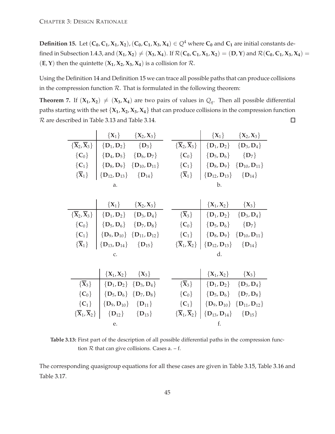**Definition 15.** Let  $(C_0, C_1, X_1, X_2)$ ,  $(C_0, C_1, X_3, X_4) \in Q^4$  where  $C_0$  and  $C_1$  are initial constants de-fined in Subsection [1.4.3,](#page-13-0) and  $(X_1, X_2) \neq (X_3, X_4)$ . If  $\mathcal{R}(C_0, C_1, X_1, X_2) = (D, Y)$  and  $\mathcal{R}(C_0, C_1, X_3, X_4) =$  $(\mathbf{E}, \mathbf{Y})$  then the quintette  $(\mathbf{X}_1, \mathbf{X}_2, \mathbf{X}_3, \mathbf{X}_4)$  is a collision for  $\mathcal{R}$ .

Using the Definition [14](#page-50-1) and Definition [15](#page-51-2) we can trace all possible paths that can produce collisions in the compression function  $R$ . That is formulated in the following theorem:

<span id="page-52-0"></span>**Theorem 7.** If  $(X_1, X_2) \neq (X_3, X_4)$  are two pairs of values in  $Q_q$ . Then all possible differential paths starting with the set  $\{X_1, X_2, X_3, X_4\}$  that can produce collisions in the compression function R are described in Table [3.13](#page-52-0) and Table [3.14.](#page-53-0)  $\Box$ 

| $\{X_1\}$ $\{X_2, X_3\}$                                                        | $\{X_1\}$ $\{X_2, X_3\}$                                                             |
|---------------------------------------------------------------------------------|--------------------------------------------------------------------------------------|
| $\{\overline{\mathbf{X}}_2, \overline{\mathbf{X}}_3\}$ $\{D_1, D_2\}$ $\{D_3\}$ | $\{\overline{X}_2, \overline{X}_3\}$ $\{D_1, D_2\}$ $\{D_3, D_4\}$                   |
| ${C_0}$ $\left\{ {D_4 ,D_5 } \right\}$ $\left\{ {D_6 ,D_7 } \right\}$           | $\{{\mathbf C}_0\}\quad\{\,{\mathbf D}_5,{\mathbf D}_6\}\quad\quad\{{\mathbf D}_7\}$ |
| ${C_1}$ $\{D_8, D_9\}$ ${D_{10}, D_{11}}$                                       | ${C_1}$ $\{D_8, D_9\}$ ${D_{10}, D_{11}}$                                            |
| $\{\overline{\mathbf{X}}_1\}$ $\{D_{12}, D_{13}\}$ $\{D_{14}\}$                 | $\{\overline{\mathbf{X}}_1\}$ $\{D_{12}, D_{13}\}$ $\{D_{14}\}$                      |
| a.                                                                              |                                                                                      |

|                               | $\{X_1\}$ $\{X_2, X_3\}$                                                                |                               | $\{X_1, X_2\}$ $\{X_3\}$                                                                 |  |
|-------------------------------|-----------------------------------------------------------------------------------------|-------------------------------|------------------------------------------------------------------------------------------|--|
|                               | $\{\overline{\mathbf{X}}_2, \overline{\mathbf{X}}_3\}$ $\{D_1, D_2\}$ $\{D_3, D_4\}$    | $\{\overline{\mathbf{X}}_3\}$ | $\{D_1, D_2\}$ $\{D_3, D_4\}$                                                            |  |
|                               | ${C_0}$ $\{D_5, D_6\}$ ${D_7, D_8\}$                                                    |                               | ${C_0}$ $\{D_5, D_6\}$ ${D_7}$                                                           |  |
| ${C_1}$                       | $\left[ \{ D_9, D_{10} \} \right] \{ D_{11}, D_{12} \}$                                 |                               | ${C_1}$ $\{D_8, D_9\}$ ${D_{10}, D_{11}}$                                                |  |
| $\{\overline{\mathbf{X}}_1\}$ | $\left\{ \mathbf{D}_{13},\mathbf{D}_{14}\right\} \quad \left\{ \mathbf{D}_{15}\right\}$ |                               | $\{\overline{\mathbf{X}}_1, \overline{\mathbf{X}}_2\}$ $\{D_{12}, D_{13}\}$ $\{D_{14}\}$ |  |
|                               |                                                                                         |                               |                                                                                          |  |

| $\{X_1, X_2\}$ $\{X_3\}$                                                                                          |         | $\{X_1, X_2\}$ $\{X_3\}$                                               |
|-------------------------------------------------------------------------------------------------------------------|---------|------------------------------------------------------------------------|
| $\{\overline{X}_3\}$ $\{D_1, D_2\}$ $\{D_3, D_4\}$                                                                |         | $\{\overline{X}_3\}$ $\{D_1, D_2\}$ $\{D_3, D_4\}$                     |
| ${C_0}$ $\Big\{ D_5, D_6 \}$ ${D_7, D_8}$                                                                         | ${C_0}$ | $  {D_5, D_6} \}$ {D <sub>7</sub> , D <sub>8</sub> }                   |
| ${C_1} \begin{bmatrix} \mathbf{D}_9, \mathbf{D}_{10} \end{bmatrix} \begin{bmatrix} \mathbf{D}_{11} \end{bmatrix}$ |         | ${C_1}$ $\{D_9, D_{10}\}$ ${D_{11}, D_{12}}$                           |
| $\{\overline{\mathbf{X}}_1, \overline{\mathbf{X}}_2\}$ $\{D_{12}\}$ $\{D_{13}\}$                                  |         | $\{\overline{X}_1, \overline{X}_2\}$ $\{D_{13}, D_{14}\}$ $\{D_{15}\}$ |
| е.                                                                                                                |         |                                                                        |

**Table 3.13:** First part of the description of all possible differential paths in the compression function  $R$  that can give collisions. Cases a.  $- f$ .

The corresponding quasigroup equations for all these cases are given in Table [3.15,](#page-56-0) Table [3.16](#page-57-0) and Table [3.17.](#page-57-1)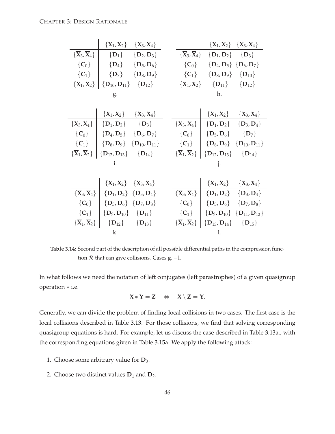<span id="page-53-0"></span>

|                                                        | $\{X_1, X_2\}$                                                                           | $\{X_3, X_4\}$                      |                                                        | $\{X_1, X_2\} \{X_3, X_4\}$                    |                                        |
|--------------------------------------------------------|------------------------------------------------------------------------------------------|-------------------------------------|--------------------------------------------------------|------------------------------------------------|----------------------------------------|
| $\{\overline{\mathbf{X}}_3, \overline{\mathbf{X}}_4\}$ | ${D_1}$                                                                                  | ${D_2, D_3}$                        | $\{\overline{\mathbf{X}}_3, \overline{\mathbf{X}}_4\}$ | ${D_1, D_2} \quad {D_3}$                       |                                        |
| ${C_0}$                                                | ${D_4}$                                                                                  | ${D_5, D_6}$                        | ${C_0}$                                                | ${D_4, D_5} {D_6, D_7}$                        |                                        |
| ${C_1}$                                                | ${D_7}$                                                                                  | $\{D_8, D_9\}$                      | ${C_1}$                                                | $\{{\rm\textbf{D}}_8, {\rm\textbf{D}}_9\}$     | $\{ {\bf D}_{10} \}$                   |
| $\{\overline{\mathbf{X}}_1, \overline{\mathbf{X}}_2\}$ | $\left\{ \left. \mathbf{D}_{10},\mathbf{D}_{11}\right\} \quad\{ \mathbf{D}_{12}\right\}$ |                                     | $\{\overline{\mathbf{X}}_1, \overline{\mathbf{X}}_2\}$ | $\{ {\bf D}_{11} \}$                           | ${D_{12}}$                             |
|                                                        | g.                                                                                       |                                     |                                                        | h.                                             |                                        |
|                                                        |                                                                                          |                                     |                                                        |                                                |                                        |
|                                                        | $\{X_1, X_2\}$ $\{X_3, X_4\}$                                                            |                                     |                                                        | $\{X_1, X_2\}$ $\{X_3, X_4\}$                  |                                        |
| $\{\overline{\mathbf{X}}_3, \overline{\mathbf{X}}_4\}$ | ${D_1, D_2}$ ${D_3}$                                                                     |                                     | $\{\overline{\mathbf{X}}_3, \overline{\mathbf{X}}_4\}$ | ${D_1, D_2} {\fbox{D}_3, D_4}$                 |                                        |
| ${C_0}$                                                | ${D_4, D_5}$ ${D_6, D_7}$                                                                |                                     | ${C_0}$                                                | $\{{\rm\textbf{D}}_{5}, {\rm\textbf{D}}_{6}\}$ | ${D_7}$                                |
| ${C_1}$                                                |                                                                                          | $\{D_8, D_9\}$ $\{D_{10}, D_{11}\}$ | ${C_1}$                                                |                                                | $\{D_8, D_9\}$ $\{D_{10}, D_{11}\}$    |
| $\{\overline{\mathbf{X}}_1, \overline{\mathbf{X}}_2\}$ | ${D_{12}, D_{13}}$                                                                       | $\{ {\bf D}_{14} \}$                | $\{\overline{\mathbf{X}}_1, \overline{\mathbf{X}}_2\}$ | ${D_{12}, D_{13}}$ ${D_{14}}$                  |                                        |
|                                                        | i.                                                                                       |                                     |                                                        | $\mathbf{i}$ .                                 |                                        |
|                                                        |                                                                                          |                                     |                                                        |                                                |                                        |
|                                                        |                                                                                          | ${X_1, X_2} \quad {X_3, X_4}$       |                                                        | $\{X_1, X_2\}$                                 | $\{X_3, X_4\}$                         |
| $\{\overline{\mathbf{X}}_3, \overline{\mathbf{X}}_4\}$ |                                                                                          | ${D_1, D_2} {D_3, D_4}$             | $\{\overline{\mathbf{X}}_3, \overline{\mathbf{X}}_4\}$ | $\{D_1, D_2\}$                                 | ${D_3, D_4}$                           |
| ${C_0}$                                                |                                                                                          | ${D_5, D_6} {D_7, D_8}$             | ${C_0}$                                                | ${D_5, D_6} {D_7, D_8}$                        |                                        |
| ${C_1}$                                                | $\{D_9, D_{10}\}$ $\{D_{11}\}$                                                           |                                     | ${C_1}$                                                |                                                | $\{D_9, D_{10}\}$ $\{D_{11}, D_{12}\}$ |
| $\{\overline{\mathbf{X}}_1, \overline{\mathbf{X}}_2\}$ |                                                                                          | ${D_{12}} \quad {D_{13}}$           | $\{\overline{\mathbf{X}}_1, \overline{\mathbf{X}}_2\}$ | $\{D_{13}, D_{14}\}$ $\{D_{15}\}$              |                                        |
|                                                        | k.                                                                                       |                                     |                                                        | 1.                                             |                                        |

**Table 3.14:** Second part of the description of all possible differential paths in the compression function  $R$  that can give collisions. Cases g.  $-1$ .

In what follows we need the notation of left conjugates (left parastrophes) of a given quasigroup operation ∗ i.e.

$$
X * Y = Z \quad \Leftrightarrow \quad X \setminus Z = Y.
$$

Generally, we can divide the problem of finding local collisions in two cases. The first case is the local collisions described in Table [3.13.](#page-52-0) For those collisions, we find that solving corresponding quasigroup equations is hard. For example, let us discuss the case described in Table [3.13a](#page-52-0)., with the corresponding equations given in Table [3.15a](#page-56-0). We apply the following attack:

- 1. Choose some arbitrary value for **D**3.
- 2. Choose two distinct values **D**<sup>1</sup> and **D**2.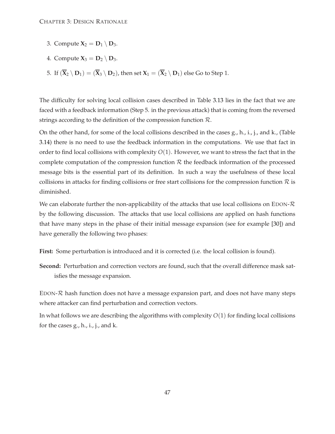- 3. Compute  $X_2 = D_1 \setminus D_3$ .
- 4. Compute  $X_3 = D_2 \setminus D_3$ .
- 5. If  $(\overline{X}_2 \setminus D_1) = (\overline{X}_3 \setminus D_2)$ , then set  $X_1 = (\overline{X}_2 \setminus D_1)$  else Go to Step 1.

The difficulty for solving local collision cases described in Table [3.13](#page-52-0) lies in the fact that we are faced with a feedback information (Step 5. in the previous attack) that is coming from the reversed strings according to the definition of the compression function  $\mathcal{R}$ .

On the other hand, for some of the local collisions described in the cases g., h., i., j., and k., (Table [3.14\)](#page-53-0) there is no need to use the feedback information in the computations. We use that fact in order to find local collisions with complexity  $O(1)$ . However, we want to stress the fact that in the complete computation of the compression function  $R$  the feedback information of the processed message bits is the essential part of its definition. In such a way the usefulness of these local collisions in attacks for finding collisions or free start collisions for the compression function  $\mathcal R$  is diminished.

We can elaborate further the non-applicability of the attacks that use local collisions on EDON- $\mathcal{R}$ by the following discussion. The attacks that use local collisions are applied on hash functions that have many steps in the phase of their initial message expansion (see for example [\[30\]](#page-78-2)) and have generally the following two phases:

**First:** Some perturbation is introduced and it is corrected (i.e. the local collision is found).

**Second:** Perturbation and correction vectors are found, such that the overall difference mask satisfies the message expansion.

EDON-R hash function does not have a message expansion part, and does not have many steps where attacker can find perturbation and correction vectors.

In what follows we are describing the algorithms with complexity  $O(1)$  for finding local collisions for the cases g., h., i., j., and k.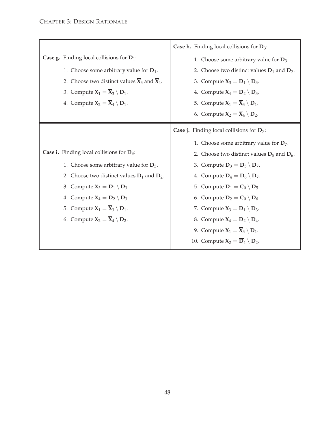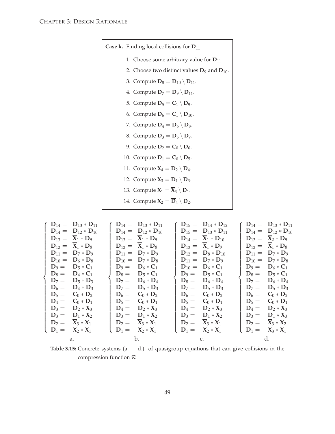

<span id="page-56-0"></span>

| $D_{14} = D_{13} * D_{11}$      | $D_{14} = D_{13} * D_{11}$      | $D_{15} = D_{14} * D_{12}$      | $D_{14} = D_{13} * D_{11}$      |
|---------------------------------|---------------------------------|---------------------------------|---------------------------------|
| $D_{14} = D_{12} * D_{10}$      | $D_{14} = D_{12} * D_{10}$      | $D_{15} = D_{13} * D_{11}$      | $D_{14} = D_{12} * D_{10}$      |
| $D_{13} = X_1 * D_9$            | $D_{13} = X_1 * D_9$            | $D_{14} = X_1 * D_{10}$         | $D_{13} = X_2 * D_9$            |
| $D_{12} = \overline{X}_1 * D_8$ | $D_{12} = \overline{X}_1 * D_8$ | $D_{13} = \overline{X}_1 * D_9$ | $D_{12} = \overline{X}_1 * D_8$ |
| $D_{11} = D_7 * D_9$            | $D_{11} = D_7 * D_9$            | $D_{12} = D_8 * D_{10}$         | $D_{11} = D_7 * D_9$            |
| $D_{10} = D_6 * D_8$            | $D_{10} = D_7 * D_8$            | $D_{11} = D_7 * D_9$            | $D_{10} = D_7 * D_8$            |
| $D_9 = D_5 * C_1$               | $D_9 = D_6 * C_1$               | $D_{10} = D_6 * C_1$            | $D_9 = D_6 * C_1$               |
| $D_8 = D_4 * C_1$               | $D_8 = D_5 * C_1$               | $D_9 = D_5 * C_1$               | $D_8 = D_5 * C_1$               |
| $D_7 = D_5 * D_3$               | $D_7 = D_6 * D_4$               | $D_8 = D_6 * D_4$               | $D_7 = D_6 * D_4$               |
| $D_6 = D_4 * D_3$               | $D_7 = D_5 * D_3$               | $D_7 = D_5 * D_3$               | $D_7 = D_5 * D_3$               |
| $D_5 = C_0 * D_2$               | $D_6 = C_0 * D_2$               | $D_6 = C_0 * D_2$               | $D_6 = C_0 * D_2$               |
| $D_4 = C_0 * D_1$               | $D_5 = C_0 * D_1$               | $D_5 = C_0 * D_1$               | $D_5 = C_0 * D_1$               |
| $D_3 = D_2 * X_3$               | $D_4 = D_2 * X_3$               | $D_4 = D_2 * X_3$               | $D_4 = D_2 * X_3$               |
| $D_3 = D_1 * X_2$               | $D_3 = D_1 * X_2$               | $D_3 = D_1 * X_2$               | $D_3 = D_1 * X_3$               |
| $D_2 = X_3 * X_1$               | $D_2 = X_3 * X_1$               | $D_2 = X_3 * X_1$               | $D_2 = X_3 * X_2$               |
| $D_1 = \overline{X}_2 * X_1$    | $D_1 = \overline{X}_2 * X_1$    | $D_1 = \overline{X}_2 * X_1$    | $D_1 = \overline{X}_3 * X_1$    |
| a.                              | $\mathbf{b}$ .                  | C.                              | $\mathbf{d}$ .                  |

**Table 3.15:** Concrete systems (a. – d.) of quasigroup equations that can give collisions in the compression function R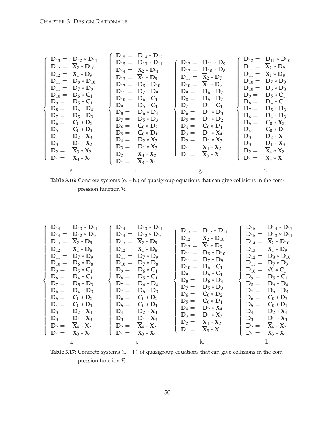<span id="page-57-0"></span>

| $D_{13} = D_{12} * D_{11}$<br>$D_{12} = X_2 * D_{10}$<br>$D_{12} = X_1 * D_9$<br>$D_{11} = D_8 * D_{10}$<br>$D_{11} = D_7 * D_9$<br>$D_{10} = D_6 * C_1$<br>$D_9 = D_5 * C_1$<br>$D_8 = D_6 * D_4$<br>$D_7 = D_5 * D_3$<br>$D_6 = C_0 * D_2$<br>$D_5 = C_0 * D_1$<br>$D_4 = D_2 * X_3$<br>$D_3 = D_1 * X_2$<br>$D_2 = X_3 * X_2$<br>$D_1 = X_3 * X_1$ | $D_{15} = D_{14} * D_{12}$<br>$D_{15} = D_{13} * D_{11}$<br>$D_{14} = X_2 * D_{10}$<br>$D_{13} = \overline{X}_1 * D_9$<br>$D_{12} = D_8 * D_{10}$<br>$D_{11} = D_7 * D_9$<br>$D_{10} = D_6 * C_1$<br>$D_9 = D_5 * C_1$<br>$D_8 = D_6 * D_4$<br>$D_7 = D_5 * D_3$<br>$D_6 = C_0 * D_2$<br>$D_5 = C_0 * D_1$<br>$D_4 = D_2 * X_3$<br>$D_3 = D_1 * X_3$<br>$D_2 = \overline{X}_3 * X_2$<br>$D_1 = \overline{X}_3 * X_1$ | $D_{12} = D_{11} * D_9$<br>$D_{12} = D_{10} * D_8$<br>$D_{11} = \overline{X}_2 * D_7$<br>$D_{10} = \overline{X}_1 * D_7$<br>$D_9 = D_6 * D_7$<br>$D_8 = D_5 * D_7$<br>$D_7 = D_4 * C_1$<br>$D_6 = D_4 * D_3$<br>$D_5 = D_4 * D_2$<br>$D_4 = C_0 * D_1$<br>$D_3 = D_1 * X_4$<br>$D_2 = D_1 * X_3$<br>$D_1 = X_4 * X_2$<br>$D_1 = X_3 * X_1$ | $D_{12} = D_{11} * D_{10}$<br>$D_{11} = X_2 * D_9$<br>$D_{11} = X_1 * D_8$<br>$D_{10} = D_7 * D_9$<br>$D_{10} = D_6 * D_8$<br>$D_9 = D_5 * C_1$<br>$D_8 = D_4 * C_1$<br>$D_7 = D_5 * D_3$<br>$D_6 = D_4 * D_3$<br>$D_5 = C_0 * X_2$<br>$D_4 = C_0 * D_1$<br>$D_3 = D_2 * X_4$<br>$D_3 = D_1 * X_3$<br>$D_2 = X_4 * X_2$<br>$D_1 = X_3 * X_1$ |
|-------------------------------------------------------------------------------------------------------------------------------------------------------------------------------------------------------------------------------------------------------------------------------------------------------------------------------------------------------|----------------------------------------------------------------------------------------------------------------------------------------------------------------------------------------------------------------------------------------------------------------------------------------------------------------------------------------------------------------------------------------------------------------------|--------------------------------------------------------------------------------------------------------------------------------------------------------------------------------------------------------------------------------------------------------------------------------------------------------------------------------------------|----------------------------------------------------------------------------------------------------------------------------------------------------------------------------------------------------------------------------------------------------------------------------------------------------------------------------------------------|
| e.                                                                                                                                                                                                                                                                                                                                                    | f.                                                                                                                                                                                                                                                                                                                                                                                                                   | $\mathbf{g}$ .                                                                                                                                                                                                                                                                                                                             | h.                                                                                                                                                                                                                                                                                                                                           |

**Table 3.16:** Concrete systems (e. – h.) of quasigroup equations that can give collisions in the compression function R

<span id="page-57-1"></span>

**Table 3.17:** Concrete systems (i. – l.) of quasigroup equations that can give collisions in the compression function R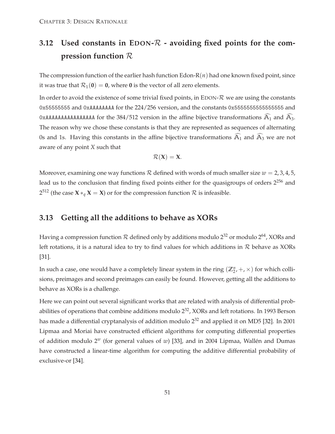# **3.12 Used constants in EDON-**R **- avoiding fixed points for the compression function** R

The compression function of the earlier hash function  $Edon-R(n)$  had one known fixed point, since it was true that  $\mathcal{R}_1(\mathbf{0}) = \mathbf{0}$ , where  $\mathbf{0}$  is the vector of all zero elements.

In order to avoid the existence of some trivial fixed points, in EDON- $R$  we are using the constants 0x55555555 and 0xAAAAAAAA for the 224/256 version, and the constants 0x5555555555555555 and 0xAAAAAAAAAAAAAAAAAA for the 384/512 version in the affine bijective transformations  $\widehat{A}_1$  and  $\widehat{A}_3$ . The reason why we chose these constants is that they are represented as sequences of alternating 0s and 1s. Having this constants in the affine bijective transformations  $\mathbf{\hat{A}}_1$  and  $\mathbf{\hat{A}}_3$  we are not aware of any point *X* such that

$$
\mathcal{R}(X)=X.
$$

Moreover, examining one way functions  $R$  defined with words of much smaller size  $w = 2, 3, 4, 5$ , lead us to the conclusion that finding fixed points either for the quasigroups of orders 2<sup>256</sup> and 2<sup>512</sup> (the case  $X *_q X = X$ ) or for the compression function  $R$  is infeasible.

#### **3.13 Getting all the additions to behave as XORs**

Having a compression function  $R$  defined only by additions modulo  $2^{32}$  or modulo  $2^{64}$ , XORs and left rotations, it is a natural idea to try to find values for which additions in  $R$  behave as XORs [\[31](#page-78-3)].

In such a case, one would have a completely linear system in the ring  $(\mathbb{Z}_2^n, +, \times)$  for which collisions, preimages and second preimages can easily be found. However, getting all the additions to behave as XORs is a challenge.

Here we can point out several significant works that are related with analysis of differential probabilities of operations that combine additions modulo  $2^{32}$ , XORs and left rotations. In 1993 Berson has made a differential cryptanalysis of addition modulo  $2^{32}$  and applied it on MD5 [\[32\]](#page-78-4). In 2001 Lipmaa and Moriai have constructed efficient algorithms for computing differential properties of addition modulo 2*<sup>w</sup>* (for general values of *w*) [\[33](#page-78-5)], and in 2004 Lipmaa, Wallén and Dumas have constructed a linear-time algorithm for computing the additive differential probability of exclusive-or [\[34\]](#page-78-6).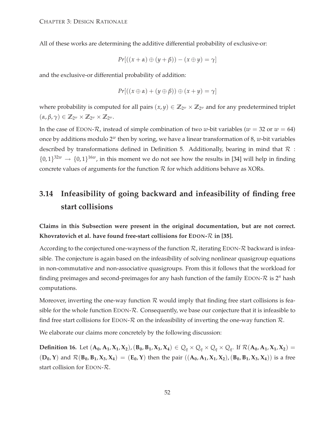All of these works are determining the additive differential probability of exclusive-or:

$$
Pr[((x + \alpha) \oplus (y + \beta)) - (x \oplus y) = \gamma]
$$

and the exclusive-or differential probability of addition:

$$
Pr[((x \oplus \alpha) + (y \oplus \beta)) \oplus (x + y) = \gamma]
$$

where probability is computed for all pairs  $(x, y) \in \mathbb{Z}_{2^w} \times \mathbb{Z}_{2^w}$  and for any predetermined triplet  $(\alpha, \beta, \gamma) \in \mathbb{Z}_{2^w} \times \mathbb{Z}_{2^w} \times \mathbb{Z}_{2^w}.$ 

In the case of EDON- $\mathcal{R}$ , instead of simple combination of two *w*-bit variables ( $w = 32$  or  $w = 64$ ) once by additions modulo 2*<sup>w</sup>* then by xoring, we have a linear transformation of 8, *w*-bit variables described by transformations defined in Definition [5.](#page-21-0) Additionally, bearing in mind that  $\mathcal R$  :  $\{0,1\}^{32w} \rightarrow \{0,1\}^{16w}$ , in this moment we do not see how the results in [\[34](#page-78-6)] will help in finding concrete values of arguments for the function  $R$  for which additions behave as XORs.

## **3.14 Infeasibility of going backward and infeasibility of finding free start collisions**

**Claims in this Subsection were present in the original documentation, but are not correct. Khovratovich et al. have found free-start collisions for EDON-** $\mathcal{R}$  **in [\[35](#page-78-7)].** 

According to the conjectured one-wayness of the function  $R$ , iterating EDON- $R$  backward is infeasible. The conjecture is again based on the infeasibility of solving nonlinear quasigroup equations in non-commutative and non-associative quasigroups. From this it follows that the workload for finding preimages and second-preimages for any hash function of the family EDON- $\mathcal{R}$  is  $2^n$  hash computations.

Moreover, inverting the one-way function  $R$  would imply that finding free start collisions is feasible for the whole function  $EDON-R$ . Consequently, we base our conjecture that it is infeasible to find free start collisions for EDON- $R$  on the infeasibility of inverting the one-way function  $R$ .

We elaborate our claims more concretely by the following discussion:

**Definition 16.** Let  $(A_0, A_1, X_1, X_2)$ ,  $(B_0, B_1, X_3, X_4) \in Q_q \times Q_q \times Q_q \times Q_q$ . If  $\mathcal{R}(A_0, A_1, X_1, X_2)$  $(D_0, Y)$  and  $\mathcal{R}(B_0, B_1, X_3, X_4) = (E_0, Y)$  then the pair  $((A_0, A_1, X_1, X_2), (B_0, B_1, X_3, X_4))$  is a free start collision for EDON-R.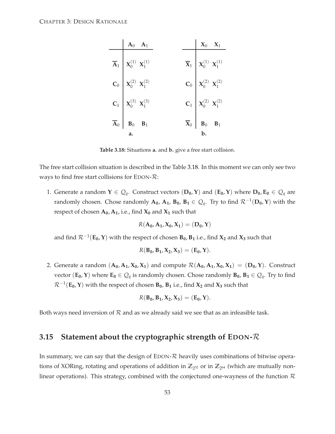<span id="page-60-0"></span>

**Table 3.18:** Situations **a.** and **b.** give a free start collision.

The free start collision situation is described in the Table [3.18.](#page-60-0) In this moment we can only see two ways to find free start collisions for EDON- $\mathcal{R}$ :

1. Generate a random  $Y \in Q_q$ . Construct vectors  $(D_0, Y)$  and  $(E_0, Y)$  where  $D_0, E_0 \in Q_q$  are randomly chosen. Chose randomly  $A_0$ ,  $A_1$ ,  $B_0$ ,  $B_1 \in Q_q$ . Try to find  $\mathcal{R}^{-1}(D_0, Y)$  with the respect of chosen  $A_0$ ,  $A_1$ , i.e., find  $X_0$  and  $X_1$  such that

$$
R(\mathbf{A}_0, \mathbf{A}_1, X_0, X_1) = (\mathbf{D}_0, \mathbf{Y})
$$

and find  $\mathcal{R}^{-1}(\mathbf{E_0,Y})$  with the respect of chosen  $\mathbf{B_0,B_1}$  i.e., find  $\mathbf{X_2}$  and  $\mathbf{X_3}$  such that

$$
R(B_0, B_1, X_2, X_3) = (E_0, Y).
$$

2. Generate a random  $(A_0, A_1, X_0, X_1)$  and compute  $\mathcal{R}(A_0, A_1, X_0, X_1) = (D_0, Y)$ . Construct vector  $(\mathbf{E_0, Y})$  where  $\mathbf{E_0} \in Q_q$  is randomly chosen. Chose randomly  $\mathbf{B_0, B_1} \in Q_q$ . Try to find R−<sup>1</sup> (**E0**, **Y**) with the respect of chosen **B0**, **B<sup>1</sup>** i.e., find **X<sup>2</sup>** and **X<sup>3</sup>** such that

$$
R(B_0, B_1, X_2, X_3) = (E_0, Y).
$$

<span id="page-60-1"></span>Both ways need inversion of  $R$  and as we already said we see that as an infeasible task.

## **3.15 Statement about the cryptographic strength of EDON-**R

In summary, we can say that the design of EDON-R heavily uses combinations of bitwise operations of XORing, rotating and operations of addition in  $\mathbb{Z}_{2^{32}}$  or in  $\mathbb{Z}_{2^{64}}$  (which are mutually nonlinear operations). This strategy, combined with the conjectured one-wayness of the function  $\mathcal R$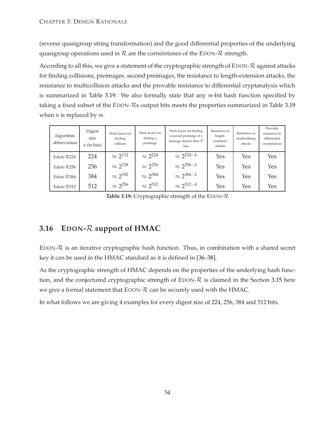(reverse quasigroup string transformation) and the good differential properties of the underlying quasigroup operations used in  $R$  are the cornerstones of the EDON- $R$  strength.

According to all this, we give a statement of the cryptographic strength of  $E$ DON- $R$  against attacks for finding collisions, preimages, second preimages, the resistance to length-extension attacks, the resistance to multicollision attacks and the provable resistance to differential cryptanalysis which is summarized in Table [3.19.](#page-61-0) We also formally state that any *m*-bit hash function specified by taking a fixed subset of the EDON-Rs output bits meets the properties summarized in Table [3.19](#page-61-0) when *n* is replaced by *m*.

<span id="page-61-0"></span>

| Algorithm<br>abbreviation | Digest<br>size<br>$n$ (in bits) | Work factor for<br>finding<br>collision | Work factor for<br>finding a<br>preimage | Work factor for finding<br>a second preimage of a<br>message shorter than $2^k$<br><b>bits</b> | Resistance to<br>length-<br>extension<br>attacks | Resistance to<br>multicollision<br>attacks | Provable<br>resistance to<br>differential<br>cryptanalysis |
|---------------------------|---------------------------------|-----------------------------------------|------------------------------------------|------------------------------------------------------------------------------------------------|--------------------------------------------------|--------------------------------------------|------------------------------------------------------------|
| Edon- $R224$              | 224                             | $\approx 2^{112}$                       | $\approx 2^{224}$                        | $\approx 2^{224-k}$                                                                            | Yes                                              | Yes                                        | Yes                                                        |
| Edon- $R256$              | 256                             | $\approx$ 2 <sup>128</sup>              | $\approx 2^{256}$                        | $\approx 2^{256-k}$                                                                            | Yes                                              | Yes                                        | Yes                                                        |
| Edon-R384                 | 384                             | $\approx$ 2 <sup>192</sup>              | $\approx 2^{384}$                        | $\approx 2^{384-k}$                                                                            | Yes                                              | Yes                                        | Yes                                                        |
| Edon- $R512$              | 512                             | $\approx$ 2 <sup>256</sup>              | $\approx 2^{512}$                        | $\approx 2^{512-k}$                                                                            | Yes                                              | Yes                                        | Yes                                                        |

Table 3.19: Cryptographic strength of the EDON- $\mathcal R$ 

## **3.16 EDON-**R **support of HMAC**

EDON- $\mathcal{R}$  is an iterative cryptographic hash function. Thus, in combination with a shared secret key it can be used in the HMAC standard as it is defined in [\[36](#page-78-8)[–38](#page-78-9)].

As the cryptographic strength of HMAC depends on the properties of the underlying hash function, and the conjectured cryptographic strength of EDON- $R$  is claimed in the Section [3.15](#page-60-1) here we give a formal statement that  $EDON-R$  can be securely used with the HMAC.

In what follows we are giving 4 examples for every digest size of 224, 256, 384 and 512 bits.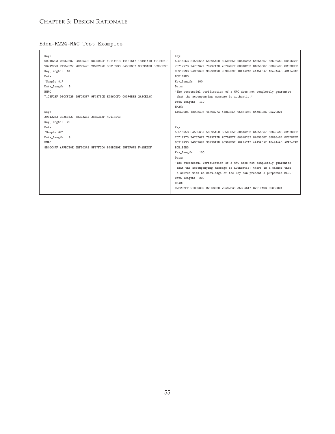#### CHAPTER 3: DESIGN RATIONALE

#### Edon-R224-MAC Test Examples

| Key:                                                                    | Key:                                                                    |
|-------------------------------------------------------------------------|-------------------------------------------------------------------------|
| 00010203 04050607 08090A0B 0CODOEOF 10111213 14151617 18191A1B 1C1D1E1F | 50515253 54555657 58595A5B 5C5D5E5F 60616263 64656667 68696A6B 6C6D6E6F |
| 20212223 24252627 28292A2B 2C2D2E2F 30313233 34353637 38393A3B 3C3D3E3F | 70717273 74757677 78797A7B 7C7D7E7F 80818283 84858687 88898A8B 8C8D8E8F |
| Key_length: 64                                                          | 90919293 94959697 98999A9B 9C9D9E9F A0A1A2A3 A4A5A6A7 A8A9AAAB ACADAEAF |
| Data:                                                                   | BOB1B2B3                                                                |
| 'Sample #1'                                                             | Key_length: 100                                                         |
| Data_length: 9                                                          | Data:                                                                   |
| HMAC:                                                                   | 'The successful verification of a MAC does not completely guarantee     |
| 71C8F2BF D3CCF225 69FC93F7 9F48750E E48620F0 003F6BEB 2A3CE6AC          | that the accompanying message is authentic.'                            |
|                                                                         | Data_length: 110                                                        |
|                                                                         | HMAC:                                                                   |
| Key:                                                                    | E16AC9B5 4B998A93 4A39C27A A48EE2A4 95661062 CAA03DBE CDA70D21          |
| 30313233 34353637 38393A3B 3C3D3E3F 40414243                            |                                                                         |
| Key_length: 20                                                          |                                                                         |
| Data:                                                                   | Key:                                                                    |
| 'Sample #2'                                                             | 50515253 54555657 58595A5B 5C5D5E5F 60616263 64656667 68696A6B 6C6D6E6F |
| Data_length: 9                                                          | 70717273 74757677 78797A7B 7C7D7E7F 80818283 84858687 88898A8B 8C8D8E8F |
| HMAC:                                                                   | 90919293 94959697 98999A9B 9C9D9E9F A0A1A2A3 A4A5A6A7 A8A9AAAB ACADAEAF |
| 8B40C47F A7FBCEOE 6BF303A8 5F37FDD0 B48B2B9E 55F5F6FB F41BE6DF          | BOB1B2B3                                                                |
|                                                                         | Key_length:<br>100                                                      |
|                                                                         | Data:                                                                   |
|                                                                         | 'The successful verification of a MAC does not completely guarantee     |
|                                                                         | that the accompanying message is authentic: there is a chance that      |
|                                                                         | a source with no knowledge of the key can present a purported MAC.'     |
|                                                                         | Data_length:<br>200                                                     |
|                                                                         | HMAC:                                                                   |
|                                                                         | 92E297FF 91BB08B9 B2C68F6D 2DA82F33 353CA617 C721DA0B FC03D801          |
|                                                                         |                                                                         |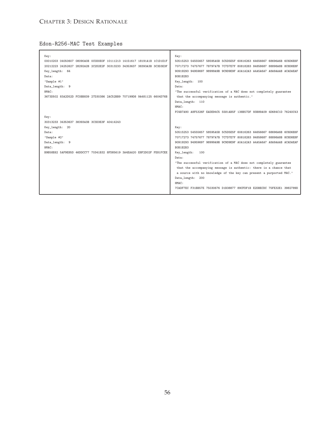#### CHAPTER 3: DESIGN RATIONALE

#### Edon-R256-MAC Test Examples

| Key:                                                                    | Key:                                                                    |
|-------------------------------------------------------------------------|-------------------------------------------------------------------------|
| 00010203 04050607 08090A0B 0CODOEOF 10111213 14151617 18191A1B 1C1D1E1F | 50515253 54555657 58595A5B 5C5D5E5F 60616263 64656667 68696A6B 6C6D6E6F |
| 20212223 24252627 28292A2B 2C2D2E2F 30313233 34353637 38393A3B 3C3D3E3F | 70717273 74757677 78797A7B 7C7D7E7F 80818283 84858687 88898A8B 8C8D8E8F |
| Key_length: 64                                                          | 90919293 94959697 98999A9B 9C9D9E9F A0A1A2A3 A4A5A6A7 A8A9AAAB ACADAEAF |
| Data:                                                                   | BOB1B2B3                                                                |
| 'Sample #1'                                                             | Key_length: 100                                                         |
| Data_length: 9                                                          | Data:                                                                   |
| HMAC:                                                                   | 'The successful verification of a MAC does not completely guarantee     |
| 3673D502 83A2D52D FC0BB839 27D30386 2AC52BB9 707199D8 9A481125 6604D76B | that the accompanying message is authentic.'                            |
|                                                                         | Data_length: 110                                                        |
|                                                                         | HMAC:                                                                   |
|                                                                         | FC4B7A90 A8F5326F EADE94C5 5581AB5F 138B57DF 93B89A09 4D684C1D 76240C43 |
| Key:                                                                    |                                                                         |
| 30313233 34353637 38393A3B 3C3D3E3F 40414243                            |                                                                         |
| Key_length: 20                                                          | Key:                                                                    |
| Data:                                                                   | 50515253 54555657 58595A5B 5C5D5E5F 60616263 64656667 68696A6B 6C6D6E6F |
| 'Sample #2'                                                             | 70717273 74757677 78797A7B 7C7D7E7F 80818283 84858687 88898A8B 8C8D8E8F |
| Data_length: 9                                                          | 90919293 94959697 98999A9B 9C9D9E9F A0A1A2A3 A4A5A6A7 A8A9AAAB ACADAEAF |
| HMAC:                                                                   | BOB1B2B3                                                                |
| B9B58E62 5AF9E85D 46DDCC77 70341B32 8FD85619 3A4EAA20 E8F2D02F FE81FCEE | Key_length:<br>100                                                      |
|                                                                         | Data:                                                                   |
|                                                                         | 'The successful verification of a MAC does not completely guarantee     |
|                                                                         | that the accompanying message is authentic: there is a chance that      |
|                                                                         |                                                                         |
|                                                                         | a source with no knowledge of the key can present a purported MAC.'     |
|                                                                         | Data_length: 200                                                        |
|                                                                         | HMAC:                                                                   |
|                                                                         | 7CADF7EC F31BB57E 75030676 D1B38877 89CFDF1B E2DBECDC 75FE32E1 3982789D |
|                                                                         |                                                                         |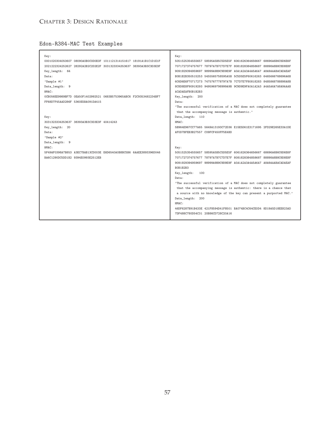#### Edon-R384-MAC Test Examples

| 0001020304050607  08090A0B0C0D0E0F  1011121314151617  18191A1B1C1D1E1F<br>5051525354555657    58595A5B5C5D5E5F    6061626364656667    68696A6B6C6D6E6F<br>2021222324252627 28292A2B2C2D2E2F 3031323334353637 38393A3B3C3D3E3F<br>7071727374757677    78797A7B7C7D7E7F    8081828384858687    88898A8B8C8D8E8F<br>9091929394959697  98999A9B9C9D9E9F  A0A1A2A3A4A5A6A7  A8A9AAABACADAEAF<br>Key_length: 64<br>B0B1B2B350515253 5455565758595A5B 5C5D5E5F60616263 6465666768696A6B<br>Data:<br>6C6D6E6F70717273    7475767778797A7B    7C7D7E7F80818283    8485868788898A8B<br>'Sample #1'<br>Data_length: 9<br>8C8D8E8F90919293  9495969798999A9B  9C9D9E9FA0A1A2A3  A4A5A6A7A8A9AAAB<br>HMAC:<br>ACADAEAFBOB1B2B3<br>OCB056EE9989BF7D OEA50F1402992521 0683B5753965ABC6 F2C9353492234BF7<br>Key_length: 200<br>FF68D7F45AAD286F 5360E5BA091DA415<br>Data:<br>'The successful verification of a MAC does not completely guarantee<br>that the accompanying message is authentic.'<br>Data_length: 110<br>Key:<br>HMAC:<br>3031323334353637 38393A3B3C3D3E3F 40414243<br>Key_length: 20<br>5B964E967CC77A65 5649A13193C72D36 E15E5D61E3171695 2FD29E265E33A1DE<br>Data:<br>AFOD7BFEB3B27557 CO9FCF450FF5E4BD<br>'Sample #2'<br>Data_length: 9<br>HMAC:<br>Key:<br>5F49AF0398A7B853 A3EC7BAB13CD003E E6D6540A0B8BC5B6 6AAEE3893396D046<br>5051525354555657    58595A5B5C5D5E5F    6061626364656667    68696A6B6C6D6E6F<br>7071727374757677    78797A7B7C7D7E7F    8081828384858687    88898A8B8C8D8E8F<br>BA6C1290DC5DD1B2 9394E0993E2512EB<br>9091929394959697  98999A9B9C9D9E9F  A0A1A2A3A4A5A6A7  A8A9AAABACADAEAF<br><b>BOB1B2B3</b><br>Key_length:<br>100<br>Data:<br>'The successful verification of a MAC does not completely guarantee<br>that the accompanying message is authentic: there is a chance that<br>a source with no knowledge of the key can present a purported MAC.'<br>Data_length: 200<br>HMAC:<br>46DF6287B91B433E 421F8594D41F8501 BA074BC4C64CE0D4 8D19A5D18EE823AD |      |                                   |
|----------------------------------------------------------------------------------------------------------------------------------------------------------------------------------------------------------------------------------------------------------------------------------------------------------------------------------------------------------------------------------------------------------------------------------------------------------------------------------------------------------------------------------------------------------------------------------------------------------------------------------------------------------------------------------------------------------------------------------------------------------------------------------------------------------------------------------------------------------------------------------------------------------------------------------------------------------------------------------------------------------------------------------------------------------------------------------------------------------------------------------------------------------------------------------------------------------------------------------------------------------------------------------------------------------------------------------------------------------------------------------------------------------------------------------------------------------------------------------------------------------------------------------------------------------------------------------------------------------------------------------------------------------------------------------------------------------------------------------------------------------------------------------------------------------------------------------------------------------------------------------------------------------------------------------------------------------------------------------------------|------|-----------------------------------|
|                                                                                                                                                                                                                                                                                                                                                                                                                                                                                                                                                                                                                                                                                                                                                                                                                                                                                                                                                                                                                                                                                                                                                                                                                                                                                                                                                                                                                                                                                                                                                                                                                                                                                                                                                                                                                                                                                                                                                                                              | Key: | Key:                              |
|                                                                                                                                                                                                                                                                                                                                                                                                                                                                                                                                                                                                                                                                                                                                                                                                                                                                                                                                                                                                                                                                                                                                                                                                                                                                                                                                                                                                                                                                                                                                                                                                                                                                                                                                                                                                                                                                                                                                                                                              |      |                                   |
|                                                                                                                                                                                                                                                                                                                                                                                                                                                                                                                                                                                                                                                                                                                                                                                                                                                                                                                                                                                                                                                                                                                                                                                                                                                                                                                                                                                                                                                                                                                                                                                                                                                                                                                                                                                                                                                                                                                                                                                              |      |                                   |
|                                                                                                                                                                                                                                                                                                                                                                                                                                                                                                                                                                                                                                                                                                                                                                                                                                                                                                                                                                                                                                                                                                                                                                                                                                                                                                                                                                                                                                                                                                                                                                                                                                                                                                                                                                                                                                                                                                                                                                                              |      |                                   |
|                                                                                                                                                                                                                                                                                                                                                                                                                                                                                                                                                                                                                                                                                                                                                                                                                                                                                                                                                                                                                                                                                                                                                                                                                                                                                                                                                                                                                                                                                                                                                                                                                                                                                                                                                                                                                                                                                                                                                                                              |      |                                   |
|                                                                                                                                                                                                                                                                                                                                                                                                                                                                                                                                                                                                                                                                                                                                                                                                                                                                                                                                                                                                                                                                                                                                                                                                                                                                                                                                                                                                                                                                                                                                                                                                                                                                                                                                                                                                                                                                                                                                                                                              |      |                                   |
|                                                                                                                                                                                                                                                                                                                                                                                                                                                                                                                                                                                                                                                                                                                                                                                                                                                                                                                                                                                                                                                                                                                                                                                                                                                                                                                                                                                                                                                                                                                                                                                                                                                                                                                                                                                                                                                                                                                                                                                              |      |                                   |
|                                                                                                                                                                                                                                                                                                                                                                                                                                                                                                                                                                                                                                                                                                                                                                                                                                                                                                                                                                                                                                                                                                                                                                                                                                                                                                                                                                                                                                                                                                                                                                                                                                                                                                                                                                                                                                                                                                                                                                                              |      |                                   |
|                                                                                                                                                                                                                                                                                                                                                                                                                                                                                                                                                                                                                                                                                                                                                                                                                                                                                                                                                                                                                                                                                                                                                                                                                                                                                                                                                                                                                                                                                                                                                                                                                                                                                                                                                                                                                                                                                                                                                                                              |      |                                   |
|                                                                                                                                                                                                                                                                                                                                                                                                                                                                                                                                                                                                                                                                                                                                                                                                                                                                                                                                                                                                                                                                                                                                                                                                                                                                                                                                                                                                                                                                                                                                                                                                                                                                                                                                                                                                                                                                                                                                                                                              |      |                                   |
|                                                                                                                                                                                                                                                                                                                                                                                                                                                                                                                                                                                                                                                                                                                                                                                                                                                                                                                                                                                                                                                                                                                                                                                                                                                                                                                                                                                                                                                                                                                                                                                                                                                                                                                                                                                                                                                                                                                                                                                              |      |                                   |
|                                                                                                                                                                                                                                                                                                                                                                                                                                                                                                                                                                                                                                                                                                                                                                                                                                                                                                                                                                                                                                                                                                                                                                                                                                                                                                                                                                                                                                                                                                                                                                                                                                                                                                                                                                                                                                                                                                                                                                                              |      |                                   |
|                                                                                                                                                                                                                                                                                                                                                                                                                                                                                                                                                                                                                                                                                                                                                                                                                                                                                                                                                                                                                                                                                                                                                                                                                                                                                                                                                                                                                                                                                                                                                                                                                                                                                                                                                                                                                                                                                                                                                                                              |      |                                   |
|                                                                                                                                                                                                                                                                                                                                                                                                                                                                                                                                                                                                                                                                                                                                                                                                                                                                                                                                                                                                                                                                                                                                                                                                                                                                                                                                                                                                                                                                                                                                                                                                                                                                                                                                                                                                                                                                                                                                                                                              |      |                                   |
|                                                                                                                                                                                                                                                                                                                                                                                                                                                                                                                                                                                                                                                                                                                                                                                                                                                                                                                                                                                                                                                                                                                                                                                                                                                                                                                                                                                                                                                                                                                                                                                                                                                                                                                                                                                                                                                                                                                                                                                              |      |                                   |
|                                                                                                                                                                                                                                                                                                                                                                                                                                                                                                                                                                                                                                                                                                                                                                                                                                                                                                                                                                                                                                                                                                                                                                                                                                                                                                                                                                                                                                                                                                                                                                                                                                                                                                                                                                                                                                                                                                                                                                                              |      |                                   |
|                                                                                                                                                                                                                                                                                                                                                                                                                                                                                                                                                                                                                                                                                                                                                                                                                                                                                                                                                                                                                                                                                                                                                                                                                                                                                                                                                                                                                                                                                                                                                                                                                                                                                                                                                                                                                                                                                                                                                                                              |      |                                   |
|                                                                                                                                                                                                                                                                                                                                                                                                                                                                                                                                                                                                                                                                                                                                                                                                                                                                                                                                                                                                                                                                                                                                                                                                                                                                                                                                                                                                                                                                                                                                                                                                                                                                                                                                                                                                                                                                                                                                                                                              |      |                                   |
|                                                                                                                                                                                                                                                                                                                                                                                                                                                                                                                                                                                                                                                                                                                                                                                                                                                                                                                                                                                                                                                                                                                                                                                                                                                                                                                                                                                                                                                                                                                                                                                                                                                                                                                                                                                                                                                                                                                                                                                              |      |                                   |
|                                                                                                                                                                                                                                                                                                                                                                                                                                                                                                                                                                                                                                                                                                                                                                                                                                                                                                                                                                                                                                                                                                                                                                                                                                                                                                                                                                                                                                                                                                                                                                                                                                                                                                                                                                                                                                                                                                                                                                                              |      |                                   |
|                                                                                                                                                                                                                                                                                                                                                                                                                                                                                                                                                                                                                                                                                                                                                                                                                                                                                                                                                                                                                                                                                                                                                                                                                                                                                                                                                                                                                                                                                                                                                                                                                                                                                                                                                                                                                                                                                                                                                                                              |      |                                   |
|                                                                                                                                                                                                                                                                                                                                                                                                                                                                                                                                                                                                                                                                                                                                                                                                                                                                                                                                                                                                                                                                                                                                                                                                                                                                                                                                                                                                                                                                                                                                                                                                                                                                                                                                                                                                                                                                                                                                                                                              |      |                                   |
|                                                                                                                                                                                                                                                                                                                                                                                                                                                                                                                                                                                                                                                                                                                                                                                                                                                                                                                                                                                                                                                                                                                                                                                                                                                                                                                                                                                                                                                                                                                                                                                                                                                                                                                                                                                                                                                                                                                                                                                              |      |                                   |
|                                                                                                                                                                                                                                                                                                                                                                                                                                                                                                                                                                                                                                                                                                                                                                                                                                                                                                                                                                                                                                                                                                                                                                                                                                                                                                                                                                                                                                                                                                                                                                                                                                                                                                                                                                                                                                                                                                                                                                                              |      |                                   |
|                                                                                                                                                                                                                                                                                                                                                                                                                                                                                                                                                                                                                                                                                                                                                                                                                                                                                                                                                                                                                                                                                                                                                                                                                                                                                                                                                                                                                                                                                                                                                                                                                                                                                                                                                                                                                                                                                                                                                                                              |      |                                   |
|                                                                                                                                                                                                                                                                                                                                                                                                                                                                                                                                                                                                                                                                                                                                                                                                                                                                                                                                                                                                                                                                                                                                                                                                                                                                                                                                                                                                                                                                                                                                                                                                                                                                                                                                                                                                                                                                                                                                                                                              |      |                                   |
|                                                                                                                                                                                                                                                                                                                                                                                                                                                                                                                                                                                                                                                                                                                                                                                                                                                                                                                                                                                                                                                                                                                                                                                                                                                                                                                                                                                                                                                                                                                                                                                                                                                                                                                                                                                                                                                                                                                                                                                              |      |                                   |
|                                                                                                                                                                                                                                                                                                                                                                                                                                                                                                                                                                                                                                                                                                                                                                                                                                                                                                                                                                                                                                                                                                                                                                                                                                                                                                                                                                                                                                                                                                                                                                                                                                                                                                                                                                                                                                                                                                                                                                                              |      |                                   |
|                                                                                                                                                                                                                                                                                                                                                                                                                                                                                                                                                                                                                                                                                                                                                                                                                                                                                                                                                                                                                                                                                                                                                                                                                                                                                                                                                                                                                                                                                                                                                                                                                                                                                                                                                                                                                                                                                                                                                                                              |      |                                   |
|                                                                                                                                                                                                                                                                                                                                                                                                                                                                                                                                                                                                                                                                                                                                                                                                                                                                                                                                                                                                                                                                                                                                                                                                                                                                                                                                                                                                                                                                                                                                                                                                                                                                                                                                                                                                                                                                                                                                                                                              |      |                                   |
|                                                                                                                                                                                                                                                                                                                                                                                                                                                                                                                                                                                                                                                                                                                                                                                                                                                                                                                                                                                                                                                                                                                                                                                                                                                                                                                                                                                                                                                                                                                                                                                                                                                                                                                                                                                                                                                                                                                                                                                              |      |                                   |
|                                                                                                                                                                                                                                                                                                                                                                                                                                                                                                                                                                                                                                                                                                                                                                                                                                                                                                                                                                                                                                                                                                                                                                                                                                                                                                                                                                                                                                                                                                                                                                                                                                                                                                                                                                                                                                                                                                                                                                                              |      | 7DF488C780D54C31 20B86CD728C20A16 |
|                                                                                                                                                                                                                                                                                                                                                                                                                                                                                                                                                                                                                                                                                                                                                                                                                                                                                                                                                                                                                                                                                                                                                                                                                                                                                                                                                                                                                                                                                                                                                                                                                                                                                                                                                                                                                                                                                                                                                                                              |      |                                   |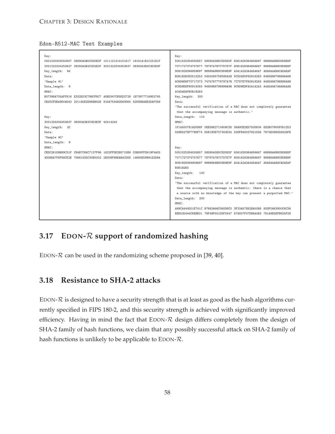

| Key:                                                                | Key:                                                                         |
|---------------------------------------------------------------------|------------------------------------------------------------------------------|
| 0001020304050607 08090A0B0CODOEOF 1011121314151617 18191A1B1C1D1E1F | 5051525354555657    58595A5B5C5D5E5F    6061626364656667    68696A6B6C6D6E6F |
| 2021222324252627 28292A2B2C2D2E2F 3031323334353637 38393A3B3C3D3E3F | 7071727374757677    78797A7B7C7D7E7F    8081828384858687    88898A8B8C8D8E8F |
| Key_length: 64                                                      | 9091929394959697  98999A9B9C9D9E9F  A0A1A2A3A4A5A6A7  A8A9AAABACADAEAF       |
| Data:                                                               | B0B1B2B350515253 5455565758595A5B 5C5D5E5F60616263 6465666768696A6B          |
| 'Sample #1'                                                         | 6C6D6E6F70717273 7475767778797A7B 7C7D7E7F80818283 8485868788898A8B          |
| Data_length: 9                                                      | 8C8D8E8F90919293 9495969798999A9B 9C9D9E9FA0A1A2A3 A4A5A6A7A8A9AAAB          |
| HMAC:                                                               | ACADAEAFBOB1B2B3                                                             |
| B07398A705AFF818 E332E03C788CF8C7 A5BD347CB5ED2728 1B73977716952745 | Key_length: 200                                                              |
| CB25CFDEA9D0AD43 201160E2E96BB42D 91DA7544B2D83D64 6259DBABE3DAFC69 | Data:                                                                        |
|                                                                     | 'The successful verification of a MAC does not completely guarantee          |
|                                                                     | that the accompanying message is authentic.'                                 |
| Key:                                                                | Data_length: 110                                                             |
| 3031323334353637 38393A3B3C3D3E3F 40414243                          | HMAC:                                                                        |
| Key_length: 20                                                      | 1F1A500781AD0D6F 0EE5862713459C3D 06A9CB2E5750D834 E82B07900F5D1253          |
| Data:                                                               | 558E527DF778DF74 D0819CB727343D34 50DFB4D037921D56 7874E098459325FE          |
| 'Sample #2'                                                         |                                                                              |
| Data_length: 9                                                      |                                                                              |
| HMAC:                                                               | Key:                                                                         |
| CEDC261D9B89C31F C84B7C66C7137F96 1622FFDE2B5715B9 D3B85FFD919F4A05 | 5051525354555657 58595A5B5C5D5E5F 6061626364656667 68696A6B6C6D6E6F          |
| 4DOBBA7F6F68CE2E 7D66150DC30B5002 2B308F89BABACDDD 14680E59991E2D9A | 7071727374757677    78797A7B7C7D7E7F    8081828384858687    88898A8B8C8D8E8F |
|                                                                     | 9091929394959697 98999A9B9C9D9E9F A0A1A2A3A4A5A6A7 A8A9AAABACADAEAF          |
|                                                                     | <b>BOB1B2B3</b>                                                              |
|                                                                     | Key_length:<br>100                                                           |
|                                                                     | Data:                                                                        |
|                                                                     | 'The successful verification of a MAC does not completely guarantee          |
|                                                                     | that the accompanying message is authentic: there is a chance that           |
|                                                                     | a source with no knowledge of the key can present a purported MAC.'          |
|                                                                     | Data_length: 200                                                             |
|                                                                     | HMAC:                                                                        |
|                                                                     | A69CA444D01E741C B7683A66C060D8C0 3F33A57E62BA50B8 80DF0A63900C6C36          |
|                                                                     | BEE535444C6EBB31 78F48F551D5F2447 87AD07F07E96A4B3 781A9E5EFB625F28          |
|                                                                     |                                                                              |

## **3.17 EDON-**R **support of randomized hashing**

EDON-R can be used in the randomizing scheme proposed in [\[39,](#page-78-10) [40](#page-78-11)].

#### **3.18 Resistance to SHA-2 attacks**

EDON- $R$  is designed to have a security strength that is at least as good as the hash algorithms currently specified in FIPS 180-2, and this security strength is achieved with significantly improved efficiency. Having in mind the fact that  $EDON-R$  design differs completely from the design of SHA-2 family of hash functions, we claim that any possibly successful attack on SHA-2 family of hash functions is unlikely to be applicable to  $EDON-R$ .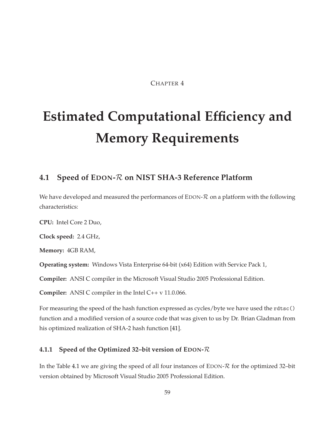#### CHAPTER 4

# **Estimated Computational Efficiency and Memory Requirements**

## **4.1 Speed of EDON-**R **on NIST SHA-3 Reference Platform**

We have developed and measured the performances of EDON- $\mathcal R$  on a platform with the following characteristics:

**CPU:** Intel Core 2 Duo,

**Clock speed:** 2.4 GHz,

**Memory:** 4GB RAM,

**Operating system:** Windows Vista Enterprise 64-bit (x64) Edition with Service Pack 1,

**Compiler:** ANSI C compiler in the Microsoft Visual Studio 2005 Professional Edition.

**Compiler:** ANSI C compiler in the Intel C++ v 11.0.066.

For measuring the speed of the hash function expressed as cycles/byte we have used the rdtsc() function and a modified version of a source code that was given to us by Dr. Brian Gladman from his optimized realization of SHA-2 hash function [\[41](#page-78-12)].

#### **4.1.1 Speed of the Optimized 32–bit version of EDON-**R

In the Table [4.1](#page-67-0) we are giving the speed of all four instances of EDON- $R$  for the optimized 32-bit version obtained by Microsoft Visual Studio 2005 Professional Edition.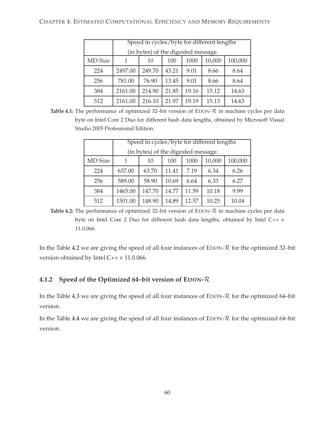#### <span id="page-67-0"></span>CHAPTER 4: ESTIMATED COMPUTATIONAL EFFICIENCY AND MEMORY REQUIREMENTS

|                | Speed in cycles/byte for different lengths |                                     |       |       |        |         |  |  |
|----------------|--------------------------------------------|-------------------------------------|-------|-------|--------|---------|--|--|
|                |                                            | (in bytes) of the digested message. |       |       |        |         |  |  |
| <b>MD</b> Size |                                            | 10                                  | 100   | 1000  | 10,000 | 100,000 |  |  |
| 224            | 2497.00                                    | 249.70                              | 43.21 | 9.01  | 8.66   | 8.64    |  |  |
| 256            | 781.00                                     | 76.90                               | 13.45 | 9.01  | 8.66   | 8.64    |  |  |
| 384            | 2161.00                                    | 214.90                              | 21.85 | 19.16 | 15.12  | 14.63   |  |  |
| 512            | 2161.00                                    | 216.10                              | 21.97 | 19.19 | 15.13  | 14.63   |  |  |

<span id="page-67-1"></span>Table 4.1: The performance of optimized 32-bit version of EDON-R in machine cycles per data byte on Intel Core 2 Duo for different hash data lengths, obtained by Microsoft Visual Studio 2005 Professional Edition.

|                | Speed in cycles/byte for different lengths |        |       |       |        |         |
|----------------|--------------------------------------------|--------|-------|-------|--------|---------|
|                | (in bytes) of the digested message.        |        |       |       |        |         |
| <b>MD</b> Size |                                            | 10     | 100   | 1000  | 10,000 | 100,000 |
| 224            | 637.00                                     | 63.70  | 11.41 | 7.19  | 6.34   | 6.26    |
| 256            | 589.00                                     | 58.90  | 10.69 | 6.64  | 6.33   | 6.27    |
| 384            | 1465.00                                    | 147.70 | 14.77 | 11.59 | 10.18  | 9.99    |
| 512            | 1501.00                                    | 148.90 | 14.89 | 12.57 | 10.25  | 10.04   |

**Table 4.2:** The performance of optimized 32-bit version of  $EDON-R$  in machine cycles per data byte on Intel Core 2 Duo for different hash data lengths, obtained by Intel C++ v 11.0.066.

In the Table [4.2](#page-67-1) we are giving the speed of all four instances of EDON- $R$  for the optimized 32-bit version obtained by Intel C++ v 11.0.066.

#### **4.1.2 Speed of the Optimized 64–bit version of EDON-**R

In the Table [4.3](#page-68-0) we are giving the speed of all four instances of EDON- $\mathcal R$  for the optimized 64–bit version.

In the Table [4.4](#page-68-1) we are giving the speed of all four instances of EDON- $R$  for the optimized 64-bit version.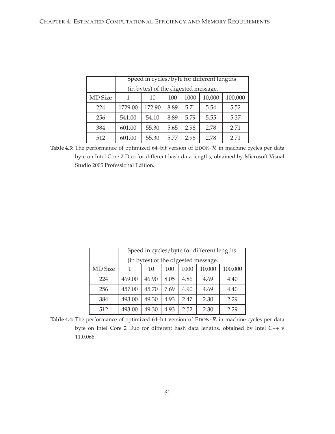<span id="page-68-0"></span>

|                | Speed in cycles/byte for different lengths |        |      |      |        |         |
|----------------|--------------------------------------------|--------|------|------|--------|---------|
|                | (in bytes) of the digested message.        |        |      |      |        |         |
| <b>MD</b> Size |                                            | 10     | 100  | 1000 | 10,000 | 100,000 |
| 224            | 1729.00                                    | 172.90 | 8.89 | 5.71 | 5.54   | 5.52    |
| 256            | 541.00                                     | 54.10  | 8.89 | 5.79 | 5.55   | 5.37    |
| 384            | 601.00                                     | 55.30  | 5.65 | 2.98 | 2.78   | 2.71    |
| 512            | 601.00                                     | 55.30  | 5.77 | 2.98 | 2.78   | 2.71    |

Table 4.3: The performance of optimized 64-bit version of EDON- $\mathcal R$  in machine cycles per data byte on Intel Core 2 Duo for different hash data lengths, obtained by Microsoft Visual Studio 2005 Professional Edition.

<span id="page-68-1"></span>

|                | Speed in cycles/byte for different lengths |       |      |      |        |         |
|----------------|--------------------------------------------|-------|------|------|--------|---------|
|                | (in bytes) of the digested message.        |       |      |      |        |         |
| <b>MD</b> Size |                                            | 10    | 100  | 1000 | 10,000 | 100,000 |
| 224            | 469.00                                     | 46.90 | 8.05 | 4.86 | 4.69   | 4.40    |
| 256            | 457.00                                     | 45.70 | 7.69 | 4.90 | 4.69   | 4.40    |
| 384            | 493.00                                     | 49.30 | 4.93 | 2.47 | 2.30   | 2.29    |
| 512            | 493.00                                     | 49.30 | 4.93 | 2.52 | 2.30   | 2.29    |

Table 4.4: The performance of optimized 64-bit version of EDON- $\mathcal R$  in machine cycles per data byte on Intel Core 2 Duo for different hash data lengths, obtained by Intel C++ v 11.0.066.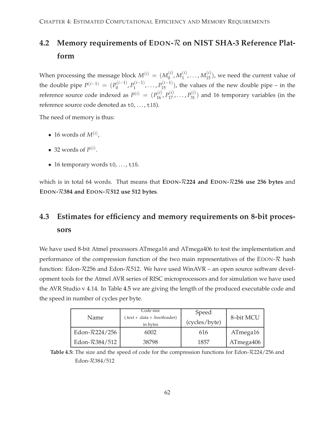# <span id="page-69-1"></span>**4.2 Memory requirements of EDON-**R **on NIST SHA-3 Reference Platform**

When processing the message block  $M^{(i)} = (M_0^{(i)})$  $_{0}^{\left( i\right) },M_{1}^{\left( i\right) }$  $\binom{i}{1}, \ldots, M_{15}^{(i)}$ , we need the current value of the double pipe  $P^{(i-1)} = (P_0^{(i-1)})$  $P_1^{(i-1)}, P_1^{(i-1)}$  $P_1^{(i-1)}, \ldots, P_{15}^{(i-1)}$ , the values of the new double pipe – in the reference source code indexed as  $P^{(i)} = (P_{16}^{(i)}, P_{17}^{(i)}, \ldots, P_{31}^{(i)})$  and 16 temporary variables (in the reference source code denoted as  $t0$ , ...,  $t15$ ).

The need of memory is thus:

- 16 words of  $M^{(i)}$ ,
- 32 words of  $P^{(i)}$ .
- 16 temporary words  $t0, \ldots, t15$ .

which is in total 64 words. That means that **EDON-**R**224 and EDON-**R**256 use 256 bytes** and **EDON-**R**384 and EDON-**R**512 use 512 bytes**.

# **4.3 Estimates for efficiency and memory requirements on 8-bit processors**

We have used 8-bit Atmel processors ATmega16 and ATmega406 to test the implementation and performance of the compression function of the two main representatives of the EDON-R hash function: Edon-R256 and Edon-R512. We have used WinAVR – an open source software development tools for the Atmel AVR series of RISC microprocessors and for simulation we have used the AVR Studio v 4.14. In Table [4.5](#page-69-0) we are giving the length of the produced executable code and the speed in number of cycles per byte.

<span id="page-69-0"></span>

| Name             | Code size<br>$(\text{.text} + \text{.data} + \text{.bootloader})$<br>in bytes | Speed<br>(cycles/byte) | 8-bit MCU |
|------------------|-------------------------------------------------------------------------------|------------------------|-----------|
| Edon- $R224/256$ | 6002                                                                          | 616                    | ATmega16  |
| Edon-R384/512    | 38798                                                                         | 1857                   | ATmega406 |

**Table 4.5:** The size and the speed of code for the compression functions for Edon-R224/256 and Edon-R384/512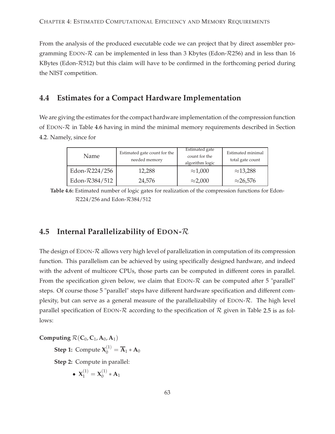From the analysis of the produced executable code we can project that by direct assembler programming EDON- $R$  can be implemented in less than 3 Kbytes (Edon- $R256$ ) and in less than 16 KBytes (Edon- $R512$ ) but this claim will have to be confirmed in the forthcoming period during the NIST competition.

#### **4.4 Estimates for a Compact Hardware Implementation**

<span id="page-70-0"></span>We are giving the estimates for the compact hardware implementation of the compression function of EDON- $R$  in Table [4.6](#page-70-0) having in mind the minimal memory requirements described in Section [4.2.](#page-69-1) Namely, since for

| Name                   | Estimated gate count for the<br>needed memory | Estimated gate<br>count for the<br>algorithm logic | Estimated minimal<br>total gate count |
|------------------------|-----------------------------------------------|----------------------------------------------------|---------------------------------------|
| Edon- <i>R</i> 224/256 | 12,288                                        | $\approx$ 1,000                                    | $\approx$ 13,288                      |
| Edon-R384/512          | 24,576                                        | $\approx$ 2,000                                    | $\approx$ 26,576                      |

**Table 4.6:** Estimated number of logic gates for realization of the compression functions for Edon-R224/256 and Edon-R384/512

#### **4.5 Internal Parallelizability of EDON-**R

The design of EDON- $R$  allows very high level of parallelization in computation of its compression function. This parallelism can be achieved by using specifically designed hardware, and indeed with the advent of multicore CPUs, those parts can be computed in different cores in parallel. From the specification given below, we claim that  $EDON-R$  can be computed after 5 "parallel" steps. Of course those 5 "parallel" steps have different hardware specification and different complexity, but can serve as a general measure of the parallelizability of  $EDON-R$ . The high level parallel specification of EDON- $\mathcal R$  according to the specification of  $\mathcal R$  given in Table [2.5](#page-24-0) is as follows:

**Computing**  $\mathcal{R}(\mathbf{C}_0, \mathbf{C}_1, \mathbf{A}_0, \mathbf{A}_1)$ **Step 1:** Compute  $X_0^{(1)} = \overline{A}_1 * A_0$ **Step 2:** Compute in parallel: •  $X_1^{(1)} = X_0^{(1)}$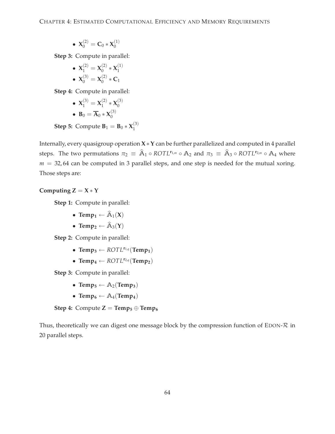•  $\mathbf{X}_0^{(2)} = \mathbf{C}_0 * \mathbf{X}_0^{(1)}$  $\theta$ 

**Step 3:** Compute in parallel:

•  $X_1^{(2)} = X_0^{(2)}$  $\chi_0^{(2)} * \mathbf{X}_1^{(1)}$ 1 •  $X_0^{(3)} = X_0^{(2)}$  $^{(2)}_{0} * C_{1}$ 

**Step 4:** Compute in parallel:

•  $X_1^{(3)} = X_1^{(2)}$  $\chi_1^{(2)} * \mathbf{X}_0^{(3)}$  $\theta$ • **B**<sub>0</sub> =  $\overline{\mathbf{A}}_0 * \mathbf{X}_0^{(3)}$  $\boldsymbol{0}$ 

**Step 5:** Compute  $\mathbf{B}_1 = \mathbf{B}_0 * \mathbf{X}_1^{(3)}$ 1

Internally, every quasigroup operation **X** ∗**Y** can be further parallelized and computed in 4 parallel steps. The two permutations  $\pi_2 \equiv \hat{A}_1 \circ ROTL^{r_{1,m}} \circ A_2$  and  $\pi_3 \equiv \hat{A}_3 \circ ROTL^{r_{2,m}} \circ A_4$  where  $m = 32,64$  can be computed in 3 parallel steps, and one step is needed for the mutual xoring. Those steps are:

#### **Computing**  $Z = X * Y$

**Step 1:** Compute in parallel:

- **Temp**<sub>1</sub>  $\leftarrow \widehat{A}_1(X)$
- **Temp**<sub>2</sub> ←  $\widehat{A}_3(Y)$

**Step 2:** Compute in parallel:

- **Temp**<sub>3</sub> ← *ROTL*<sup> $r_{1,q}$ </sup>(Temp<sub>1</sub>)
- **Temp**<sub>4</sub>  $\leftarrow$  *ROTL*<sup>**r**2,*q*</sup> (**Temp**<sub>2</sub>)

**Step 3:** Compute in parallel:

- **Temp**<sub>5</sub>  $\leftarrow$   $\mathbb{A}_2$ (**Temp**<sub>3</sub>)
- **Temp**<sup>6</sup> ←  $A_4$ (**Temp**<sup>4</sup>)

**Step 4:** Compute  $\mathbb{Z} = \text{Temp}_5 \oplus \text{Temp}_6$ 

Thus, theoretically we can digest one message block by the compression function of EDON- $\mathcal R$  in 20 parallel steps.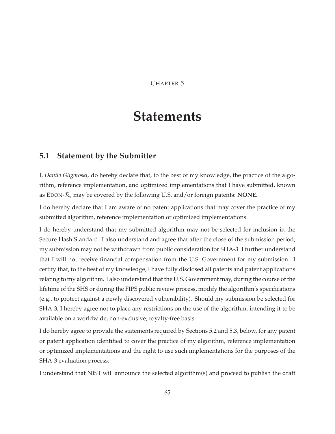CHAPTER 5

# **Statements**

### **5.1 Statement by the Submitter**

I, *Danilo Gligoroski*, do hereby declare that, to the best of my knowledge, the practice of the algorithm, reference implementation, and optimized implementations that I have submitted, known as EDON-R, may be covered by the following U.S. and/or foreign patents: **NONE**.

I do hereby declare that I am aware of no patent applications that may cover the practice of my submitted algorithm, reference implementation or optimized implementations.

I do hereby understand that my submitted algorithm may not be selected for inclusion in the Secure Hash Standard. I also understand and agree that after the close of the submission period, my submission may not be withdrawn from public consideration for SHA-3. I further understand that I will not receive financial compensation from the U.S. Government for my submission. I certify that, to the best of my knowledge, I have fully disclosed all patents and patent applications relating to my algorithm. I also understand that the U.S. Government may, during the course of the lifetime of the SHS or during the FIPS public review process, modify the algorithm's specifications (e.g., to protect against a newly discovered vulnerability). Should my submission be selected for SHA-3, I hereby agree not to place any restrictions on the use of the algorithm, intending it to be available on a worldwide, non-exclusive, royalty-free basis.

I do hereby agree to provide the statements required by Sections [5.2](#page-74-0) and [5.3,](#page-75-0) below, for any patent or patent application identified to cover the practice of my algorithm, reference implementation or optimized implementations and the right to use such implementations for the purposes of the SHA-3 evaluation process.

I understand that NIST will announce the selected algorithm(s) and proceed to publish the draft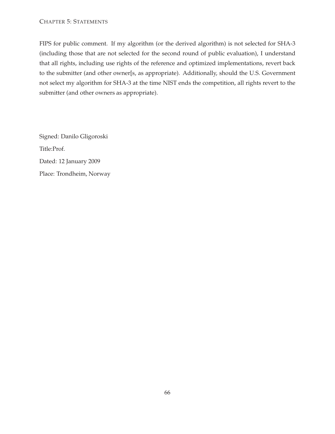#### CHAPTER 5: STATEMENTS

FIPS for public comment. If my algorithm (or the derived algorithm) is not selected for SHA-3 (including those that are not selected for the second round of public evaluation), I understand that all rights, including use rights of the reference and optimized implementations, revert back to the submitter (and other owner[s, as appropriate). Additionally, should the U.S. Government not select my algorithm for SHA-3 at the time NIST ends the competition, all rights revert to the submitter (and other owners as appropriate).

Signed: Danilo Gligoroski Title:Prof. Dated: 12 January 2009 Place: Trondheim, Norway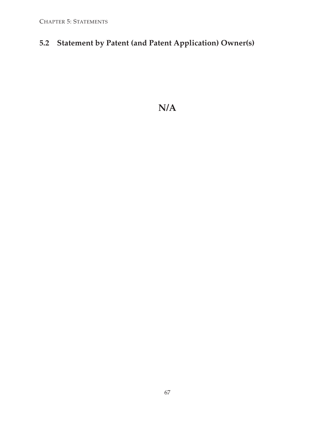CHAPTER 5: STATEMENTS

## <span id="page-74-0"></span>**5.2 Statement by Patent (and Patent Application) Owner(s)**

**N/A**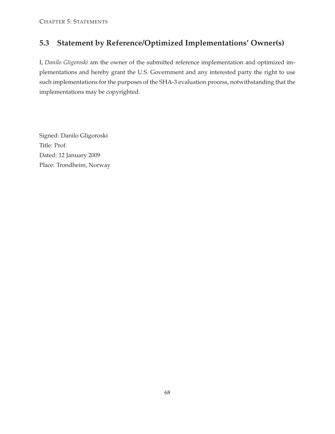### <span id="page-75-0"></span>**5.3 Statement by Reference/Optimized Implementations' Owner(s)**

I, *Danilo Gligoroski* am the owner of the submitted reference implementation and optimized implementations and hereby grant the U.S. Government and any interested party the right to use such implementations for the purposes of the SHA-3 evaluation process, notwithstanding that the implementations may be copyrighted.

Signed: Danilo Gligoroski Title: Prof. Dated: 12 January 2009 Place: Trondheim, Norway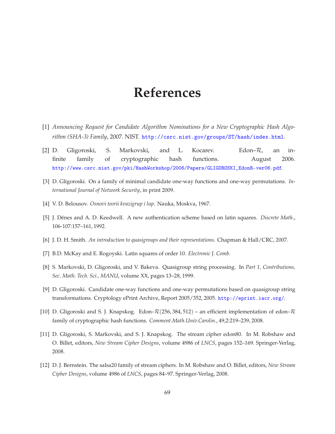# **References**

- [1] *Announcing Request for Candidate Algorithm Nominations for a New Cryptographic Hash Algorithm (SHA-3) Family*, 2007. NIST. <http://csrc.nist.gov/groups/ST/hash/index.html>.
- [2] D. Gligoroski, S. Markovski, and L. Kocarev. Edon–R, an infinite family of cryptographic hash functions. August 2006. [http://www.csrc.nist.gov/pki/HashWorkshop/2006/Papers/GLIGOROSKI\\_EdonR-ver06.pdf](http://www.csrc.nist.gov/pki/HashWorkshop/2006/Papers/GLIGOROSKI_EdonR-ver06.pdf).
- [3] D. Gligoroski. On a family of minimal candidate one-way functions and one-way permutations. *International Journal of Network Security*, in print 2009.
- [4] V. D. Belousov. *Osnovi teorii kvazigrup i lup*. Nauka, Moskva, 1967.
- [5] J. Dénes and A. D. Keedwell. A new authentication scheme based on latin squares. *Discrete Math.*, 106-107:157–161, 1992.
- [6] J. D. H. Smith. *An introduction to quasigroups and their representations*. Chapman & Hall/CRC, 2007.
- [7] B.D. McKay and E. Rogoyski. Latin squares of order 10. *Electronic J. Comb.*
- [8] S. Markovski, D. Gligoroski, and V. Bakeva. Quasigroup string processing. In *Part 1, Contributions, Sec. Math. Tech. Sci., MANU*, volume XX, pages 13–28, 1999.
- [9] D. Gligoroski. Candidate one-way functions and one-way permutations based on quasigroup string transformations. Cryptology ePrint Archive, Report 2005/352, 2005. <http://eprint.iacr.org/>.
- [10] D. Gligoroski and S. J. Knapskog. Edon– $\mathcal{R}(256, 384, 512)$  an efficient implementation of edon– $\mathcal{R}$ family of cryptographic hash functions. *Comment.Math.Univ.Carolin.*, 49,2:219–239, 2008.
- [11] D. Gligoroski, S. Markovski, and S. J. Knapskog. The stream cipher edon80. In M. Robshaw and O. Billet, editors, *New Stream Cipher Designs*, volume 4986 of *LNCS*, pages 152–169. Springer-Verlag, 2008.
- [12] D. J. Bernstein. The salsa20 family of stream ciphers. In M. Robshaw and O. Billet, editors, *New Stream Cipher Designs*, volume 4986 of *LNCS*, pages 84–97. Springer-Verlag, 2008.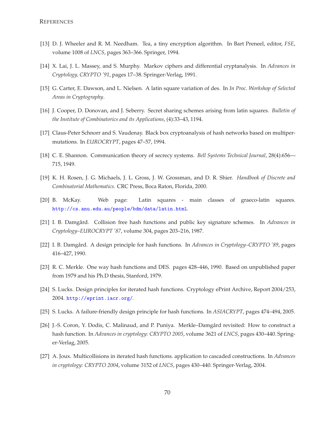- [13] D. J. Wheeler and R. M. Needham. Tea, a tiny encryption algorithm. In Bart Preneel, editor, *FSE*, volume 1008 of *LNCS*, pages 363–366. Springer, 1994.
- [14] X. Lai, J. L. Massey, and S. Murphy. Markov ciphers and differential cryptanalysis. In *Advances in Cryptology, CRYPTO '91*, pages 17–38. Springer-Verlag, 1991.
- [15] G. Carter, E. Dawson, and L. Nielsen. A latin square variation of des. In *In Proc. Workshop of Selected Areas in Cryptography*.
- [16] J. Cooper, D. Donovan, and J. Seberry. Secret sharing schemes arising from latin squares. *Bulletin of the Institute of Combinatorics and its Applications*, (4):33–43, 1194.
- [17] Claus-Peter Schnorr and S. Vaudenay. Black box cryptoanalysis of hash networks based on multipermutations. In *EUROCRYPT*, pages 47–57, 1994.
- [18] C. E. Shannon. Communication theory of secrecy systems. *Bell Systems Technical Journal*, 28(4):656— 715, 1949.
- [19] K. H. Rosen, J. G. Michaels, J. L. Gross, J. W. Grossman, and D. R. Shier. *Handbook of Discrete and Combinatorial Mathematics*. CRC Press, Boca Raton, Florida, 2000.
- [20] B. McKay. Web page: Latin squares main classes of graeco-latin squares. <http://cs.anu.edu.au/people/bdm/data/latin.html>.
- [21] I. B. Damgård. Collision free hash functions and public key signature schemes. In *Advances in Cryptology–EUROCRYPT '87*, volume 304, pages 203–216, 1987.
- [22] I. B. Damgård. A design principle for hash functions. In *Advances in Cryptology–CRYPTO '89*, pages 416–427, 1990.
- [23] R. C. Merkle. One way hash functions and DES. pages 428–446, 1990. Based on unpublished paper from 1979 and his Ph.D thesis, Stanford, 1979.
- [24] S. Lucks. Design principles for iterated hash functions. Cryptology ePrint Archive, Report 2004/253, 2004. <http://eprint.iacr.org/>.
- [25] S. Lucks. A failure-friendly design principle for hash functions. In *ASIACRYPT*, pages 474–494, 2005.
- [26] J.-S. Coron, Y. Dodis, C. Malinaud, and P. Puniya. Merkle–Damgård revisited: How to construct a hash function. In *Advances in cryptology: CRYPTO 2005*, volume 3621 of *LNCS*, pages 430–440. Springer-Verlag, 2005.
- [27] A. Joux. Multicollisions in iterated hash functions. application to cascaded constructions. In *Advances in cryptology: CRYPTO 2004*, volume 3152 of *LNCS*, pages 430–440. Springer-Verlag, 2004.